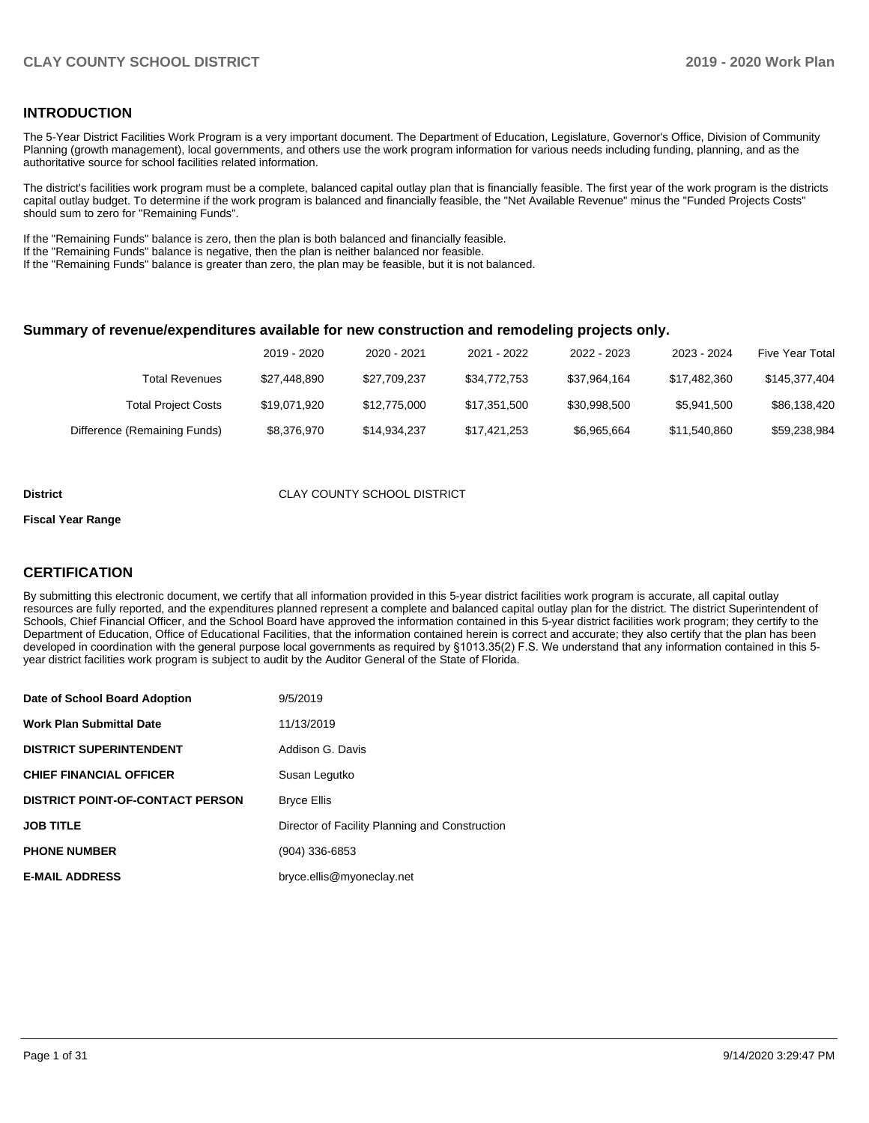### **INTRODUCTION**

The 5-Year District Facilities Work Program is a very important document. The Department of Education, Legislature, Governor's Office, Division of Community Planning (growth management), local governments, and others use the work program information for various needs including funding, planning, and as the authoritative source for school facilities related information.

The district's facilities work program must be a complete, balanced capital outlay plan that is financially feasible. The first year of the work program is the districts capital outlay budget. To determine if the work program is balanced and financially feasible, the "Net Available Revenue" minus the "Funded Projects Costs" should sum to zero for "Remaining Funds".

If the "Remaining Funds" balance is zero, then the plan is both balanced and financially feasible.

If the "Remaining Funds" balance is negative, then the plan is neither balanced nor feasible.

If the "Remaining Funds" balance is greater than zero, the plan may be feasible, but it is not balanced.

#### **Summary of revenue/expenditures available for new construction and remodeling projects only.**

|                              | 2019 - 2020  | 2020 - 2021  | 2021 - 2022  | 2022 - 2023  | 2023 - 2024  | <b>Five Year Total</b> |
|------------------------------|--------------|--------------|--------------|--------------|--------------|------------------------|
| Total Revenues               | \$27,448,890 | \$27.709.237 | \$34,772,753 | \$37.964.164 | \$17.482.360 | \$145,377,404          |
| <b>Total Project Costs</b>   | \$19.071.920 | \$12,775,000 | \$17,351,500 | \$30.998.500 | \$5,941,500  | \$86,138,420           |
| Difference (Remaining Funds) | \$8,376,970  | \$14,934,237 | \$17,421,253 | \$6,965,664  | \$11,540,860 | \$59,238,984           |

#### **District** CLAY COUNTY SCHOOL DISTRICT

#### **Fiscal Year Range**

### **CERTIFICATION**

By submitting this electronic document, we certify that all information provided in this 5-year district facilities work program is accurate, all capital outlay resources are fully reported, and the expenditures planned represent a complete and balanced capital outlay plan for the district. The district Superintendent of Schools, Chief Financial Officer, and the School Board have approved the information contained in this 5-year district facilities work program; they certify to the Department of Education, Office of Educational Facilities, that the information contained herein is correct and accurate; they also certify that the plan has been developed in coordination with the general purpose local governments as required by §1013.35(2) F.S. We understand that any information contained in this 5 year district facilities work program is subject to audit by the Auditor General of the State of Florida.

| Date of School Board Adoption           | 9/5/2019                                       |
|-----------------------------------------|------------------------------------------------|
| <b>Work Plan Submittal Date</b>         | 11/13/2019                                     |
| <b>DISTRICT SUPERINTENDENT</b>          | Addison G. Davis                               |
| <b>CHIEF FINANCIAL OFFICER</b>          | Susan Legutko                                  |
| <b>DISTRICT POINT-OF-CONTACT PERSON</b> | <b>Bryce Ellis</b>                             |
| <b>JOB TITLE</b>                        | Director of Facility Planning and Construction |
| <b>PHONE NUMBER</b>                     | (904) 336-6853                                 |
| <b>E-MAIL ADDRESS</b>                   | bryce.ellis@myoneclay.net                      |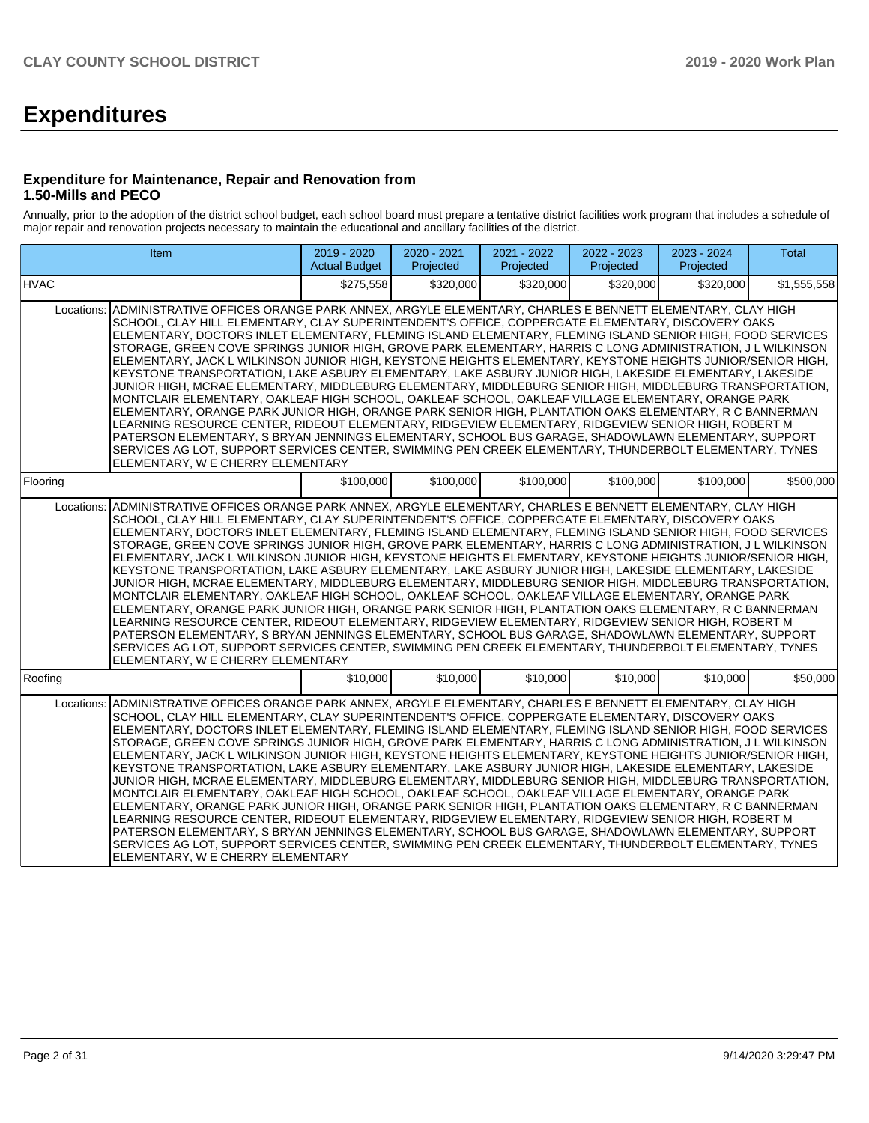# **Expenditures**

### **Expenditure for Maintenance, Repair and Renovation from 1.50-Mills and PECO**

Annually, prior to the adoption of the district school budget, each school board must prepare a tentative district facilities work program that includes a schedule of major repair and renovation projects necessary to maintain the educational and ancillary facilities of the district.

| Item                                                                                                                                                    | 2019 - 2020<br><b>Actual Budget</b>                                                                                                                                                                                                                                                                                                                                                                                                                                                                                                                                                                                                                                                                                                                                                                                                                                                                                                                                                                                                                                                                                                                                                                                                                                                                                                                                                                                                                                                                                                              | 2020 - 2021<br>Projected | 2021 - 2022<br>Projected | 2022 - 2023<br>Projected | 2023 - 2024<br>Projected | <b>Total</b> |
|---------------------------------------------------------------------------------------------------------------------------------------------------------|--------------------------------------------------------------------------------------------------------------------------------------------------------------------------------------------------------------------------------------------------------------------------------------------------------------------------------------------------------------------------------------------------------------------------------------------------------------------------------------------------------------------------------------------------------------------------------------------------------------------------------------------------------------------------------------------------------------------------------------------------------------------------------------------------------------------------------------------------------------------------------------------------------------------------------------------------------------------------------------------------------------------------------------------------------------------------------------------------------------------------------------------------------------------------------------------------------------------------------------------------------------------------------------------------------------------------------------------------------------------------------------------------------------------------------------------------------------------------------------------------------------------------------------------------|--------------------------|--------------------------|--------------------------|--------------------------|--------------|
| <b>HVAC</b>                                                                                                                                             | \$275,558                                                                                                                                                                                                                                                                                                                                                                                                                                                                                                                                                                                                                                                                                                                                                                                                                                                                                                                                                                                                                                                                                                                                                                                                                                                                                                                                                                                                                                                                                                                                        | \$320,000                | \$320,000                | \$320,000                | \$320,000                | \$1,555,558  |
| Locations:                                                                                                                                              | ADMINISTRATIVE OFFICES ORANGE PARK ANNEX. ARGYLE ELEMENTARY. CHARLES E BENNETT ELEMENTARY. CLAY HIGH<br>SCHOOL, CLAY HILL ELEMENTARY, CLAY SUPERINTENDENT'S OFFICE, COPPERGATE ELEMENTARY, DISCOVERY OAKS<br>ELEMENTARY, DOCTORS INLET ELEMENTARY, FLEMING ISLAND ELEMENTARY, FLEMING ISLAND SENIOR HIGH, FOOD SERVICES<br>STORAGE, GREEN COVE SPRINGS JUNIOR HIGH, GROVE PARK ELEMENTARY, HARRIS C LONG ADMINISTRATION, J L WILKINSON<br>ELEMENTARY, JACK L WILKINSON JUNIOR HIGH, KEYSTONE HEIGHTS ELEMENTARY, KEYSTONE HEIGHTS JUNIOR/SENIOR HIGH,<br>KEYSTONE TRANSPORTATION, LAKE ASBURY ELEMENTARY, LAKE ASBURY JUNIOR HIGH, LAKESIDE ELEMENTARY, LAKESIDE<br>JUNIOR HIGH, MCRAE ELEMENTARY, MIDDLEBURG ELEMENTARY, MIDDLEBURG SENIOR HIGH, MIDDLEBURG TRANSPORTATION,<br>MONTCLAIR ELEMENTARY, OAKLEAF HIGH SCHOOL, OAKLEAF SCHOOL, OAKLEAF VILLAGE ELEMENTARY, ORANGE PARK<br>ELEMENTARY, ORANGE PARK JUNIOR HIGH, ORANGE PARK SENIOR HIGH, PLANTATION OAKS ELEMENTARY, R C BANNERMAN<br>LEARNING RESOURCE CENTER, RIDEOUT ELEMENTARY, RIDGEVIEW ELEMENTARY, RIDGEVIEW SENIOR HIGH, ROBERT M<br>PATERSON ELEMENTARY, S BRYAN JENNINGS ELEMENTARY, SCHOOL BUS GARAGE, SHADOWLAWN ELEMENTARY, SUPPORT<br>SERVICES AG LOT, SUPPORT SERVICES CENTER, SWIMMING PEN CREEK ELEMENTARY, THUNDERBOLT ELEMENTARY, TYNES<br>ELEMENTARY, W E CHERRY ELEMENTARY<br>\$100,000<br>\$100,000<br>\$100,000<br>\$100,000<br>\$100,000<br>\$500,000<br>ADMINISTRATIVE OFFICES ORANGE PARK ANNEX, ARGYLE ELEMENTARY, CHARLES E BENNETT ELEMENTARY, CLAY HIGH |                          |                          |                          |                          |              |
| Flooring                                                                                                                                                |                                                                                                                                                                                                                                                                                                                                                                                                                                                                                                                                                                                                                                                                                                                                                                                                                                                                                                                                                                                                                                                                                                                                                                                                                                                                                                                                                                                                                                                                                                                                                  |                          |                          |                          |                          |              |
| Locations:<br>ELEMENTARY, W E CHERRY ELEMENTARY                                                                                                         | SCHOOL, CLAY HILL ELEMENTARY, CLAY SUPERINTENDENT'S OFFICE, COPPERGATE ELEMENTARY, DISCOVERY OAKS<br>ELEMENTARY, DOCTORS INLET ELEMENTARY, FLEMING ISLAND ELEMENTARY, FLEMING ISLAND SENIOR HIGH, FOOD SERVICES<br>STORAGE, GREEN COVE SPRINGS JUNIOR HIGH, GROVE PARK ELEMENTARY, HARRIS C LONG ADMINISTRATION, J L WILKINSON<br>ELEMENTARY, JACK L WILKINSON JUNIOR HIGH, KEYSTONE HEIGHTS ELEMENTARY, KEYSTONE HEIGHTS JUNIOR/SENIOR HIGH,<br>KEYSTONE TRANSPORTATION, LAKE ASBURY ELEMENTARY, LAKE ASBURY JUNIOR HIGH, LAKESIDE ELEMENTARY, LAKESIDE<br>JUNIOR HIGH, MCRAE ELEMENTARY, MIDDLEBURG ELEMENTARY, MIDDLEBURG SENIOR HIGH, MIDDLEBURG TRANSPORTATION,<br>MONTCLAIR ELEMENTARY, OAKLEAF HIGH SCHOOL, OAKLEAF SCHOOL, OAKLEAF VILLAGE ELEMENTARY, ORANGE PARK<br>ELEMENTARY, ORANGE PARK JUNIOR HIGH, ORANGE PARK SENIOR HIGH, PLANTATION OAKS ELEMENTARY, R C BANNERMAN<br>LEARNING RESOURCE CENTER, RIDEOUT ELEMENTARY, RIDGEVIEW ELEMENTARY, RIDGEVIEW SENIOR HIGH, ROBERT M<br>PATERSON ELEMENTARY, S BRYAN JENNINGS ELEMENTARY, SCHOOL BUS GARAGE, SHADOWLAWN ELEMENTARY, SUPPORT<br>SERVICES AG LOT, SUPPORT SERVICES CENTER, SWIMMING PEN CREEK ELEMENTARY, THUNDERBOLT ELEMENTARY, TYNES                                                                                                                                                                                                                                                                                                                                    |                          |                          |                          |                          |              |
| Roofing                                                                                                                                                 | \$10,000                                                                                                                                                                                                                                                                                                                                                                                                                                                                                                                                                                                                                                                                                                                                                                                                                                                                                                                                                                                                                                                                                                                                                                                                                                                                                                                                                                                                                                                                                                                                         | \$10,000                 | \$10,000                 | \$10,000                 | \$10,000                 | \$50,000     |
| ADMINISTRATIVE OFFICES ORANGE PARK ANNEX, ARGYLE ELEMENTARY, CHARLES E BENNETT ELEMENTARY, CLAY HIGH<br>Locations:<br>ELEMENTARY, W E CHERRY ELEMENTARY | SCHOOL, CLAY HILL ELEMENTARY, CLAY SUPERINTENDENT'S OFFICE, COPPERGATE ELEMENTARY, DISCOVERY OAKS<br>ELEMENTARY, DOCTORS INLET ELEMENTARY, FLEMING ISLAND ELEMENTARY, FLEMING ISLAND SENIOR HIGH, FOOD SERVICES<br>STORAGE, GREEN COVE SPRINGS JUNIOR HIGH, GROVE PARK ELEMENTARY, HARRIS C LONG ADMINISTRATION, J L WILKINSON<br>ELEMENTARY, JACK L WILKINSON JUNIOR HIGH, KEYSTONE HEIGHTS ELEMENTARY, KEYSTONE HEIGHTS JUNIOR/SENIOR HIGH,<br>KEYSTONE TRANSPORTATION, LAKE ASBURY ELEMENTARY, LAKE ASBURY JUNIOR HIGH, LAKESIDE ELEMENTARY, LAKESIDE<br>JUNIOR HIGH, MCRAE ELEMENTARY, MIDDLEBURG ELEMENTARY, MIDDLEBURG SENIOR HIGH, MIDDLEBURG TRANSPORTATION,<br>MONTCLAIR ELEMENTARY, OAKLEAF HIGH SCHOOL, OAKLEAF SCHOOL, OAKLEAF VILLAGE ELEMENTARY, ORANGE PARK<br>ELEMENTARY, ORANGE PARK JUNIOR HIGH, ORANGE PARK SENIOR HIGH, PLANTATION OAKS ELEMENTARY, R C BANNERMAN<br>LEARNING RESOURCE CENTER, RIDEOUT ELEMENTARY, RIDGEVIEW ELEMENTARY, RIDGEVIEW SENIOR HIGH, ROBERT M<br>PATERSON ELEMENTARY, S BRYAN JENNINGS ELEMENTARY, SCHOOL BUS GARAGE, SHADOWLAWN ELEMENTARY, SUPPORT<br>SERVICES AG LOT, SUPPORT SERVICES CENTER, SWIMMING PEN CREEK ELEMENTARY, THUNDERBOLT ELEMENTARY, TYNES                                                                                                                                                                                                                                                                                                                                    |                          |                          |                          |                          |              |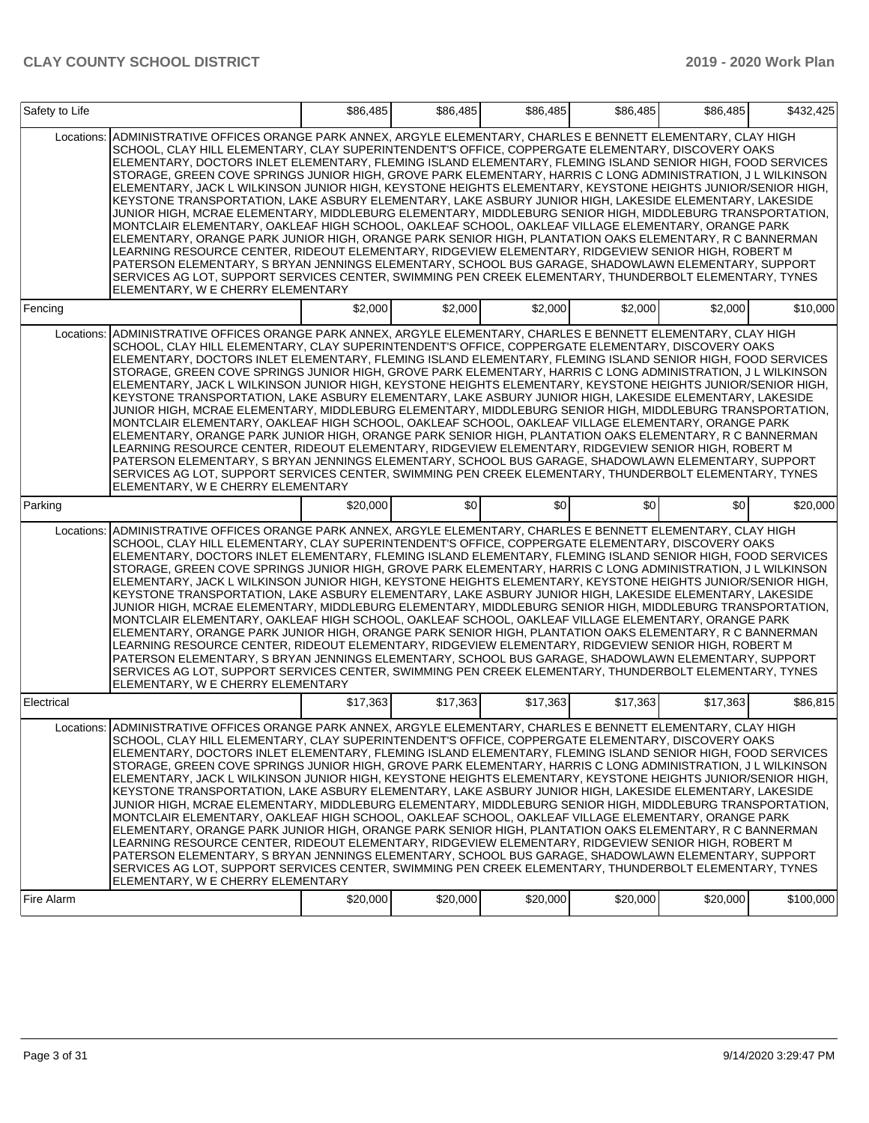| Safety to Life |                                                                                                                                                                                                                                                                                                                                                                                                                                                                                                                                                                                                                                                                                                                                                                                                                                                                                                                                                                                                                                                                                                                                                                                                                                                                                                                                                                       | \$86.485 | \$86,485 | \$86.485 | \$86.485 | \$86,485 | \$432,425 |
|----------------|-----------------------------------------------------------------------------------------------------------------------------------------------------------------------------------------------------------------------------------------------------------------------------------------------------------------------------------------------------------------------------------------------------------------------------------------------------------------------------------------------------------------------------------------------------------------------------------------------------------------------------------------------------------------------------------------------------------------------------------------------------------------------------------------------------------------------------------------------------------------------------------------------------------------------------------------------------------------------------------------------------------------------------------------------------------------------------------------------------------------------------------------------------------------------------------------------------------------------------------------------------------------------------------------------------------------------------------------------------------------------|----------|----------|----------|----------|----------|-----------|
| Locations:     | ADMINISTRATIVE OFFICES ORANGE PARK ANNEX, ARGYLE ELEMENTARY, CHARLES E BENNETT ELEMENTARY, CLAY HIGH<br>SCHOOL, CLAY HILL ELEMENTARY, CLAY SUPERINTENDENT'S OFFICE, COPPERGATE ELEMENTARY, DISCOVERY OAKS<br>ELEMENTARY, DOCTORS INLET ELEMENTARY, FLEMING ISLAND ELEMENTARY, FLEMING ISLAND SENIOR HIGH, FOOD SERVICES<br>STORAGE, GREEN COVE SPRINGS JUNIOR HIGH, GROVE PARK ELEMENTARY, HARRIS C LONG ADMINISTRATION, J L WILKINSON<br>ELEMENTARY, JACK L WILKINSON JUNIOR HIGH, KEYSTONE HEIGHTS ELEMENTARY, KEYSTONE HEIGHTS JUNIOR/SENIOR HIGH,<br>KEYSTONE TRANSPORTATION, LAKE ASBURY ELEMENTARY, LAKE ASBURY JUNIOR HIGH, LAKESIDE ELEMENTARY, LAKESIDE<br>JUNIOR HIGH, MCRAE ELEMENTARY, MIDDLEBURG ELEMENTARY, MIDDLEBURG SENIOR HIGH, MIDDLEBURG TRANSPORTATION,<br>MONTCLAIR ELEMENTARY, OAKLEAF HIGH SCHOOL, OAKLEAF SCHOOL, OAKLEAF VILLAGE ELEMENTARY, ORANGE PARK<br>ELEMENTARY, ORANGE PARK JUNIOR HIGH, ORANGE PARK SENIOR HIGH, PLANTATION OAKS ELEMENTARY, R C BANNERMAN<br>LEARNING RESOURCE CENTER, RIDEOUT ELEMENTARY, RIDGEVIEW ELEMENTARY, RIDGEVIEW SENIOR HIGH, ROBERT M<br>PATERSON ELEMENTARY, S BRYAN JENNINGS ELEMENTARY, SCHOOL BUS GARAGE, SHADOWLAWN ELEMENTARY, SUPPORT<br>SERVICES AG LOT, SUPPORT SERVICES CENTER, SWIMMING PEN CREEK ELEMENTARY, THUNDERBOLT ELEMENTARY, TYNES<br>ELEMENTARY, W E CHERRY ELEMENTARY            |          |          |          |          |          |           |
| Fencing        |                                                                                                                                                                                                                                                                                                                                                                                                                                                                                                                                                                                                                                                                                                                                                                                                                                                                                                                                                                                                                                                                                                                                                                                                                                                                                                                                                                       | \$2,000  | \$2,000  | \$2,000  | \$2,000  | \$2,000  | \$10,000  |
| Locations:     | ADMINISTRATIVE OFFICES ORANGE PARK ANNEX, ARGYLE ELEMENTARY, CHARLES E BENNETT ELEMENTARY, CLAY HIGH<br>SCHOOL, CLAY HILL ELEMENTARY, CLAY SUPERINTENDENT'S OFFICE, COPPERGATE ELEMENTARY, DISCOVERY OAKS<br>ELEMENTARY, DOCTORS INLET ELEMENTARY, FLEMING ISLAND ELEMENTARY, FLEMING ISLAND SENIOR HIGH, FOOD SERVICES<br>STORAGE, GREEN COVE SPRINGS JUNIOR HIGH, GROVE PARK ELEMENTARY, HARRIS C LONG ADMINISTRATION, J L WILKINSON<br>ELEMENTARY, JACK L WILKINSON JUNIOR HIGH, KEYSTONE HEIGHTS ELEMENTARY, KEYSTONE HEIGHTS JUNIOR/SENIOR HIGH,<br>KEYSTONE TRANSPORTATION. LAKE ASBURY ELEMENTARY. LAKE ASBURY JUNIOR HIGH, LAKESIDE ELEMENTARY. LAKESIDE<br>JUNIOR HIGH, MCRAE ELEMENTARY, MIDDLEBURG ELEMENTARY, MIDDLEBURG SENIOR HIGH, MIDDLEBURG TRANSPORTATION,<br>MONTCLAIR ELEMENTARY, OAKLEAF HIGH SCHOOL, OAKLEAF SCHOOL, OAKLEAF VILLAGE ELEMENTARY, ORANGE PARK<br>ELEMENTARY. ORANGE PARK JUNIOR HIGH. ORANGE PARK SENIOR HIGH. PLANTATION OAKS ELEMENTARY. R C BANNERMAN<br>LEARNING RESOURCE CENTER, RIDEOUT ELEMENTARY, RIDGEVIEW ELEMENTARY, RIDGEVIEW SENIOR HIGH, ROBERT M<br>PATERSON ELEMENTARY, S BRYAN JENNINGS ELEMENTARY, SCHOOL BUS GARAGE, SHADOWLAWN ELEMENTARY, SUPPORT<br>SERVICES AG LOT, SUPPORT SERVICES CENTER, SWIMMING PEN CREEK ELEMENTARY, THUNDERBOLT ELEMENTARY, TYNES<br>ELEMENTARY, W E CHERRY ELEMENTARY            |          |          |          |          |          |           |
| Parking        |                                                                                                                                                                                                                                                                                                                                                                                                                                                                                                                                                                                                                                                                                                                                                                                                                                                                                                                                                                                                                                                                                                                                                                                                                                                                                                                                                                       | \$20,000 | \$0      | \$0      | \$0      | \$0      | \$20,000  |
| Locations:     | ADMINISTRATIVE OFFICES ORANGE PARK ANNEX, ARGYLE ELEMENTARY, CHARLES E BENNETT ELEMENTARY, CLAY HIGH<br>SCHOOL, CLAY HILL ELEMENTARY, CLAY SUPERINTENDENT'S OFFICE, COPPERGATE ELEMENTARY, DISCOVERY OAKS<br>ELEMENTARY, DOCTORS INLET ELEMENTARY, FLEMING ISLAND ELEMENTARY, FLEMING ISLAND SENIOR HIGH, FOOD SERVICES<br>STORAGE, GREEN COVE SPRINGS JUNIOR HIGH, GROVE PARK ELEMENTARY, HARRIS C LONG ADMINISTRATION, J L WILKINSON<br>ELEMENTARY, JACK L WILKINSON JUNIOR HIGH, KEYSTONE HEIGHTS ELEMENTARY, KEYSTONE HEIGHTS JUNIOR/SENIOR HIGH,<br>KEYSTONE TRANSPORTATION, LAKE ASBURY ELEMENTARY, LAKE ASBURY JUNIOR HIGH, LAKESIDE ELEMENTARY, LAKESIDE<br>JUNIOR HIGH, MCRAE ELEMENTARY, MIDDLEBURG ELEMENTARY, MIDDLEBURG SENIOR HIGH, MIDDLEBURG TRANSPORTATION,<br>MONTCLAIR ELEMENTARY, OAKLEAF HIGH SCHOOL, OAKLEAF SCHOOL, OAKLEAF VILLAGE ELEMENTARY, ORANGE PARK<br>ELEMENTARY, ORANGE PARK JUNIOR HIGH, ORANGE PARK SENIOR HIGH, PLANTATION OAKS ELEMENTARY, R C BANNERMAN<br>LEARNING RESOURCE CENTER, RIDEOUT ELEMENTARY, RIDGEVIEW ELEMENTARY, RIDGEVIEW SENIOR HIGH, ROBERT M<br>PATERSON ELEMENTARY, S BRYAN JENNINGS ELEMENTARY, SCHOOL BUS GARAGE, SHADOWLAWN ELEMENTARY, SUPPORT<br>SERVICES AG LOT, SUPPORT SERVICES CENTER, SWIMMING PEN CREEK ELEMENTARY, THUNDERBOLT ELEMENTARY, TYNES<br>ELEMENTARY, W E CHERRY ELEMENTARY            |          |          |          |          |          |           |
| Electrical     |                                                                                                                                                                                                                                                                                                                                                                                                                                                                                                                                                                                                                                                                                                                                                                                                                                                                                                                                                                                                                                                                                                                                                                                                                                                                                                                                                                       | \$17,363 | \$17,363 | \$17,363 | \$17,363 | \$17,363 | \$86,815  |
|                | Locations: ADMINISTRATIVE OFFICES ORANGE PARK ANNEX, ARGYLE ELEMENTARY, CHARLES E BENNETT ELEMENTARY, CLAY HIGH<br>SCHOOL, CLAY HILL ELEMENTARY, CLAY SUPERINTENDENT'S OFFICE, COPPERGATE ELEMENTARY, DISCOVERY OAKS<br>ELEMENTARY, DOCTORS INLET ELEMENTARY, FLEMING ISLAND ELEMENTARY, FLEMING ISLAND SENIOR HIGH, FOOD SERVICES<br>STORAGE, GREEN COVE SPRINGS JUNIOR HIGH, GROVE PARK ELEMENTARY, HARRIS C LONG ADMINISTRATION, J L WILKINSON<br>ELEMENTARY, JACK L WILKINSON JUNIOR HIGH, KEYSTONE HEIGHTS ELEMENTARY, KEYSTONE HEIGHTS JUNIOR/SENIOR HIGH,<br>KEYSTONE TRANSPORTATION, LAKE ASBURY ELEMENTARY, LAKE ASBURY JUNIOR HIGH, LAKESIDE ELEMENTARY, LAKESIDE<br>JUNIOR HIGH, MCRAE ELEMENTARY, MIDDLEBURG ELEMENTARY, MIDDLEBURG SENIOR HIGH, MIDDLEBURG TRANSPORTATION,<br>MONTCLAIR ELEMENTARY, OAKLEAF HIGH SCHOOL, OAKLEAF SCHOOL, OAKLEAF VILLAGE ELEMENTARY, ORANGE PARK<br>ELEMENTARY, ORANGE PARK JUNIOR HIGH, ORANGE PARK SENIOR HIGH, PLANTATION OAKS ELEMENTARY, R C BANNERMAN<br>LEARNING RESOURCE CENTER, RIDEOUT ELEMENTARY, RIDGEVIEW ELEMENTARY, RIDGEVIEW SENIOR HIGH, ROBERT M<br>PATERSON ELEMENTARY, S BRYAN JENNINGS ELEMENTARY, SCHOOL BUS GARAGE, SHADOWLAWN ELEMENTARY, SUPPORT<br>SERVICES AG LOT, SUPPORT SERVICES CENTER, SWIMMING PEN CREEK ELEMENTARY, THUNDERBOLT ELEMENTARY, TYNES<br>ELEMENTARY, W E CHERRY ELEMENTARY |          |          |          |          |          |           |
| Fire Alarm     |                                                                                                                                                                                                                                                                                                                                                                                                                                                                                                                                                                                                                                                                                                                                                                                                                                                                                                                                                                                                                                                                                                                                                                                                                                                                                                                                                                       | \$20,000 | \$20,000 | \$20,000 | \$20,000 | \$20,000 | \$100,000 |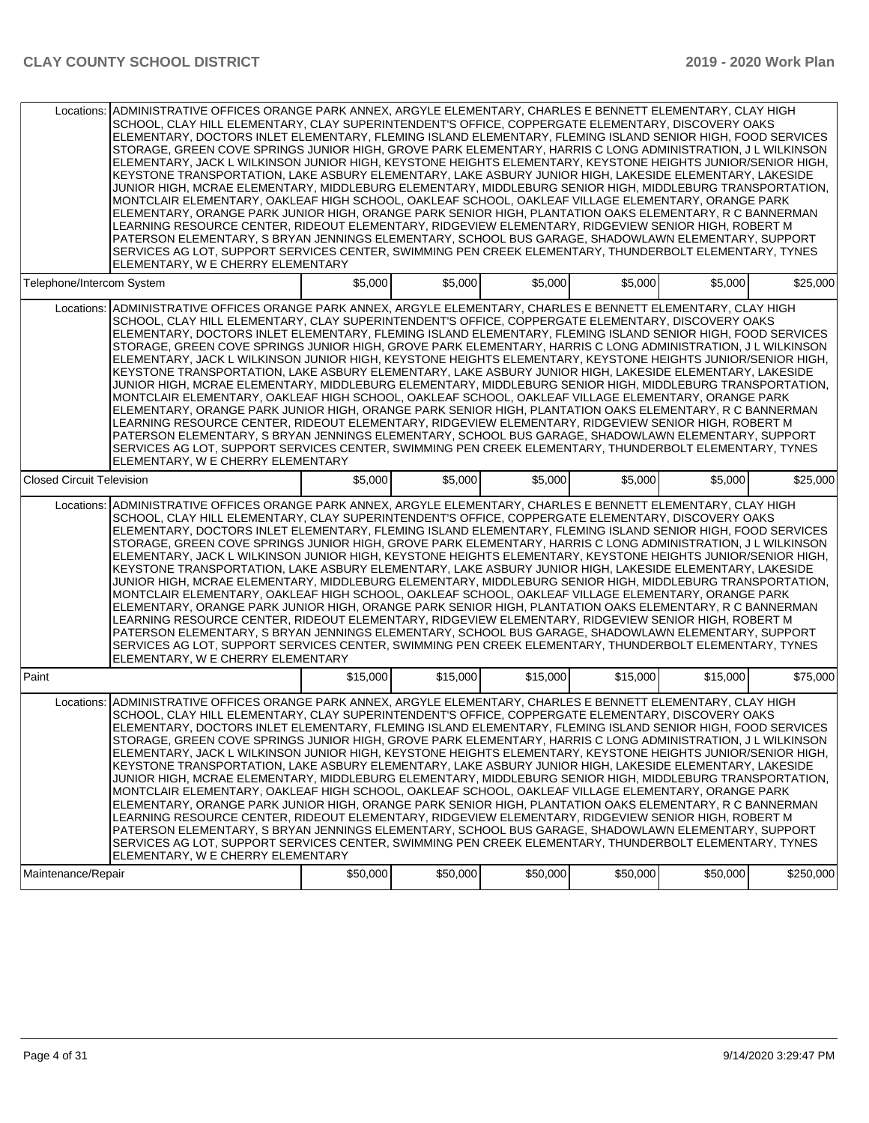|                                  | Locations: ADMINISTRATIVE OFFICES ORANGE PARK ANNEX, ARGYLE ELEMENTARY, CHARLES E BENNETT ELEMENTARY, CLAY HIGH<br>SCHOOL, CLAY HILL ELEMENTARY, CLAY SUPERINTENDENT'S OFFICE, COPPERGATE ELEMENTARY, DISCOVERY OAKS<br>ELEMENTARY, DOCTORS INLET ELEMENTARY, FLEMING ISLAND ELEMENTARY, FLEMING ISLAND SENIOR HIGH, FOOD SERVICES<br>STORAGE, GREEN COVE SPRINGS JUNIOR HIGH, GROVE PARK ELEMENTARY, HARRIS C LONG ADMINISTRATION, J L WILKINSON<br>ELEMENTARY, JACK L WILKINSON JUNIOR HIGH, KEYSTONE HEIGHTS ELEMENTARY, KEYSTONE HEIGHTS JUNIOR/SENIOR HIGH,<br>KEYSTONE TRANSPORTATION, LAKE ASBURY ELEMENTARY, LAKE ASBURY JUNIOR HIGH, LAKESIDE ELEMENTARY, LAKESIDE<br>JUNIOR HIGH, MCRAE ELEMENTARY, MIDDLEBURG ELEMENTARY, MIDDLEBURG SENIOR HIGH, MIDDLEBURG TRANSPORTATION,<br>MONTCLAIR ELEMENTARY, OAKLEAF HIGH SCHOOL, OAKLEAF SCHOOL, OAKLEAF VILLAGE ELEMENTARY, ORANGE PARK<br>ELEMENTARY, ORANGE PARK JUNIOR HIGH, ORANGE PARK SENIOR HIGH, PLANTATION OAKS ELEMENTARY, R C BANNERMAN<br>LEARNING RESOURCE CENTER, RIDEOUT ELEMENTARY, RIDGEVIEW ELEMENTARY, RIDGEVIEW SENIOR HIGH, ROBERT M<br>PATERSON ELEMENTARY, S BRYAN JENNINGS ELEMENTARY, SCHOOL BUS GARAGE, SHADOWLAWN ELEMENTARY, SUPPORT<br>SERVICES AG LOT, SUPPORT SERVICES CENTER, SWIMMING PEN CREEK ELEMENTARY, THUNDERBOLT ELEMENTARY, TYNES<br>ELEMENTARY, W E CHERRY ELEMENTARY |          |          |          |          |          |           |
|----------------------------------|-----------------------------------------------------------------------------------------------------------------------------------------------------------------------------------------------------------------------------------------------------------------------------------------------------------------------------------------------------------------------------------------------------------------------------------------------------------------------------------------------------------------------------------------------------------------------------------------------------------------------------------------------------------------------------------------------------------------------------------------------------------------------------------------------------------------------------------------------------------------------------------------------------------------------------------------------------------------------------------------------------------------------------------------------------------------------------------------------------------------------------------------------------------------------------------------------------------------------------------------------------------------------------------------------------------------------------------------------------------------------|----------|----------|----------|----------|----------|-----------|
| Telephone/Intercom System        |                                                                                                                                                                                                                                                                                                                                                                                                                                                                                                                                                                                                                                                                                                                                                                                                                                                                                                                                                                                                                                                                                                                                                                                                                                                                                                                                                                       | \$5,000  | \$5,000  | \$5,000  | \$5,000  | \$5,000  | \$25,000  |
|                                  | Locations: ADMINISTRATIVE OFFICES ORANGE PARK ANNEX, ARGYLE ELEMENTARY, CHARLES E BENNETT ELEMENTARY, CLAY HIGH<br>SCHOOL, CLAY HILL ELEMENTARY, CLAY SUPERINTENDENT'S OFFICE, COPPERGATE ELEMENTARY, DISCOVERY OAKS<br>ELEMENTARY, DOCTORS INLET ELEMENTARY, FLEMING ISLAND ELEMENTARY, FLEMING ISLAND SENIOR HIGH, FOOD SERVICES<br>STORAGE, GREEN COVE SPRINGS JUNIOR HIGH, GROVE PARK ELEMENTARY, HARRIS C LONG ADMINISTRATION, J L WILKINSON<br>ELEMENTARY, JACK L WILKINSON JUNIOR HIGH, KEYSTONE HEIGHTS ELEMENTARY, KEYSTONE HEIGHTS JUNIOR/SENIOR HIGH,<br>KEYSTONE TRANSPORTATION, LAKE ASBURY ELEMENTARY, LAKE ASBURY JUNIOR HIGH, LAKESIDE ELEMENTARY, LAKESIDE<br>JUNIOR HIGH. MCRAE ELEMENTARY. MIDDLEBURG ELEMENTARY. MIDDLEBURG SENIOR HIGH. MIDDLEBURG TRANSPORTATION.<br>MONTCLAIR ELEMENTARY, OAKLEAF HIGH SCHOOL, OAKLEAF SCHOOL, OAKLEAF VILLAGE ELEMENTARY, ORANGE PARK<br>ELEMENTARY. ORANGE PARK JUNIOR HIGH. ORANGE PARK SENIOR HIGH. PLANTATION OAKS ELEMENTARY. R C BANNERMAN<br>LEARNING RESOURCE CENTER, RIDEOUT ELEMENTARY, RIDGEVIEW ELEMENTARY, RIDGEVIEW SENIOR HIGH, ROBERT M<br>PATERSON ELEMENTARY, S BRYAN JENNINGS ELEMENTARY, SCHOOL BUS GARAGE, SHADOWLAWN ELEMENTARY, SUPPORT<br>SERVICES AG LOT, SUPPORT SERVICES CENTER, SWIMMING PEN CREEK ELEMENTARY, THUNDERBOLT ELEMENTARY, TYNES<br>ELEMENTARY, W E CHERRY ELEMENTARY |          |          |          |          |          |           |
| <b>Closed Circuit Television</b> |                                                                                                                                                                                                                                                                                                                                                                                                                                                                                                                                                                                                                                                                                                                                                                                                                                                                                                                                                                                                                                                                                                                                                                                                                                                                                                                                                                       | \$5,000  | \$5,000  | \$5,000  | \$5,000  | \$5.000  | \$25,000  |
| Locations:                       | ADMINISTRATIVE OFFICES ORANGE PARK ANNEX, ARGYLE ELEMENTARY, CHARLES E BENNETT ELEMENTARY, CLAY HIGH<br>SCHOOL, CLAY HILL ELEMENTARY, CLAY SUPERINTENDENT'S OFFICE, COPPERGATE ELEMENTARY, DISCOVERY OAKS<br>ELEMENTARY, DOCTORS INLET ELEMENTARY, FLEMING ISLAND ELEMENTARY, FLEMING ISLAND SENIOR HIGH, FOOD SERVICES<br>STORAGE, GREEN COVE SPRINGS JUNIOR HIGH, GROVE PARK ELEMENTARY, HARRIS C LONG ADMINISTRATION, J L WILKINSON<br>ELEMENTARY, JACK L WILKINSON JUNIOR HIGH, KEYSTONE HEIGHTS ELEMENTARY, KEYSTONE HEIGHTS JUNIOR/SENIOR HIGH,<br>KEYSTONE TRANSPORTATION, LAKE ASBURY ELEMENTARY, LAKE ASBURY JUNIOR HIGH, LAKESIDE ELEMENTARY, LAKESIDE<br>JUNIOR HIGH, MCRAE ELEMENTARY, MIDDLEBURG ELEMENTARY, MIDDLEBURG SENIOR HIGH, MIDDLEBURG TRANSPORTATION,<br>MONTCLAIR ELEMENTARY, OAKLEAF HIGH SCHOOL, OAKLEAF SCHOOL, OAKLEAF VILLAGE ELEMENTARY, ORANGE PARK<br>ELEMENTARY, ORANGE PARK JUNIOR HIGH, ORANGE PARK SENIOR HIGH, PLANTATION OAKS ELEMENTARY, R C BANNERMAN<br>LEARNING RESOURCE CENTER, RIDEOUT ELEMENTARY, RIDGEVIEW ELEMENTARY, RIDGEVIEW SENIOR HIGH, ROBERT M<br>PATERSON ELEMENTARY, S BRYAN JENNINGS ELEMENTARY, SCHOOL BUS GARAGE, SHADOWLAWN ELEMENTARY, SUPPORT<br>SERVICES AG LOT, SUPPORT SERVICES CENTER, SWIMMING PEN CREEK ELEMENTARY, THUNDERBOLT ELEMENTARY, TYNES<br>ELEMENTARY, W E CHERRY ELEMENTARY            |          |          |          |          |          |           |
| Paint                            |                                                                                                                                                                                                                                                                                                                                                                                                                                                                                                                                                                                                                                                                                                                                                                                                                                                                                                                                                                                                                                                                                                                                                                                                                                                                                                                                                                       | \$15,000 | \$15,000 | \$15,000 | \$15,000 | \$15,000 | \$75,000  |
|                                  | Locations: ADMINISTRATIVE OFFICES ORANGE PARK ANNEX, ARGYLE ELEMENTARY, CHARLES E BENNETT ELEMENTARY, CLAY HIGH<br>SCHOOL, CLAY HILL ELEMENTARY, CLAY SUPERINTENDENT'S OFFICE, COPPERGATE ELEMENTARY, DISCOVERY OAKS<br>ELEMENTARY, DOCTORS INLET ELEMENTARY, FLEMING ISLAND ELEMENTARY, FLEMING ISLAND SENIOR HIGH, FOOD SERVICES<br>STORAGE, GREEN COVE SPRINGS JUNIOR HIGH, GROVE PARK ELEMENTARY, HARRIS C LONG ADMINISTRATION, J L WILKINSON<br>ELEMENTARY, JACK L WILKINSON JUNIOR HIGH, KEYSTONE HEIGHTS ELEMENTARY, KEYSTONE HEIGHTS JUNIOR/SENIOR HIGH,<br>KEYSTONE TRANSPORTATION, LAKE ASBURY ELEMENTARY, LAKE ASBURY JUNIOR HIGH, LAKESIDE ELEMENTARY, LAKESIDE<br>JUNIOR HIGH, MCRAE ELEMENTARY, MIDDLEBURG ELEMENTARY, MIDDLEBURG SENIOR HIGH, MIDDLEBURG TRANSPORTATION,<br>MONTCLAIR ELEMENTARY, OAKLEAF HIGH SCHOOL, OAKLEAF SCHOOL, OAKLEAF VILLAGE ELEMENTARY, ORANGE PARK<br>ELEMENTARY, ORANGE PARK JUNIOR HIGH, ORANGE PARK SENIOR HIGH, PLANTATION OAKS ELEMENTARY, R C BANNERMAN<br>LEARNING RESOURCE CENTER, RIDEOUT ELEMENTARY, RIDGEVIEW ELEMENTARY, RIDGEVIEW SENIOR HIGH, ROBERT M<br>PATERSON ELEMENTARY, S BRYAN JENNINGS ELEMENTARY, SCHOOL BUS GARAGE, SHADOWLAWN ELEMENTARY, SUPPORT<br>SERVICES AG LOT, SUPPORT SERVICES CENTER, SWIMMING PEN CREEK ELEMENTARY, THUNDERBOLT ELEMENTARY, TYNES<br>ELEMENTARY, W E CHERRY ELEMENTARY |          |          |          |          |          |           |
| Maintenance/Repair               |                                                                                                                                                                                                                                                                                                                                                                                                                                                                                                                                                                                                                                                                                                                                                                                                                                                                                                                                                                                                                                                                                                                                                                                                                                                                                                                                                                       | \$50,000 | \$50,000 | \$50,000 | \$50,000 | \$50,000 | \$250,000 |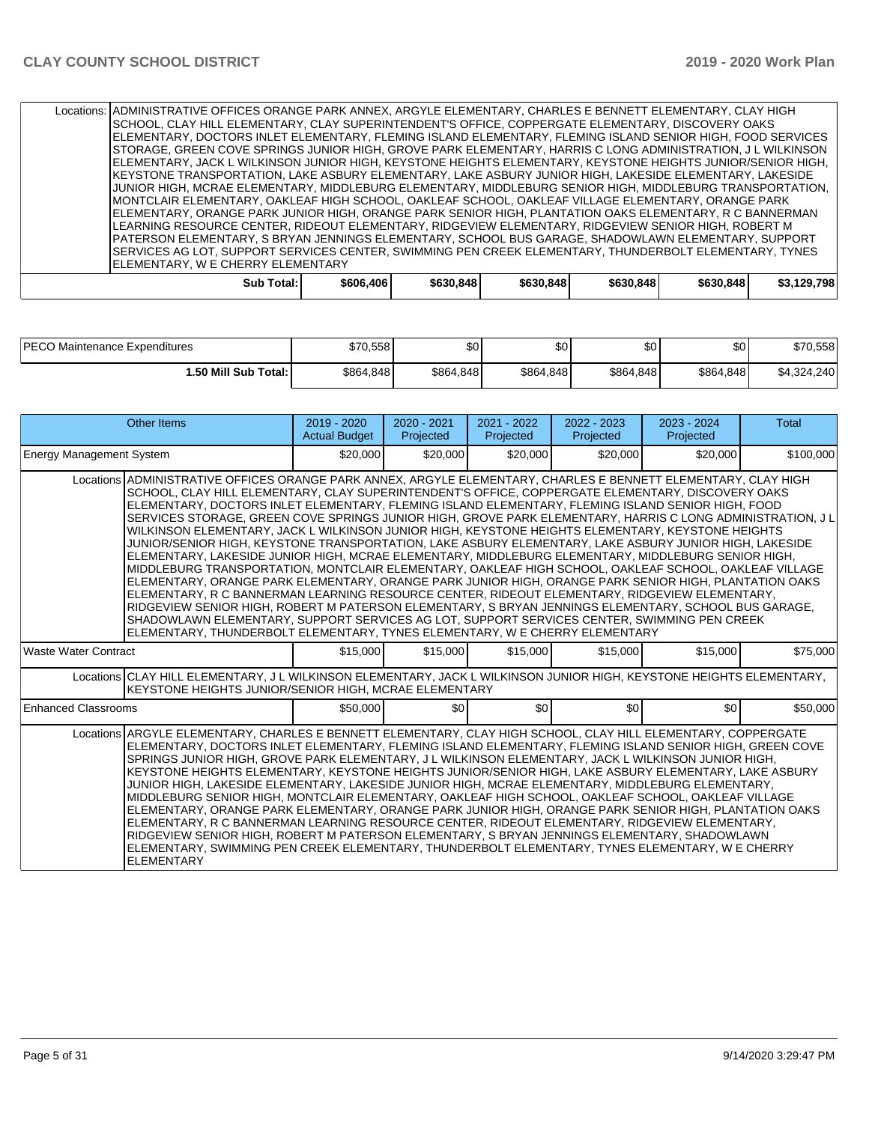|                                                                             |                                                                                                                                                                                                                                                      |  | Locations:   ADMINISTRATIVE OFFICES ORANGE PARK ANNEX, ARGYLE ELEMENTARY, CHARLES E BENNETT ELEMENTARY, CLAY HIGH<br>ISCHOOL, CLAY HILL ELEMENTARY, CLAY SUPERINTENDENT'S OFFICE, COPPERGATE ELEMENTARY, DISCOVERY OAKS<br>ELEMENTARY, DOCTORS INLET ELEMENTARY, FLEMING ISLAND ELEMENTARY, FLEMING ISLAND SENIOR HIGH, FOOD SERVICES<br>STORAGE, GREEN COVE SPRINGS JUNIOR HIGH, GROVE PARK ELEMENTARY, HARRIS C LONG ADMINISTRATION, J L WILKINSON<br>ELEMENTARY, JACK L WILKINSON JUNIOR HIGH, KEYSTONE HEIGHTS ELEMENTARY, KEYSTONE HEIGHTS JUNIOR/SENIOR HIGH,<br>IKEYSTONE TRANSPORTATION, LAKE ASBURY ELEMENTARY, LAKE ASBURY JUNIOR HIGH, LAKESIDE ELEMENTARY, LAKESIDE<br>JUNIOR HIGH, MCRAE ELEMENTARY, MIDDLEBURG ELEMENTARY, MIDDLEBURG SENIOR HIGH, MIDDLEBURG TRANSPORTATION,<br>MONTCLAIR ELEMENTARY, OAKLEAF HIGH SCHOOL, OAKLEAF SCHOOL, OAKLEAF VILLAGE ELEMENTARY, ORANGE PARK<br> ELEMENTARY, ORANGE PARK JUNIOR HIGH, ORANGE PARK SENIOR HIGH, PLANTATION OAKS ELEMENTARY, R C BANNERMAN<br>LEARNING RESOURCE CENTER, RIDEOUT ELEMENTARY, RIDGEVIEW ELEMENTARY, RIDGEVIEW SENIOR HIGH, ROBERT M |  |  |  |             |  |  |
|-----------------------------------------------------------------------------|------------------------------------------------------------------------------------------------------------------------------------------------------------------------------------------------------------------------------------------------------|--|----------------------------------------------------------------------------------------------------------------------------------------------------------------------------------------------------------------------------------------------------------------------------------------------------------------------------------------------------------------------------------------------------------------------------------------------------------------------------------------------------------------------------------------------------------------------------------------------------------------------------------------------------------------------------------------------------------------------------------------------------------------------------------------------------------------------------------------------------------------------------------------------------------------------------------------------------------------------------------------------------------------------------------------------------------------------------------------------------------------------|--|--|--|-------------|--|--|
|                                                                             | PATERSON ELEMENTARY, S BRYAN JENNINGS ELEMENTARY, SCHOOL BUS GARAGE, SHADOWLAWN ELEMENTARY, SUPPORT<br>ISERVICES AG LOT. SUPPORT SERVICES CENTER. SWIMMING PEN CREEK ELEMENTARY, THUNDERBOLT ELEMENTARY, TYNES<br>IELEMENTARY. W E CHERRY ELEMENTARY |  |                                                                                                                                                                                                                                                                                                                                                                                                                                                                                                                                                                                                                                                                                                                                                                                                                                                                                                                                                                                                                                                                                                                      |  |  |  |             |  |  |
| Sub Total:<br>\$606,406<br>\$630.848<br>\$630.848<br>\$630,848<br>\$630.848 |                                                                                                                                                                                                                                                      |  |                                                                                                                                                                                                                                                                                                                                                                                                                                                                                                                                                                                                                                                                                                                                                                                                                                                                                                                                                                                                                                                                                                                      |  |  |  | \$3,129,798 |  |  |

| <b>IPECO Maintenance Expenditures</b> | \$70,5581 | ሶሳ<br>υU  | \$0       | ሶሳ<br>w   | \$0       | \$70,558    |
|---------------------------------------|-----------|-----------|-----------|-----------|-----------|-------------|
| 1.50 Mill Sub Total: I                | \$864,848 | \$864,848 | \$864,848 | \$864,848 | \$864,848 | \$4,324,240 |

| Other Items                                                                                                                                                                                                                                                                                                                                                                                                                                                                                                                                                                                                                                                                                                                                                                                                                                                                                                                                                                                                                                                                                                                                                                                                                                                                                                                                                          | 2019 - 2020<br><b>Actual Budget</b> | $2020 - 2021$<br>Projected | $2021 - 2022$<br>Projected | $2022 - 2023$<br>Projected | 2023 - 2024<br>Projected | Total     |
|----------------------------------------------------------------------------------------------------------------------------------------------------------------------------------------------------------------------------------------------------------------------------------------------------------------------------------------------------------------------------------------------------------------------------------------------------------------------------------------------------------------------------------------------------------------------------------------------------------------------------------------------------------------------------------------------------------------------------------------------------------------------------------------------------------------------------------------------------------------------------------------------------------------------------------------------------------------------------------------------------------------------------------------------------------------------------------------------------------------------------------------------------------------------------------------------------------------------------------------------------------------------------------------------------------------------------------------------------------------------|-------------------------------------|----------------------------|----------------------------|----------------------------|--------------------------|-----------|
| <b>Energy Management System</b>                                                                                                                                                                                                                                                                                                                                                                                                                                                                                                                                                                                                                                                                                                                                                                                                                                                                                                                                                                                                                                                                                                                                                                                                                                                                                                                                      | \$20,000                            | \$20,000                   | \$20,000                   | \$20,000                   | \$20,000                 | \$100,000 |
| Locations ADMINISTRATIVE OFFICES ORANGE PARK ANNEX, ARGYLE ELEMENTARY, CHARLES E BENNETT ELEMENTARY, CLAY HIGH<br>SCHOOL, CLAY HILL ELEMENTARY, CLAY SUPERINTENDENT'S OFFICE, COPPERGATE ELEMENTARY, DISCOVERY OAKS<br>ELEMENTARY, DOCTORS INLET ELEMENTARY, FLEMING ISLAND ELEMENTARY, FLEMING ISLAND SENIOR HIGH, FOOD<br>SERVICES STORAGE, GREEN COVE SPRINGS JUNIOR HIGH, GROVE PARK ELEMENTARY, HARRIS C LONG ADMINISTRATION, J L<br>WILKINSON ELEMENTARY, JACK L WILKINSON JUNIOR HIGH, KEYSTONE HEIGHTS ELEMENTARY, KEYSTONE HEIGHTS<br>JUNIOR/SENIOR HIGH, KEYSTONE TRANSPORTATION, LAKE ASBURY ELEMENTARY, LAKE ASBURY JUNIOR HIGH, LAKESIDE<br>ELEMENTARY, LAKESIDE JUNIOR HIGH, MCRAE ELEMENTARY, MIDDLEBURG ELEMENTARY, MIDDLEBURG SENIOR HIGH,<br>MIDDLEBURG TRANSPORTATION, MONTCLAIR ELEMENTARY, OAKLEAF HIGH SCHOOL, OAKLEAF SCHOOL, OAKLEAF VILLAGE<br>ELEMENTARY, ORANGE PARK ELEMENTARY, ORANGE PARK JUNIOR HIGH, ORANGE PARK SENIOR HIGH, PLANTATION OAKS<br>ELEMENTARY, R C BANNERMAN LEARNING RESOURCE CENTER, RIDEOUT ELEMENTARY, RIDGEVIEW ELEMENTARY,<br>RIDGEVIEW SENIOR HIGH, ROBERT M PATERSON ELEMENTARY, S BRYAN JENNINGS ELEMENTARY, SCHOOL BUS GARAGE,<br>SHADOWLAWN ELEMENTARY, SUPPORT SERVICES AG LOT, SUPPORT SERVICES CENTER, SWIMMING PEN CREEK<br>ELEMENTARY, THUNDERBOLT ELEMENTARY, TYNES ELEMENTARY, W E CHERRY ELEMENTARY |                                     |                            |                            |                            |                          |           |
| <b>Waste Water Contract</b>                                                                                                                                                                                                                                                                                                                                                                                                                                                                                                                                                                                                                                                                                                                                                                                                                                                                                                                                                                                                                                                                                                                                                                                                                                                                                                                                          | \$15,000                            | \$15,000                   | \$15,000                   | \$15,000                   | \$15,000                 | \$75,000  |
| Locations CLAY HILL ELEMENTARY, J L WILKINSON ELEMENTARY, JACK L WILKINSON JUNIOR HIGH, KEYSTONE HEIGHTS ELEMENTARY,<br>KEYSTONE HEIGHTS JUNIOR/SENIOR HIGH, MCRAE ELEMENTARY                                                                                                                                                                                                                                                                                                                                                                                                                                                                                                                                                                                                                                                                                                                                                                                                                                                                                                                                                                                                                                                                                                                                                                                        |                                     |                            |                            |                            |                          |           |
| <b>Enhanced Classrooms</b>                                                                                                                                                                                                                                                                                                                                                                                                                                                                                                                                                                                                                                                                                                                                                                                                                                                                                                                                                                                                                                                                                                                                                                                                                                                                                                                                           | \$50,000                            | \$0                        | \$0                        | \$0 <sub>1</sub>           | \$0 <sub>1</sub>         | \$50,000  |
| Locations ARGYLE ELEMENTARY, CHARLES E BENNETT ELEMENTARY, CLAY HIGH SCHOOL, CLAY HILL ELEMENTARY, COPPERGATE<br>ELEMENTARY, DOCTORS INLET ELEMENTARY, FLEMING ISLAND ELEMENTARY, FLEMING ISLAND SENIOR HIGH, GREEN COVE<br>SPRINGS JUNIOR HIGH, GROVE PARK ELEMENTARY, J L WILKINSON ELEMENTARY, JACK L WILKINSON JUNIOR HIGH,<br>KEYSTONE HEIGHTS ELEMENTARY, KEYSTONE HEIGHTS JUNIOR/SENIOR HIGH, LAKE ASBURY ELEMENTARY, LAKE ASBURY<br>JUNIOR HIGH, LAKESIDE ELEMENTARY, LAKESIDE JUNIOR HIGH, MCRAE ELEMENTARY, MIDDLEBURG ELEMENTARY,<br>MIDDLEBURG SENIOR HIGH, MONTCLAIR ELEMENTARY, OAKLEAF HIGH SCHOOL, OAKLEAF SCHOOL, OAKLEAF VILLAGE<br>ELEMENTARY, ORANGE PARK ELEMENTARY, ORANGE PARK JUNIOR HIGH, ORANGE PARK SENIOR HIGH, PLANTATION OAKS<br>ELEMENTARY, R C BANNERMAN LEARNING RESOURCE CENTER, RIDEOUT ELEMENTARY, RIDGEVIEW ELEMENTARY,<br>RIDGEVIEW SENIOR HIGH, ROBERT M PATERSON ELEMENTARY, S BRYAN JENNINGS ELEMENTARY, SHADOWLAWN<br>ELEMENTARY, SWIMMING PEN CREEK ELEMENTARY, THUNDERBOLT ELEMENTARY, TYNES ELEMENTARY, W E CHERRY<br><b>ELEMENTARY</b>                                                                                                                                                                                                                                                                                 |                                     |                            |                            |                            |                          |           |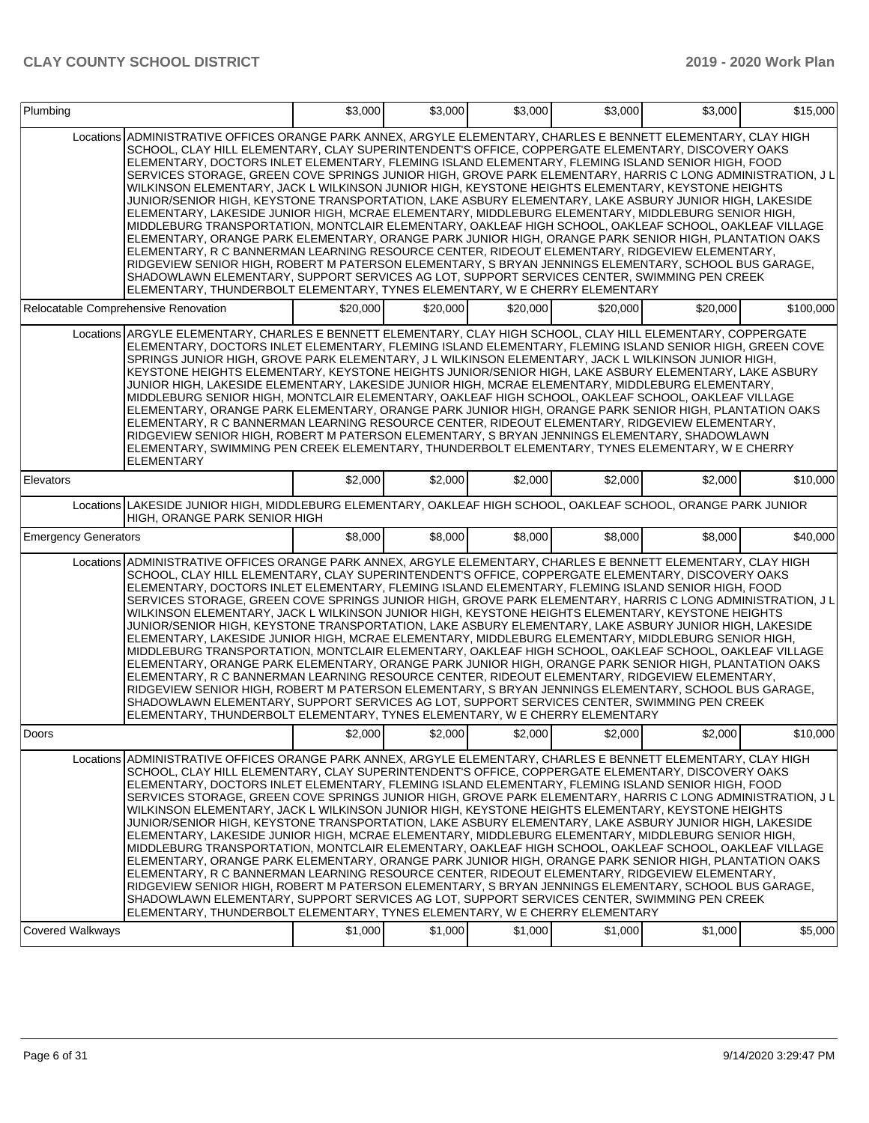| Plumbing                    |                                                                                                                                                                                                                                                                                                                                                                                                                                                                                                                                                                                                                                                                                                                                                                                                                                                                                                                                                                                                                                                                                                                                                                                                                                                                                                                                                                      | \$3,000  | \$3,000            | \$3,000  | \$3,000  | \$3.000  | \$15,000  |
|-----------------------------|----------------------------------------------------------------------------------------------------------------------------------------------------------------------------------------------------------------------------------------------------------------------------------------------------------------------------------------------------------------------------------------------------------------------------------------------------------------------------------------------------------------------------------------------------------------------------------------------------------------------------------------------------------------------------------------------------------------------------------------------------------------------------------------------------------------------------------------------------------------------------------------------------------------------------------------------------------------------------------------------------------------------------------------------------------------------------------------------------------------------------------------------------------------------------------------------------------------------------------------------------------------------------------------------------------------------------------------------------------------------|----------|--------------------|----------|----------|----------|-----------|
|                             | Locations ADMINISTRATIVE OFFICES ORANGE PARK ANNEX, ARGYLE ELEMENTARY, CHARLES E BENNETT ELEMENTARY, CLAY HIGH<br>SCHOOL, CLAY HILL ELEMENTARY, CLAY SUPERINTENDENT'S OFFICE, COPPERGATE ELEMENTARY, DISCOVERY OAKS<br>ELEMENTARY, DOCTORS INLET ELEMENTARY, FLEMING ISLAND ELEMENTARY, FLEMING ISLAND SENIOR HIGH, FOOD<br>SERVICES STORAGE, GREEN COVE SPRINGS JUNIOR HIGH, GROVE PARK ELEMENTARY, HARRIS C LONG ADMINISTRATION, J L<br>WILKINSON ELEMENTARY, JACK L WILKINSON JUNIOR HIGH, KEYSTONE HEIGHTS ELEMENTARY, KEYSTONE HEIGHTS<br>JUNIOR/SENIOR HIGH, KEYSTONE TRANSPORTATION, LAKE ASBURY ELEMENTARY, LAKE ASBURY JUNIOR HIGH, LAKESIDE<br>ELEMENTARY, LAKESIDE JUNIOR HIGH, MCRAE ELEMENTARY, MIDDLEBURG ELEMENTARY, MIDDLEBURG SENIOR HIGH,<br>MIDDLEBURG TRANSPORTATION, MONTCLAIR ELEMENTARY, OAKLEAF HIGH SCHOOL, OAKLEAF SCHOOL, OAKLEAF VILLAGE<br>ELEMENTARY, ORANGE PARK ELEMENTARY, ORANGE PARK JUNIOR HIGH, ORANGE PARK SENIOR HIGH, PLANTATION OAKS<br>ELEMENTARY, R C BANNERMAN LEARNING RESOURCE CENTER, RIDEOUT ELEMENTARY, RIDGEVIEW ELEMENTARY,<br>RIDGEVIEW SENIOR HIGH, ROBERT M PATERSON ELEMENTARY, S BRYAN JENNINGS ELEMENTARY, SCHOOL BUS GARAGE,<br>SHADOWLAWN ELEMENTARY, SUPPORT SERVICES AG LOT, SUPPORT SERVICES CENTER, SWIMMING PEN CREEK<br>ELEMENTARY, THUNDERBOLT ELEMENTARY, TYNES ELEMENTARY, W E CHERRY ELEMENTARY |          |                    |          |          |          |           |
|                             | Relocatable Comprehensive Renovation                                                                                                                                                                                                                                                                                                                                                                                                                                                                                                                                                                                                                                                                                                                                                                                                                                                                                                                                                                                                                                                                                                                                                                                                                                                                                                                                 | \$20,000 | \$20,000           | \$20,000 | \$20,000 | \$20,000 | \$100,000 |
|                             | Locations ARGYLE ELEMENTARY, CHARLES E BENNETT ELEMENTARY, CLAY HIGH SCHOOL, CLAY HILL ELEMENTARY, COPPERGATE<br>ELEMENTARY, DOCTORS INLET ELEMENTARY, FLEMING ISLAND ELEMENTARY, FLEMING ISLAND SENIOR HIGH, GREEN COVE<br>SPRINGS JUNIOR HIGH, GROVE PARK ELEMENTARY, J L WILKINSON ELEMENTARY, JACK L WILKINSON JUNIOR HIGH,<br>KEYSTONE HEIGHTS ELEMENTARY, KEYSTONE HEIGHTS JUNIOR/SENIOR HIGH, LAKE ASBURY ELEMENTARY, LAKE ASBURY<br>JUNIOR HIGH, LAKESIDE ELEMENTARY, LAKESIDE JUNIOR HIGH, MCRAE ELEMENTARY, MIDDLEBURG ELEMENTARY,<br>MIDDLEBURG SENIOR HIGH, MONTCLAIR ELEMENTARY, OAKLEAF HIGH SCHOOL, OAKLEAF SCHOOL, OAKLEAF VILLAGE<br>ELEMENTARY, ORANGE PARK ELEMENTARY, ORANGE PARK JUNIOR HIGH, ORANGE PARK SENIOR HIGH, PLANTATION OAKS<br>ELEMENTARY, R C BANNERMAN LEARNING RESOURCE CENTER, RIDEOUT ELEMENTARY, RIDGEVIEW ELEMENTARY,<br>RIDGEVIEW SENIOR HIGH, ROBERT M PATERSON ELEMENTARY, S BRYAN JENNINGS ELEMENTARY, SHADOWLAWN<br>ELEMENTARY, SWIMMING PEN CREEK ELEMENTARY, THUNDERBOLT ELEMENTARY, TYNES ELEMENTARY, W E CHERRY<br><b>ELEMENTARY</b>                                                                                                                                                                                                                                                                                 |          |                    |          |          |          |           |
| Elevators                   |                                                                                                                                                                                                                                                                                                                                                                                                                                                                                                                                                                                                                                                                                                                                                                                                                                                                                                                                                                                                                                                                                                                                                                                                                                                                                                                                                                      | \$2,000  | \$2,000            | \$2,000  | \$2,000  | \$2,000  | \$10,000  |
|                             | Locations LAKESIDE JUNIOR HIGH, MIDDLEBURG ELEMENTARY, OAKLEAF HIGH SCHOOL, OAKLEAF SCHOOL, ORANGE PARK JUNIOR<br>HIGH, ORANGE PARK SENIOR HIGH                                                                                                                                                                                                                                                                                                                                                                                                                                                                                                                                                                                                                                                                                                                                                                                                                                                                                                                                                                                                                                                                                                                                                                                                                      |          |                    |          |          |          |           |
| <b>Emergency Generators</b> |                                                                                                                                                                                                                                                                                                                                                                                                                                                                                                                                                                                                                                                                                                                                                                                                                                                                                                                                                                                                                                                                                                                                                                                                                                                                                                                                                                      | \$8,000  | \$8,000            | \$8,000  | \$8,000  | \$8,000  | \$40,000  |
|                             | Locations ADMINISTRATIVE OFFICES ORANGE PARK ANNEX, ARGYLE ELEMENTARY, CHARLES E BENNETT ELEMENTARY, CLAY HIGH<br>SCHOOL, CLAY HILL ELEMENTARY, CLAY SUPERINTENDENT'S OFFICE, COPPERGATE ELEMENTARY, DISCOVERY OAKS<br>ELEMENTARY, DOCTORS INLET ELEMENTARY, FLEMING ISLAND ELEMENTARY, FLEMING ISLAND SENIOR HIGH, FOOD<br>SERVICES STORAGE, GREEN COVE SPRINGS JUNIOR HIGH, GROVE PARK ELEMENTARY, HARRIS C LONG ADMINISTRATION, J L<br>WILKINSON ELEMENTARY, JACK L WILKINSON JUNIOR HIGH, KEYSTONE HEIGHTS ELEMENTARY, KEYSTONE HEIGHTS<br>JUNIOR/SENIOR HIGH, KEYSTONE TRANSPORTATION, LAKE ASBURY ELEMENTARY, LAKE ASBURY JUNIOR HIGH, LAKESIDE<br>ELEMENTARY, LAKESIDE JUNIOR HIGH, MCRAE ELEMENTARY, MIDDLEBURG ELEMENTARY, MIDDLEBURG SENIOR HIGH,<br>MIDDLEBURG TRANSPORTATION, MONTCLAIR ELEMENTARY, OAKLEAF HIGH SCHOOL, OAKLEAF SCHOOL, OAKLEAF VILLAGE<br>ELEMENTARY, ORANGE PARK ELEMENTARY, ORANGE PARK JUNIOR HIGH, ORANGE PARK SENIOR HIGH, PLANTATION OAKS<br>ELEMENTARY, R C BANNERMAN LEARNING RESOURCE CENTER, RIDEOUT ELEMENTARY, RIDGEVIEW ELEMENTARY,<br>RIDGEVIEW SENIOR HIGH, ROBERT M PATERSON ELEMENTARY, S BRYAN JENNINGS ELEMENTARY, SCHOOL BUS GARAGE,<br>SHADOWLAWN ELEMENTARY, SUPPORT SERVICES AG LOT, SUPPORT SERVICES CENTER, SWIMMING PEN CREEK<br>ELEMENTARY, THUNDERBOLT ELEMENTARY, TYNES ELEMENTARY, W E CHERRY ELEMENTARY |          |                    |          |          |          |           |
| Doors                       |                                                                                                                                                                                                                                                                                                                                                                                                                                                                                                                                                                                                                                                                                                                                                                                                                                                                                                                                                                                                                                                                                                                                                                                                                                                                                                                                                                      |          | \$2,000<br>\$2,000 | \$2,000  | \$2,000  | \$2,000  | \$10,000  |
|                             | Locations ADMINISTRATIVE OFFICES ORANGE PARK ANNEX, ARGYLE ELEMENTARY, CHARLES E BENNETT ELEMENTARY, CLAY HIGH<br>SCHOOL, CLAY HILL ELEMENTARY, CLAY SUPERINTENDENT'S OFFICE, COPPERGATE ELEMENTARY, DISCOVERY OAKS<br>ELEMENTARY, DOCTORS INLET ELEMENTARY, FLEMING ISLAND ELEMENTARY, FLEMING ISLAND SENIOR HIGH, FOOD<br>SERVICES STORAGE, GREEN COVE SPRINGS JUNIOR HIGH, GROVE PARK ELEMENTARY, HARRIS C LONG ADMINISTRATION, J L<br>WILKINSON ELEMENTARY, JACK L WILKINSON JUNIOR HIGH, KEYSTONE HEIGHTS ELEMENTARY, KEYSTONE HEIGHTS<br>JUNIOR/SENIOR HIGH, KEYSTONE TRANSPORTATION, LAKE ASBURY ELEMENTARY, LAKE ASBURY JUNIOR HIGH, LAKESIDE<br>ELEMENTARY, LAKESIDE JUNIOR HIGH, MCRAE ELEMENTARY, MIDDLEBURG ELEMENTARY, MIDDLEBURG SENIOR HIGH,<br>MIDDLEBURG TRANSPORTATION, MONTCLAIR ELEMENTARY, OAKLEAF HIGH SCHOOL, OAKLEAF SCHOOL, OAKLEAF VILLAGE<br>ELEMENTARY, ORANGE PARK ELEMENTARY, ORANGE PARK JUNIOR HIGH, ORANGE PARK SENIOR HIGH, PLANTATION OAKS<br>ELEMENTARY, R C BANNERMAN LEARNING RESOURCE CENTER, RIDEOUT ELEMENTARY, RIDGEVIEW ELEMENTARY,<br>RIDGEVIEW SENIOR HIGH, ROBERT M PATERSON ELEMENTARY, S BRYAN JENNINGS ELEMENTARY, SCHOOL BUS GARAGE,<br>SHADOWLAWN ELEMENTARY, SUPPORT SERVICES AG LOT, SUPPORT SERVICES CENTER, SWIMMING PEN CREEK<br>ELEMENTARY, THUNDERBOLT ELEMENTARY, TYNES ELEMENTARY, W E CHERRY ELEMENTARY |          |                    |          |          |          |           |
| <b>Covered Walkways</b>     |                                                                                                                                                                                                                                                                                                                                                                                                                                                                                                                                                                                                                                                                                                                                                                                                                                                                                                                                                                                                                                                                                                                                                                                                                                                                                                                                                                      | \$1,000  | \$1,000            | \$1,000  | \$1,000  | \$1,000  | \$5,000   |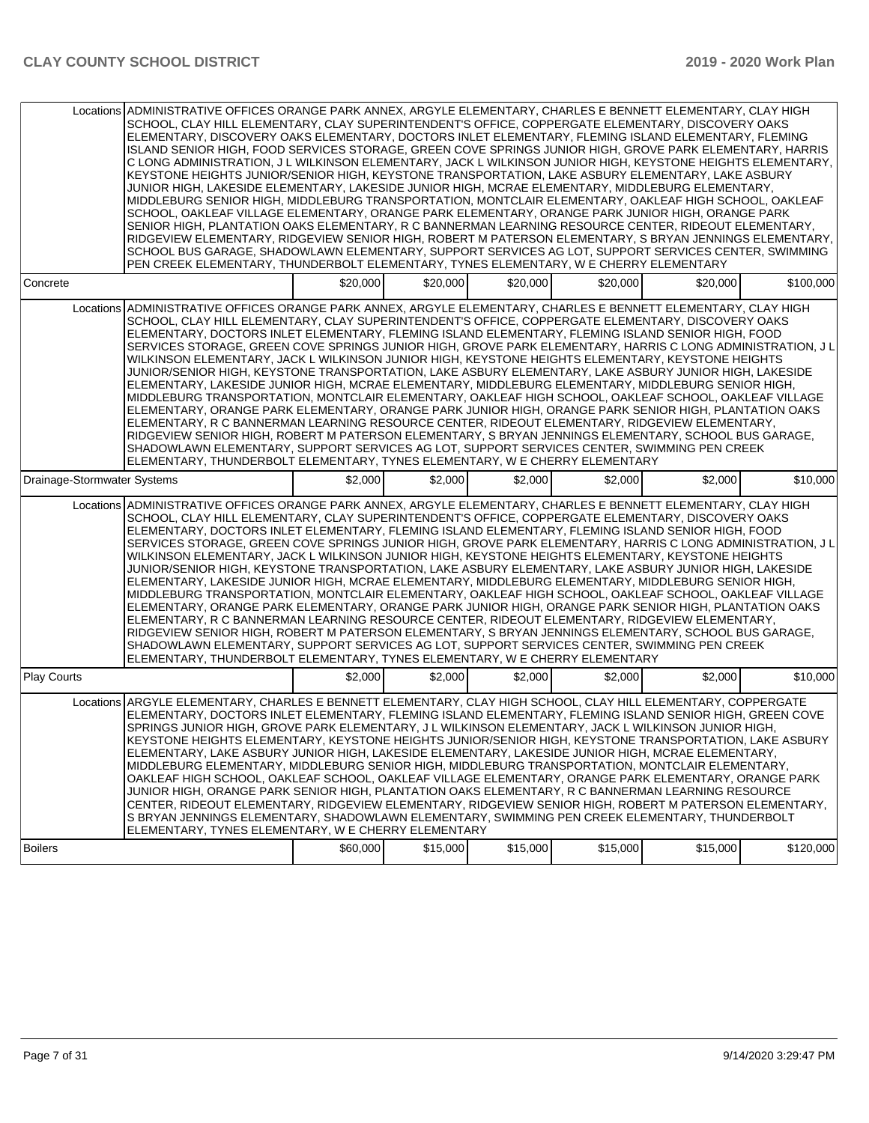|                             | Locations ADMINISTRATIVE OFFICES ORANGE PARK ANNEX, ARGYLE ELEMENTARY, CHARLES E BENNETT ELEMENTARY, CLAY HIGH<br>SCHOOL, CLAY HILL ELEMENTARY, CLAY SUPERINTENDENT'S OFFICE, COPPERGATE ELEMENTARY, DISCOVERY OAKS<br>ELEMENTARY, DISCOVERY OAKS ELEMENTARY, DOCTORS INLET ELEMENTARY, FLEMING ISLAND ELEMENTARY, FLEMING<br>ISLAND SENIOR HIGH, FOOD SERVICES STORAGE, GREEN COVE SPRINGS JUNIOR HIGH, GROVE PARK ELEMENTARY, HARRIS<br>C LONG ADMINISTRATION, J L WILKINSON ELEMENTARY, JACK L WILKINSON JUNIOR HIGH, KEYSTONE HEIGHTS ELEMENTARY,<br>KEYSTONE HEIGHTS JUNIOR/SENIOR HIGH, KEYSTONE TRANSPORTATION, LAKE ASBURY ELEMENTARY, LAKE ASBURY<br>JUNIOR HIGH, LAKESIDE ELEMENTARY, LAKESIDE JUNIOR HIGH, MCRAE ELEMENTARY, MIDDLEBURG ELEMENTARY,<br>MIDDLEBURG SENIOR HIGH, MIDDLEBURG TRANSPORTATION, MONTCLAIR ELEMENTARY, OAKLEAF HIGH SCHOOL, OAKLEAF<br>SCHOOL, OAKLEAF VILLAGE ELEMENTARY, ORANGE PARK ELEMENTARY, ORANGE PARK JUNIOR HIGH, ORANGE PARK<br>SENIOR HIGH, PLANTATION OAKS ELEMENTARY, R C BANNERMAN LEARNING RESOURCE CENTER, RIDEOUT ELEMENTARY,<br>RIDGEVIEW ELEMENTARY, RIDGEVIEW SENIOR HIGH, ROBERT M PATERSON ELEMENTARY, S BRYAN JENNINGS ELEMENTARY,<br>SCHOOL BUS GARAGE, SHADOWLAWN ELEMENTARY, SUPPORT SERVICES AG LOT, SUPPORT SERVICES CENTER, SWIMMING<br>PEN CREEK ELEMENTARY, THUNDERBOLT ELEMENTARY, TYNES ELEMENTARY, W E CHERRY ELEMENTARY |          |          |          |          |          |           |
|-----------------------------|-------------------------------------------------------------------------------------------------------------------------------------------------------------------------------------------------------------------------------------------------------------------------------------------------------------------------------------------------------------------------------------------------------------------------------------------------------------------------------------------------------------------------------------------------------------------------------------------------------------------------------------------------------------------------------------------------------------------------------------------------------------------------------------------------------------------------------------------------------------------------------------------------------------------------------------------------------------------------------------------------------------------------------------------------------------------------------------------------------------------------------------------------------------------------------------------------------------------------------------------------------------------------------------------------------------------------------------------------------------------------------------------------|----------|----------|----------|----------|----------|-----------|
| Concrete                    |                                                                                                                                                                                                                                                                                                                                                                                                                                                                                                                                                                                                                                                                                                                                                                                                                                                                                                                                                                                                                                                                                                                                                                                                                                                                                                                                                                                                 | \$20,000 | \$20,000 | \$20,000 | \$20,000 | \$20,000 | \$100,000 |
|                             | Locations ADMINISTRATIVE OFFICES ORANGE PARK ANNEX, ARGYLE ELEMENTARY, CHARLES E BENNETT ELEMENTARY, CLAY HIGH<br>SCHOOL, CLAY HILL ELEMENTARY, CLAY SUPERINTENDENT'S OFFICE, COPPERGATE ELEMENTARY, DISCOVERY OAKS<br>ELEMENTARY, DOCTORS INLET ELEMENTARY, FLEMING ISLAND ELEMENTARY, FLEMING ISLAND SENIOR HIGH, FOOD<br>SERVICES STORAGE, GREEN COVE SPRINGS JUNIOR HIGH, GROVE PARK ELEMENTARY, HARRIS C LONG ADMINISTRATION, J L<br>WILKINSON ELEMENTARY, JACK L WILKINSON JUNIOR HIGH, KEYSTONE HEIGHTS ELEMENTARY, KEYSTONE HEIGHTS<br>JUNIOR/SENIOR HIGH, KEYSTONE TRANSPORTATION, LAKE ASBURY ELEMENTARY, LAKE ASBURY JUNIOR HIGH, LAKESIDE<br>ELEMENTARY. LAKESIDE JUNIOR HIGH. MCRAE ELEMENTARY. MIDDLEBURG ELEMENTARY. MIDDLEBURG SENIOR HIGH.<br>MIDDLEBURG TRANSPORTATION, MONTCLAIR ELEMENTARY, OAKLEAF HIGH SCHOOL, OAKLEAF SCHOOL, OAKLEAF VILLAGE<br>ELEMENTARY, ORANGE PARK ELEMENTARY, ORANGE PARK JUNIOR HIGH, ORANGE PARK SENIOR HIGH, PLANTATION OAKS<br>ELEMENTARY, R C BANNERMAN LEARNING RESOURCE CENTER, RIDEOUT ELEMENTARY, RIDGEVIEW ELEMENTARY,<br>RIDGEVIEW SENIOR HIGH, ROBERT M PATERSON ELEMENTARY, S BRYAN JENNINGS ELEMENTARY, SCHOOL BUS GARAGE,<br>SHADOWLAWN ELEMENTARY, SUPPORT SERVICES AG LOT, SUPPORT SERVICES CENTER, SWIMMING PEN CREEK<br>ELEMENTARY, THUNDERBOLT ELEMENTARY, TYNES ELEMENTARY, W E CHERRY ELEMENTARY                            |          |          |          |          |          |           |
| Drainage-Stormwater Systems |                                                                                                                                                                                                                                                                                                                                                                                                                                                                                                                                                                                                                                                                                                                                                                                                                                                                                                                                                                                                                                                                                                                                                                                                                                                                                                                                                                                                 | \$2,000  | \$2,000  | \$2,000  | \$2,000  | \$2,000  | \$10,000  |
|                             | Locations ADMINISTRATIVE OFFICES ORANGE PARK ANNEX, ARGYLE ELEMENTARY, CHARLES E BENNETT ELEMENTARY, CLAY HIGH<br>SCHOOL, CLAY HILL ELEMENTARY, CLAY SUPERINTENDENT'S OFFICE, COPPERGATE ELEMENTARY, DISCOVERY OAKS<br>ELEMENTARY, DOCTORS INLET ELEMENTARY, FLEMING ISLAND ELEMENTARY, FLEMING ISLAND SENIOR HIGH, FOOD<br>SERVICES STORAGE, GREEN COVE SPRINGS JUNIOR HIGH, GROVE PARK ELEMENTARY, HARRIS C LONG ADMINISTRATION, J L<br>WILKINSON ELEMENTARY, JACK L WILKINSON JUNIOR HIGH, KEYSTONE HEIGHTS ELEMENTARY, KEYSTONE HEIGHTS<br>JUNIOR/SENIOR HIGH, KEYSTONE TRANSPORTATION, LAKE ASBURY ELEMENTARY, LAKE ASBURY JUNIOR HIGH, LAKESIDE<br>ELEMENTARY, LAKESIDE JUNIOR HIGH, MCRAE ELEMENTARY, MIDDLEBURG ELEMENTARY, MIDDLEBURG SENIOR HIGH,<br>MIDDLEBURG TRANSPORTATION, MONTCLAIR ELEMENTARY, OAKLEAF HIGH SCHOOL, OAKLEAF SCHOOL, OAKLEAF VILLAGE<br>ELEMENTARY, ORANGE PARK ELEMENTARY, ORANGE PARK JUNIOR HIGH, ORANGE PARK SENIOR HIGH, PLANTATION OAKS<br>ELEMENTARY, R C BANNERMAN LEARNING RESOURCE CENTER, RIDEOUT ELEMENTARY, RIDGEVIEW ELEMENTARY,<br>RIDGEVIEW SENIOR HIGH, ROBERT M PATERSON ELEMENTARY, S BRYAN JENNINGS ELEMENTARY, SCHOOL BUS GARAGE,<br>SHADOWLAWN ELEMENTARY, SUPPORT SERVICES AG LOT, SUPPORT SERVICES CENTER, SWIMMING PEN CREEK<br>ELEMENTARY, THUNDERBOLT ELEMENTARY, TYNES ELEMENTARY, W E CHERRY ELEMENTARY                            |          |          |          |          |          |           |
| Play Courts                 |                                                                                                                                                                                                                                                                                                                                                                                                                                                                                                                                                                                                                                                                                                                                                                                                                                                                                                                                                                                                                                                                                                                                                                                                                                                                                                                                                                                                 | \$2,000  | \$2,000  | \$2,000  | \$2,000  | \$2,000  | \$10,000  |
| <b>Boilers</b>              | Locations ARGYLE ELEMENTARY, CHARLES E BENNETT ELEMENTARY, CLAY HIGH SCHOOL, CLAY HILL ELEMENTARY, COPPERGATE<br>ELEMENTARY, DOCTORS INLET ELEMENTARY, FLEMING ISLAND ELEMENTARY, FLEMING ISLAND SENIOR HIGH, GREEN COVE<br>SPRINGS JUNIOR HIGH, GROVE PARK ELEMENTARY, J L WILKINSON ELEMENTARY, JACK L WILKINSON JUNIOR HIGH,<br>KEYSTONE HEIGHTS ELEMENTARY, KEYSTONE HEIGHTS JUNIOR/SENIOR HIGH, KEYSTONE TRANSPORTATION, LAKE ASBURY<br>ELEMENTARY, LAKE ASBURY JUNIOR HIGH, LAKESIDE ELEMENTARY, LAKESIDE JUNIOR HIGH, MCRAE ELEMENTARY,<br>MIDDLEBURG ELEMENTARY. MIDDLEBURG SENIOR HIGH. MIDDLEBURG TRANSPORTATION. MONTCLAIR ELEMENTARY.<br>OAKLEAF HIGH SCHOOL, OAKLEAF SCHOOL, OAKLEAF VILLAGE ELEMENTARY, ORANGE PARK ELEMENTARY, ORANGE PARK<br>JUNIOR HIGH, ORANGE PARK SENIOR HIGH, PLANTATION OAKS ELEMENTARY, R C BANNERMAN LEARNING RESOURCE<br>CENTER, RIDEOUT ELEMENTARY, RIDGEVIEW ELEMENTARY, RIDGEVIEW SENIOR HIGH, ROBERT M PATERSON ELEMENTARY,<br>S BRYAN JENNINGS ELEMENTARY, SHADOWLAWN ELEMENTARY, SWIMMING PEN CREEK ELEMENTARY, THUNDERBOLT<br>ELEMENTARY, TYNES ELEMENTARY, W E CHERRY ELEMENTARY                                                                                                                                                                                                                                                               | \$60,000 | \$15,000 | \$15,000 | \$15,000 | \$15,000 | \$120,000 |
|                             |                                                                                                                                                                                                                                                                                                                                                                                                                                                                                                                                                                                                                                                                                                                                                                                                                                                                                                                                                                                                                                                                                                                                                                                                                                                                                                                                                                                                 |          |          |          |          |          |           |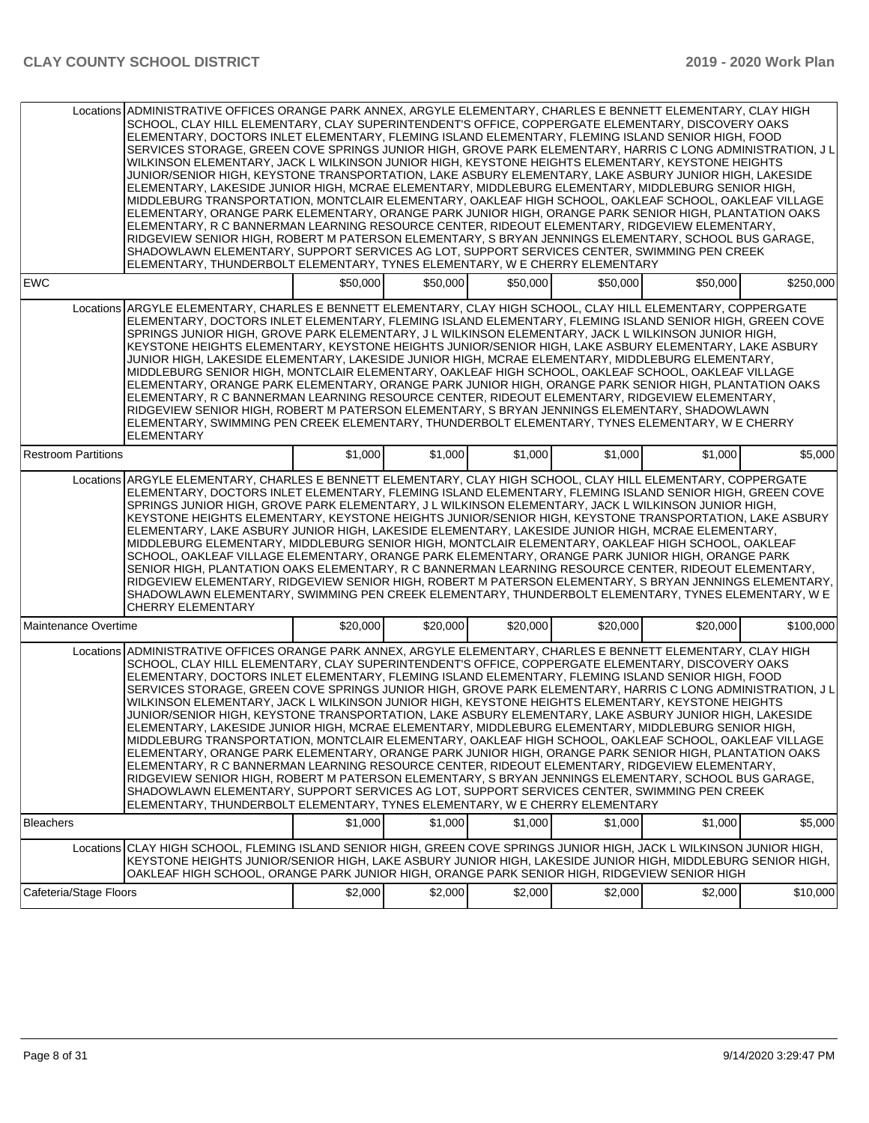|                            | Locations ADMINISTRATIVE OFFICES ORANGE PARK ANNEX, ARGYLE ELEMENTARY, CHARLES E BENNETT ELEMENTARY, CLAY HIGH<br>SCHOOL, CLAY HILL ELEMENTARY, CLAY SUPERINTENDENT'S OFFICE, COPPERGATE ELEMENTARY, DISCOVERY OAKS<br>ELEMENTARY, DOCTORS INLET ELEMENTARY, FLEMING ISLAND ELEMENTARY, FLEMING ISLAND SENIOR HIGH, FOOD<br>SERVICES STORAGE, GREEN COVE SPRINGS JUNIOR HIGH, GROVE PARK ELEMENTARY, HARRIS C LONG ADMINISTRATION, J L<br>WILKINSON ELEMENTARY, JACK L WILKINSON JUNIOR HIGH, KEYSTONE HEIGHTS ELEMENTARY, KEYSTONE HEIGHTS<br>JUNIOR/SENIOR HIGH, KEYSTONE TRANSPORTATION, LAKE ASBURY ELEMENTARY, LAKE ASBURY JUNIOR HIGH, LAKESIDE<br>ELEMENTARY, LAKESIDE JUNIOR HIGH, MCRAE ELEMENTARY, MIDDLEBURG ELEMENTARY, MIDDLEBURG SENIOR HIGH,<br>MIDDLEBURG TRANSPORTATION, MONTCLAIR ELEMENTARY, OAKLEAF HIGH SCHOOL, OAKLEAF SCHOOL, OAKLEAF VILLAGE<br>ELEMENTARY, ORANGE PARK ELEMENTARY, ORANGE PARK JUNIOR HIGH, ORANGE PARK SENIOR HIGH, PLANTATION OAKS<br>ELEMENTARY, R C BANNERMAN LEARNING RESOURCE CENTER, RIDEOUT ELEMENTARY, RIDGEVIEW ELEMENTARY,<br>RIDGEVIEW SENIOR HIGH, ROBERT M PATERSON ELEMENTARY, S BRYAN JENNINGS ELEMENTARY, SCHOOL BUS GARAGE,<br>SHADOWLAWN ELEMENTARY, SUPPORT SERVICES AG LOT, SUPPORT SERVICES CENTER, SWIMMING PEN CREEK<br>ELEMENTARY, THUNDERBOLT ELEMENTARY, TYNES ELEMENTARY, W E CHERRY ELEMENTARY |          |          |          |          |          |           |
|----------------------------|----------------------------------------------------------------------------------------------------------------------------------------------------------------------------------------------------------------------------------------------------------------------------------------------------------------------------------------------------------------------------------------------------------------------------------------------------------------------------------------------------------------------------------------------------------------------------------------------------------------------------------------------------------------------------------------------------------------------------------------------------------------------------------------------------------------------------------------------------------------------------------------------------------------------------------------------------------------------------------------------------------------------------------------------------------------------------------------------------------------------------------------------------------------------------------------------------------------------------------------------------------------------------------------------------------------------------------------------------------------------|----------|----------|----------|----------|----------|-----------|
| <b>EWC</b>                 |                                                                                                                                                                                                                                                                                                                                                                                                                                                                                                                                                                                                                                                                                                                                                                                                                                                                                                                                                                                                                                                                                                                                                                                                                                                                                                                                                                      | \$50,000 | \$50,000 | \$50,000 | \$50,000 | \$50,000 | \$250,000 |
|                            | Locations ARGYLE ELEMENTARY, CHARLES E BENNETT ELEMENTARY, CLAY HIGH SCHOOL, CLAY HILL ELEMENTARY, COPPERGATE<br>ELEMENTARY, DOCTORS INLET ELEMENTARY, FLEMING ISLAND ELEMENTARY, FLEMING ISLAND SENIOR HIGH, GREEN COVE<br>SPRINGS JUNIOR HIGH, GROVE PARK ELEMENTARY, J L WILKINSON ELEMENTARY, JACK L WILKINSON JUNIOR HIGH,<br>KEYSTONE HEIGHTS ELEMENTARY, KEYSTONE HEIGHTS JUNIOR/SENIOR HIGH, LAKE ASBURY ELEMENTARY, LAKE ASBURY<br>JUNIOR HIGH, LAKESIDE ELEMENTARY, LAKESIDE JUNIOR HIGH, MCRAE ELEMENTARY, MIDDLEBURG ELEMENTARY,<br>MIDDLEBURG SENIOR HIGH, MONTCLAIR ELEMENTARY, OAKLEAF HIGH SCHOOL, OAKLEAF SCHOOL, OAKLEAF VILLAGE<br>ELEMENTARY, ORANGE PARK ELEMENTARY, ORANGE PARK JUNIOR HIGH, ORANGE PARK SENIOR HIGH, PLANTATION OAKS<br>ELEMENTARY, R C BANNERMAN LEARNING RESOURCE CENTER, RIDEOUT ELEMENTARY, RIDGEVIEW ELEMENTARY,<br>RIDGEVIEW SENIOR HIGH, ROBERT M PATERSON ELEMENTARY, S BRYAN JENNINGS ELEMENTARY, SHADOWLAWN<br>ELEMENTARY, SWIMMING PEN CREEK ELEMENTARY, THUNDERBOLT ELEMENTARY, TYNES ELEMENTARY, W E CHERRY<br>ELEMENTARY                                                                                                                                                                                                                                                                                        |          |          |          |          |          |           |
| <b>Restroom Partitions</b> |                                                                                                                                                                                                                                                                                                                                                                                                                                                                                                                                                                                                                                                                                                                                                                                                                                                                                                                                                                                                                                                                                                                                                                                                                                                                                                                                                                      | \$1,000  | \$1,000  | \$1,000  | \$1,000  | \$1,000  | \$5,000   |
|                            | Locations ARGYLE ELEMENTARY, CHARLES E BENNETT ELEMENTARY, CLAY HIGH SCHOOL, CLAY HILL ELEMENTARY, COPPERGATE<br>ELEMENTARY, DOCTORS INLET ELEMENTARY, FLEMING ISLAND ELEMENTARY, FLEMING ISLAND SENIOR HIGH, GREEN COVE<br>SPRINGS JUNIOR HIGH, GROVE PARK ELEMENTARY, J L WILKINSON ELEMENTARY, JACK L WILKINSON JUNIOR HIGH,<br>KEYSTONE HEIGHTS ELEMENTARY, KEYSTONE HEIGHTS JUNIOR/SENIOR HIGH, KEYSTONE TRANSPORTATION, LAKE ASBURY<br>ELEMENTARY, LAKE ASBURY JUNIOR HIGH, LAKESIDE ELEMENTARY, LAKESIDE JUNIOR HIGH, MCRAE ELEMENTARY,<br>MIDDLEBURG ELEMENTARY, MIDDLEBURG SENIOR HIGH, MONTCLAIR ELEMENTARY, OAKLEAF HIGH SCHOOL, OAKLEAF<br>SCHOOL, OAKLEAF VILLAGE ELEMENTARY, ORANGE PARK ELEMENTARY, ORANGE PARK JUNIOR HIGH, ORANGE PARK<br>SENIOR HIGH, PLANTATION OAKS ELEMENTARY, R C BANNERMAN LEARNING RESOURCE CENTER, RIDEOUT ELEMENTARY,<br>RIDGEVIEW ELEMENTARY, RIDGEVIEW SENIOR HIGH, ROBERT M PATERSON ELEMENTARY, S BRYAN JENNINGS ELEMENTARY,<br>SHADOWLAWN ELEMENTARY, SWIMMING PEN CREEK ELEMENTARY, THUNDERBOLT ELEMENTARY, TYNES ELEMENTARY, W E<br><b>CHERRY ELEMENTARY</b>                                                                                                                                                                                                                                                        |          |          |          |          |          |           |
| Maintenance Overtime       |                                                                                                                                                                                                                                                                                                                                                                                                                                                                                                                                                                                                                                                                                                                                                                                                                                                                                                                                                                                                                                                                                                                                                                                                                                                                                                                                                                      | \$20,000 | \$20,000 | \$20,000 | \$20,000 | \$20,000 | \$100,000 |
|                            | Locations ADMINISTRATIVE OFFICES ORANGE PARK ANNEX, ARGYLE ELEMENTARY, CHARLES E BENNETT ELEMENTARY, CLAY HIGH<br>SCHOOL, CLAY HILL ELEMENTARY, CLAY SUPERINTENDENT'S OFFICE, COPPERGATE ELEMENTARY, DISCOVERY OAKS<br>ELEMENTARY, DOCTORS INLET ELEMENTARY, FLEMING ISLAND ELEMENTARY, FLEMING ISLAND SENIOR HIGH, FOOD<br>SERVICES STORAGE, GREEN COVE SPRINGS JUNIOR HIGH, GROVE PARK ELEMENTARY, HARRIS C LONG ADMINISTRATION, J L<br>WILKINSON ELEMENTARY, JACK L WILKINSON JUNIOR HIGH, KEYSTONE HEIGHTS ELEMENTARY, KEYSTONE HEIGHTS<br>JUNIOR/SENIOR HIGH, KEYSTONE TRANSPORTATION, LAKE ASBURY ELEMENTARY, LAKE ASBURY JUNIOR HIGH, LAKESIDE<br>ELEMENTARY, LAKESIDE JUNIOR HIGH, MCRAE ELEMENTARY, MIDDLEBURG ELEMENTARY, MIDDLEBURG SENIOR HIGH,<br>MIDDLEBURG TRANSPORTATION, MONTCLAIR ELEMENTARY, OAKLEAF HIGH SCHOOL, OAKLEAF SCHOOL, OAKLEAF VILLAGE<br>ELEMENTARY, ORANGE PARK ELEMENTARY, ORANGE PARK JUNIOR HIGH, ORANGE PARK SENIOR HIGH, PLANTATION OAKS<br>ELEMENTARY, R C BANNERMAN LEARNING RESOURCE CENTER, RIDEOUT ELEMENTARY, RIDGEVIEW ELEMENTARY,<br>RIDGEVIEW SENIOR HIGH, ROBERT M PATERSON ELEMENTARY, S BRYAN JENNINGS ELEMENTARY, SCHOOL BUS GARAGE,<br>SHADOWLAWN ELEMENTARY, SUPPORT SERVICES AG LOT, SUPPORT SERVICES CENTER, SWIMMING PEN CREEK<br>ELEMENTARY, THUNDERBOLT ELEMENTARY, TYNES ELEMENTARY, W E CHERRY ELEMENTARY |          |          |          |          |          |           |
| <b>Bleachers</b>           |                                                                                                                                                                                                                                                                                                                                                                                                                                                                                                                                                                                                                                                                                                                                                                                                                                                                                                                                                                                                                                                                                                                                                                                                                                                                                                                                                                      | \$1,000  | \$1,000  | \$1,000  | \$1,000  | \$1,000  | \$5,000   |
|                            | Locations CLAY HIGH SCHOOL, FLEMING ISLAND SENIOR HIGH, GREEN COVE SPRINGS JUNIOR HIGH, JACK L WILKINSON JUNIOR HIGH,<br>KEYSTONE HEIGHTS JUNIOR/SENIOR HIGH, LAKE ASBURY JUNIOR HIGH, LAKESIDE JUNIOR HIGH, MIDDLEBURG SENIOR HIGH,<br>OAKLEAF HIGH SCHOOL, ORANGE PARK JUNIOR HIGH, ORANGE PARK SENIOR HIGH, RIDGEVIEW SENIOR HIGH                                                                                                                                                                                                                                                                                                                                                                                                                                                                                                                                                                                                                                                                                                                                                                                                                                                                                                                                                                                                                                 |          |          |          |          |          |           |
| Cafeteria/Stage Floors     |                                                                                                                                                                                                                                                                                                                                                                                                                                                                                                                                                                                                                                                                                                                                                                                                                                                                                                                                                                                                                                                                                                                                                                                                                                                                                                                                                                      | \$2,000  | \$2,000  | \$2,000  | \$2,000  | \$2,000  | \$10,000  |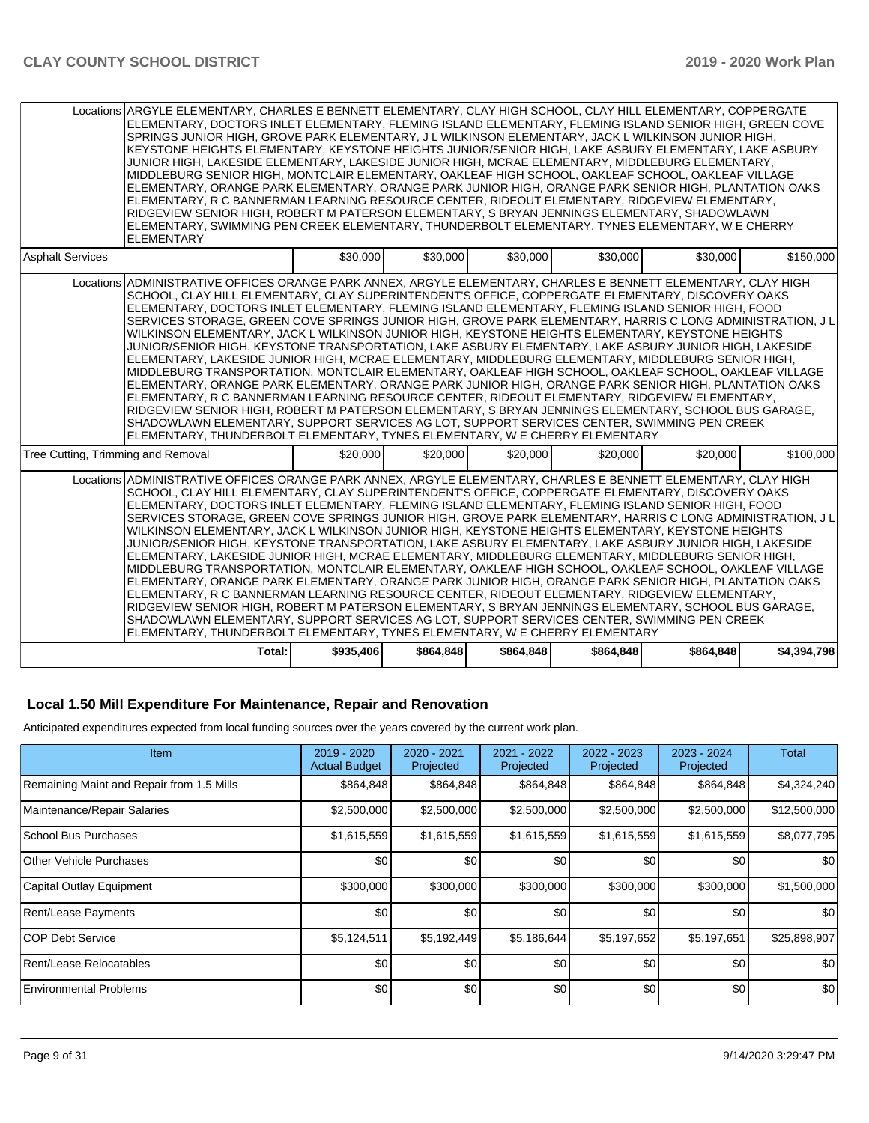|                                    | Locations ARGYLE ELEMENTARY, CHARLES E BENNETT ELEMENTARY, CLAY HIGH SCHOOL, CLAY HILL ELEMENTARY, COPPERGATE<br>ELEMENTARY, DOCTORS INLET ELEMENTARY, FLEMING ISLAND ELEMENTARY, FLEMING ISLAND SENIOR HIGH, GREEN COVE<br>SPRINGS JUNIOR HIGH, GROVE PARK ELEMENTARY, J L WILKINSON ELEMENTARY, JACK L WILKINSON JUNIOR HIGH,<br>KEYSTONE HEIGHTS ELEMENTARY, KEYSTONE HEIGHTS JUNIOR/SENIOR HIGH, LAKE ASBURY ELEMENTARY, LAKE ASBURY<br>JUNIOR HIGH, LAKESIDE ELEMENTARY, LAKESIDE JUNIOR HIGH, MCRAE ELEMENTARY, MIDDLEBURG ELEMENTARY,<br>MIDDLEBURG SENIOR HIGH, MONTCLAIR ELEMENTARY, OAKLEAF HIGH SCHOOL, OAKLEAF SCHOOL, OAKLEAF VILLAGE<br>ELEMENTARY, ORANGE PARK ELEMENTARY, ORANGE PARK JUNIOR HIGH, ORANGE PARK SENIOR HIGH, PLANTATION OAKS<br>ELEMENTARY, R C BANNERMAN LEARNING RESOURCE CENTER, RIDEOUT ELEMENTARY, RIDGEVIEW ELEMENTARY,<br>RIDGEVIEW SENIOR HIGH, ROBERT M PATERSON ELEMENTARY, S BRYAN JENNINGS ELEMENTARY, SHADOWLAWN<br>ELEMENTARY, SWIMMING PEN CREEK ELEMENTARY, THUNDERBOLT ELEMENTARY, TYNES ELEMENTARY, W E CHERRY<br><b>ELEMENTARY</b>                                                                                                                                                                                                                                                                                 |           |           |           |           |           |             |
|------------------------------------|----------------------------------------------------------------------------------------------------------------------------------------------------------------------------------------------------------------------------------------------------------------------------------------------------------------------------------------------------------------------------------------------------------------------------------------------------------------------------------------------------------------------------------------------------------------------------------------------------------------------------------------------------------------------------------------------------------------------------------------------------------------------------------------------------------------------------------------------------------------------------------------------------------------------------------------------------------------------------------------------------------------------------------------------------------------------------------------------------------------------------------------------------------------------------------------------------------------------------------------------------------------------------------------------------------------------------------------------------------------------|-----------|-----------|-----------|-----------|-----------|-------------|
| <b>Asphalt Services</b>            |                                                                                                                                                                                                                                                                                                                                                                                                                                                                                                                                                                                                                                                                                                                                                                                                                                                                                                                                                                                                                                                                                                                                                                                                                                                                                                                                                                      | \$30,000  | \$30,000  | \$30,000  | \$30,000  | \$30,000  | \$150,000   |
|                                    | Locations ADMINISTRATIVE OFFICES ORANGE PARK ANNEX. ARGYLE ELEMENTARY. CHARLES E BENNETT ELEMENTARY. CLAY HIGH<br>SCHOOL, CLAY HILL ELEMENTARY, CLAY SUPERINTENDENT'S OFFICE, COPPERGATE ELEMENTARY, DISCOVERY OAKS<br>ELEMENTARY, DOCTORS INLET ELEMENTARY, FLEMING ISLAND ELEMENTARY, FLEMING ISLAND SENIOR HIGH, FOOD<br>SERVICES STORAGE, GREEN COVE SPRINGS JUNIOR HIGH, GROVE PARK ELEMENTARY, HARRIS C LONG ADMINISTRATION, J L<br>WILKINSON ELEMENTARY. JACK L WILKINSON JUNIOR HIGH. KEYSTONE HEIGHTS ELEMENTARY. KEYSTONE HEIGHTS<br>JUNIOR/SENIOR HIGH, KEYSTONE TRANSPORTATION, LAKE ASBURY ELEMENTARY, LAKE ASBURY JUNIOR HIGH, LAKESIDE<br>ELEMENTARY, LAKESIDE JUNIOR HIGH, MCRAE ELEMENTARY, MIDDLEBURG ELEMENTARY, MIDDLEBURG SENIOR HIGH,<br>MIDDLEBURG TRANSPORTATION, MONTCLAIR ELEMENTARY, OAKLEAF HIGH SCHOOL, OAKLEAF SCHOOL, OAKLEAF VILLAGE<br>ELEMENTARY, ORANGE PARK ELEMENTARY, ORANGE PARK JUNIOR HIGH, ORANGE PARK SENIOR HIGH, PLANTATION OAKS<br>ELEMENTARY, R C BANNERMAN LEARNING RESOURCE CENTER, RIDEOUT ELEMENTARY, RIDGEVIEW ELEMENTARY,<br>RIDGEVIEW SENIOR HIGH, ROBERT M PATERSON ELEMENTARY, S BRYAN JENNINGS ELEMENTARY, SCHOOL BUS GARAGE,<br>SHADOWLAWN ELEMENTARY, SUPPORT SERVICES AG LOT, SUPPORT SERVICES CENTER, SWIMMING PEN CREEK<br>ELEMENTARY, THUNDERBOLT ELEMENTARY, TYNES ELEMENTARY, W E CHERRY ELEMENTARY |           |           |           |           |           |             |
| Tree Cutting, Trimming and Removal |                                                                                                                                                                                                                                                                                                                                                                                                                                                                                                                                                                                                                                                                                                                                                                                                                                                                                                                                                                                                                                                                                                                                                                                                                                                                                                                                                                      | \$20,000  | \$20,000  | \$20,000  | \$20,000  | \$20,000  | \$100.000   |
|                                    | Locations ADMINISTRATIVE OFFICES ORANGE PARK ANNEX, ARGYLE ELEMENTARY, CHARLES E BENNETT ELEMENTARY, CLAY HIGH<br>SCHOOL. CLAY HILL ELEMENTARY. CLAY SUPERINTENDENT'S OFFICE. COPPERGATE ELEMENTARY. DISCOVERY OAKS<br>ELEMENTARY, DOCTORS INLET ELEMENTARY, FLEMING ISLAND ELEMENTARY, FLEMING ISLAND SENIOR HIGH, FOOD<br>SERVICES STORAGE, GREEN COVE SPRINGS JUNIOR HIGH, GROVE PARK ELEMENTARY, HARRIS C LONG ADMINISTRATION, J L<br>WILKINSON ELEMENTARY, JACK L WILKINSON JUNIOR HIGH, KEYSTONE HEIGHTS ELEMENTARY, KEYSTONE HEIGHTS<br>JUNIOR/SENIOR HIGH, KEYSTONE TRANSPORTATION, LAKE ASBURY ELEMENTARY, LAKE ASBURY JUNIOR HIGH, LAKESIDE<br>ELEMENTARY, LAKESIDE JUNIOR HIGH, MCRAE ELEMENTARY, MIDDLEBURG ELEMENTARY, MIDDLEBURG SENIOR HIGH,<br>MIDDLEBURG TRANSPORTATION. MONTCLAIR ELEMENTARY. OAKLEAF HIGH SCHOOL. OAKLEAF SCHOOL. OAKLEAF VILLAGE<br>ELEMENTARY, ORANGE PARK ELEMENTARY, ORANGE PARK JUNIOR HIGH, ORANGE PARK SENIOR HIGH, PLANTATION OAKS<br>ELEMENTARY, R C BANNERMAN LEARNING RESOURCE CENTER, RIDEOUT ELEMENTARY, RIDGEVIEW ELEMENTARY,<br>RIDGEVIEW SENIOR HIGH, ROBERT M PATERSON ELEMENTARY, S BRYAN JENNINGS ELEMENTARY, SCHOOL BUS GARAGE,<br>SHADOWLAWN ELEMENTARY, SUPPORT SERVICES AG LOT, SUPPORT SERVICES CENTER, SWIMMING PEN CREEK<br>ELEMENTARY, THUNDERBOLT ELEMENTARY, TYNES ELEMENTARY, W E CHERRY ELEMENTARY |           |           |           |           |           |             |
|                                    | Total:                                                                                                                                                                                                                                                                                                                                                                                                                                                                                                                                                                                                                                                                                                                                                                                                                                                                                                                                                                                                                                                                                                                                                                                                                                                                                                                                                               | \$935,406 | \$864,848 | \$864,848 | \$864.848 | \$864,848 | \$4,394,798 |

## **Local 1.50 Mill Expenditure For Maintenance, Repair and Renovation**

Anticipated expenditures expected from local funding sources over the years covered by the current work plan.

| Item                                      | 2019 - 2020<br><b>Actual Budget</b> | 2020 - 2021<br>Projected | 2021 - 2022<br>Projected | 2022 - 2023<br>Projected | 2023 - 2024<br>Projected | Total        |
|-------------------------------------------|-------------------------------------|--------------------------|--------------------------|--------------------------|--------------------------|--------------|
| Remaining Maint and Repair from 1.5 Mills | \$864,848                           | \$864,848                | \$864,848                | \$864,848                | \$864,848                | \$4,324,240  |
| Maintenance/Repair Salaries               | \$2,500,000                         | \$2,500,000              | \$2,500,000              | \$2,500,000              | \$2,500,000              | \$12,500,000 |
| School Bus Purchases                      | \$1,615,559                         | \$1,615,559              | \$1,615,559              | \$1,615,559              | \$1,615,559              | \$8,077,795  |
| Other Vehicle Purchases                   | \$0                                 | \$0                      | \$0                      | \$0                      | \$0                      | \$0          |
| Capital Outlay Equipment                  | \$300,000                           | \$300,000                | \$300,000                | \$300,000                | \$300,000                | \$1,500,000  |
| Rent/Lease Payments                       | \$0                                 | \$0                      | \$0                      | \$0                      | \$0                      | \$0          |
| ICOP Debt Service                         | \$5,124,511                         | \$5,192,449              | \$5,186,644              | \$5,197,652              | \$5,197,651              | \$25,898,907 |
| Rent/Lease Relocatables                   | \$0                                 | \$0                      | \$0                      | \$0                      | \$0                      | \$0          |
| <b>Environmental Problems</b>             | \$0                                 | \$0                      | \$0                      | \$0                      | \$0                      | \$0          |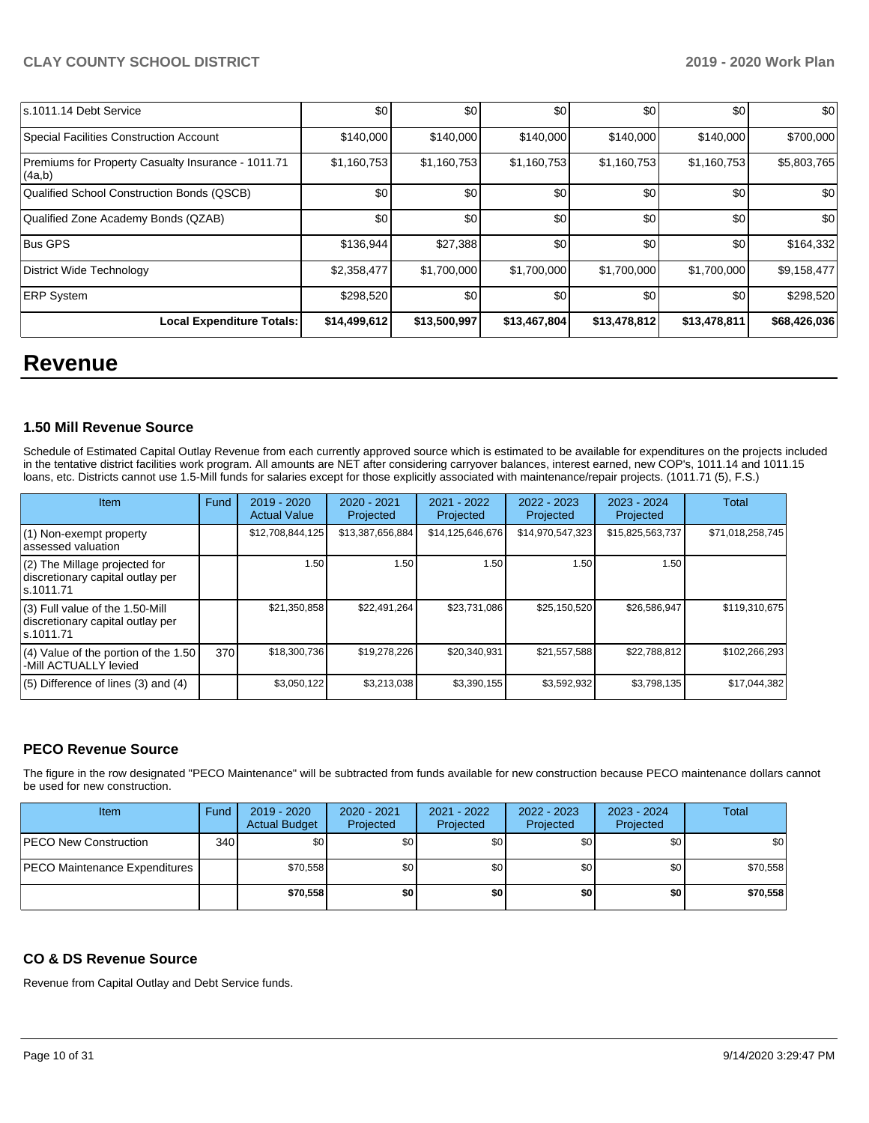| ls.1011.14 Debt Service                                      | \$0          | \$0          | \$0          | \$0          | \$0          | \$0          |
|--------------------------------------------------------------|--------------|--------------|--------------|--------------|--------------|--------------|
| Special Facilities Construction Account                      | \$140,000    | \$140,000    | \$140,000    | \$140,000    | \$140,000    | \$700,000    |
| Premiums for Property Casualty Insurance - 1011.71<br>(4a,b) | \$1,160,753  | \$1,160,753  | \$1,160,753  | \$1,160,753  | \$1,160,753  | \$5,803,765  |
| Qualified School Construction Bonds (QSCB)                   | \$0          | \$0          | \$0          | \$0          | \$0          | \$0          |
| Qualified Zone Academy Bonds (QZAB)                          | \$0          | \$0          | \$0          | \$0          | \$0          | \$0          |
| <b>Bus GPS</b>                                               | \$136,944    | \$27,388     | \$0          | \$0          | \$0          | \$164,332    |
| District Wide Technology                                     | \$2,358,477  | \$1,700,000  | \$1,700,000  | \$1,700,000  | \$1,700,000  | \$9,158,477  |
| <b>ERP System</b>                                            | \$298,520    | \$0          | \$0          | \$0          | \$0          | \$298,520    |
| Local Expenditure Totals:                                    | \$14,499,612 | \$13,500,997 | \$13,467,804 | \$13,478,812 | \$13,478,811 | \$68,426,036 |

## **Revenue**

### **1.50 Mill Revenue Source**

Schedule of Estimated Capital Outlay Revenue from each currently approved source which is estimated to be available for expenditures on the projects included in the tentative district facilities work program. All amounts are NET after considering carryover balances, interest earned, new COP's, 1011.14 and 1011.15 loans, etc. Districts cannot use 1.5-Mill funds for salaries except for those explicitly associated with maintenance/repair projects. (1011.71 (5), F.S.)

| Item                                                                                | Fund | 2019 - 2020<br><b>Actual Value</b> | $2020 - 2021$<br>Projected | 2021 - 2022<br>Projected | 2022 - 2023<br>Projected | $2023 - 2024$<br>Projected | Total            |
|-------------------------------------------------------------------------------------|------|------------------------------------|----------------------------|--------------------------|--------------------------|----------------------------|------------------|
| (1) Non-exempt property<br>lassessed valuation                                      |      | \$12,708,844,125                   | \$13,387,656,884           | \$14,125,646,676         | \$14,970,547,323         | \$15,825,563,737           | \$71,018,258,745 |
| $(2)$ The Millage projected for<br>discretionary capital outlay per<br>ls.1011.71   |      | 1.50                               | 1.50                       | 1.50                     | 1.50                     | 1.50                       |                  |
| $(3)$ Full value of the 1.50-Mill<br>discretionary capital outlay per<br>ls.1011.71 |      | \$21,350,858                       | \$22,491,264               | \$23,731,086             | \$25,150,520             | \$26,586,947               | \$119,310,675    |
| $(4)$ Value of the portion of the 1.50<br>-Mill ACTUALLY levied                     | 370  | \$18,300,736                       | \$19,278,226               | \$20,340,931             | \$21,557,588             | \$22,788,812               | \$102,266,293    |
| $(5)$ Difference of lines $(3)$ and $(4)$                                           |      | \$3,050,122                        | \$3,213,038                | \$3,390,155              | \$3,592,932              | \$3,798,135                | \$17,044,382     |

### **PECO Revenue Source**

The figure in the row designated "PECO Maintenance" will be subtracted from funds available for new construction because PECO maintenance dollars cannot be used for new construction.

| Item                                 | Fund         | 2019 - 2020<br><b>Actual Budget</b> | $2020 - 2021$<br>Projected | 2021 - 2022<br>Projected | $2022 - 2023$<br>Projected | 2023 - 2024<br>Projected | Total    |
|--------------------------------------|--------------|-------------------------------------|----------------------------|--------------------------|----------------------------|--------------------------|----------|
| <b>PECO New Construction</b>         | 340 <b>I</b> | \$0                                 | \$0                        | \$0                      | \$0                        | \$0                      | \$0      |
| <b>PECO Maintenance Expenditures</b> |              | \$70,558                            | \$0                        | \$0                      | \$0 <sub>1</sub>           | \$0 <sub>1</sub>         | \$70,558 |
|                                      |              | \$70,558                            | \$0                        | \$0                      | \$0                        | \$0                      | \$70,558 |

### **CO & DS Revenue Source**

Revenue from Capital Outlay and Debt Service funds.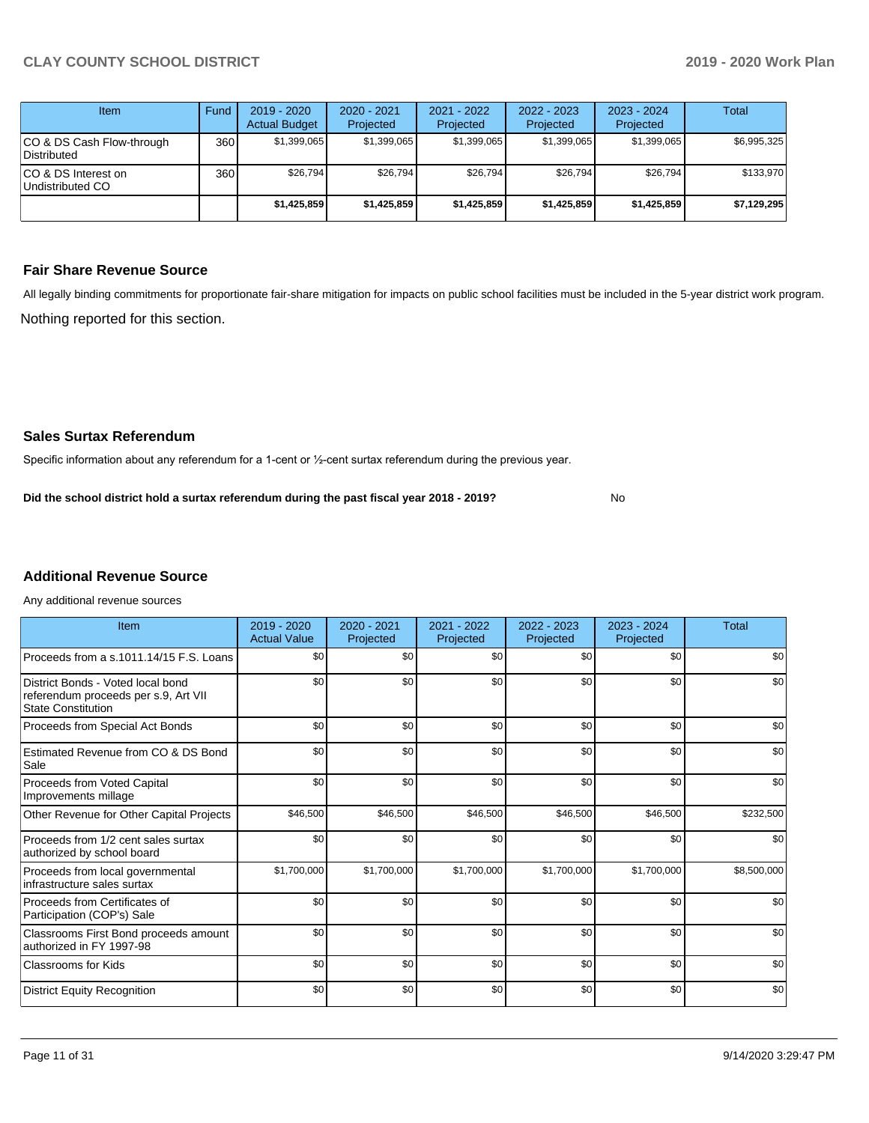| Item                                            | Fund | $2019 - 2020$<br><b>Actual Budget</b> | $2020 - 2021$<br>Projected | $2021 - 2022$<br>Projected | $2022 - 2023$<br>Projected | $2023 - 2024$<br>Projected | Total       |
|-------------------------------------------------|------|---------------------------------------|----------------------------|----------------------------|----------------------------|----------------------------|-------------|
| CO & DS Cash Flow-through<br><b>Distributed</b> | 360  | \$1,399,065                           | \$1,399,065                | \$1,399,065                | \$1,399,065                | \$1,399,065                | \$6,995,325 |
| CO & DS Interest on<br>Undistributed CO         | 360  | \$26.794                              | \$26.794                   | \$26.794                   | \$26.794                   | \$26.794                   | \$133,970   |
|                                                 |      | \$1,425,859                           | \$1,425,859                | \$1,425,859                | \$1,425,859                | \$1,425,859                | \$7,129,295 |

### **Fair Share Revenue Source**

Nothing reported for this section. All legally binding commitments for proportionate fair-share mitigation for impacts on public school facilities must be included in the 5-year district work program.

No

### **Sales Surtax Referendum**

Specific information about any referendum for a 1-cent or ½-cent surtax referendum during the previous year.

**Did the school district hold a surtax referendum during the past fiscal year 2018 - 2019?**

## **Additional Revenue Source**

Any additional revenue sources

| Item                                                                                                   | $2019 - 2020$<br><b>Actual Value</b> | 2020 - 2021<br>Projected | 2021 - 2022<br>Projected | 2022 - 2023<br>Projected | $2023 - 2024$<br>Projected | Total       |
|--------------------------------------------------------------------------------------------------------|--------------------------------------|--------------------------|--------------------------|--------------------------|----------------------------|-------------|
| Proceeds from a s.1011.14/15 F.S. Loans                                                                | \$0                                  | \$0                      | \$0                      | \$0                      | \$0                        | \$0         |
| District Bonds - Voted local bond<br>referendum proceeds per s.9, Art VII<br><b>State Constitution</b> | \$0                                  | \$0                      | \$0                      | \$0                      | \$0                        | \$0         |
| Proceeds from Special Act Bonds                                                                        | \$0                                  | \$0                      | \$0                      | \$0                      | \$0                        | \$0         |
| Estimated Revenue from CO & DS Bond<br>Sale                                                            | \$0                                  | \$0                      | \$0                      | \$0                      | \$0                        | \$0         |
| Proceeds from Voted Capital<br>Improvements millage                                                    | \$0                                  | \$0                      | \$0                      | \$0                      | \$0                        | \$0         |
| Other Revenue for Other Capital Projects                                                               | \$46,500                             | \$46,500                 | \$46,500                 | \$46,500                 | \$46,500                   | \$232,500   |
| Proceeds from 1/2 cent sales surtax<br>authorized by school board                                      | \$0                                  | \$0                      | \$0                      | \$0                      | \$0                        | \$0         |
| Proceeds from local governmental<br>infrastructure sales surtax                                        | \$1,700,000                          | \$1,700,000              | \$1,700,000              | \$1,700,000              | \$1,700,000                | \$8,500,000 |
| Proceeds from Certificates of<br>Participation (COP's) Sale                                            | \$0                                  | \$0                      | \$0                      | \$0                      | \$0                        | \$0         |
| Classrooms First Bond proceeds amount<br>authorized in FY 1997-98                                      | \$0                                  | \$0                      | \$0                      | \$0                      | \$0                        | \$0         |
| Classrooms for Kids                                                                                    | \$0                                  | \$0                      | \$0                      | \$0                      | \$0                        | \$0         |
| <b>District Equity Recognition</b>                                                                     | \$0                                  | \$0                      | \$0                      | \$0                      | \$0                        | \$0         |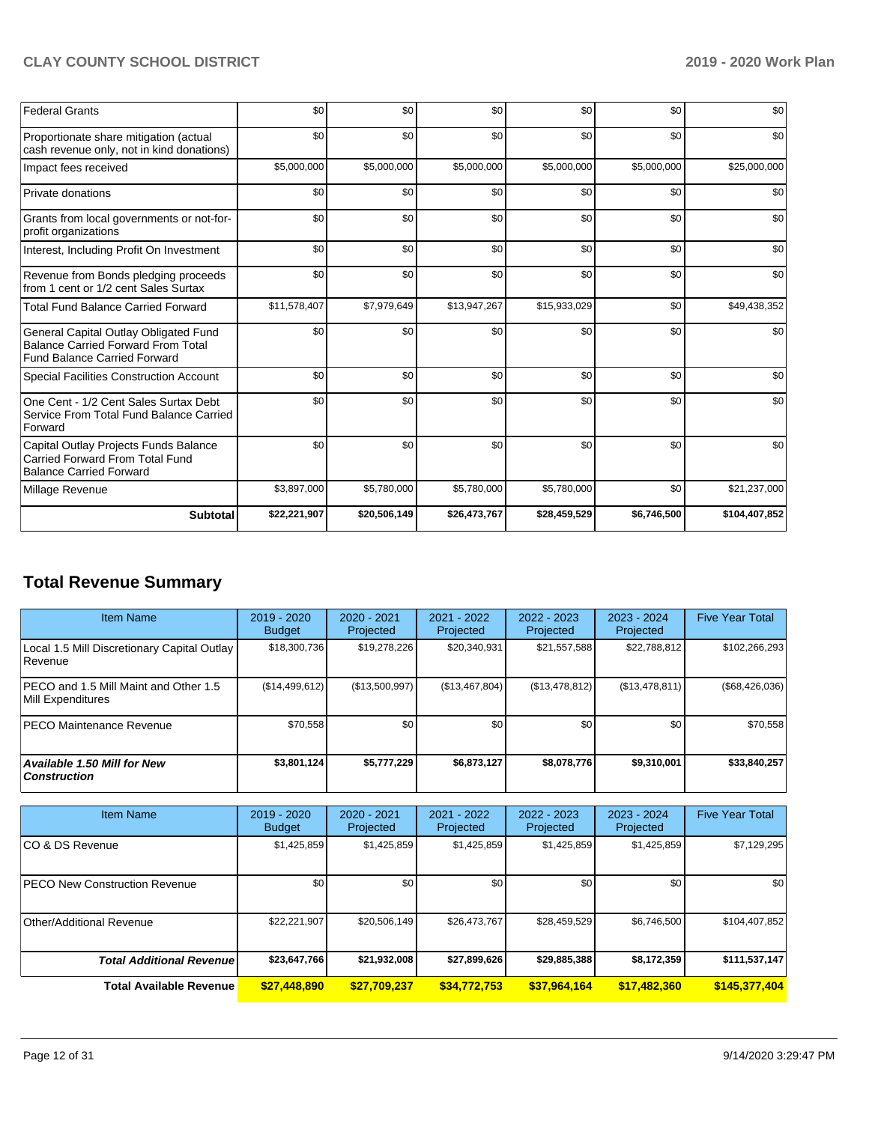| <b>Federal Grants</b>                                                                                                     | \$0          | \$0          | \$0          | \$0          | \$0         | \$0           |
|---------------------------------------------------------------------------------------------------------------------------|--------------|--------------|--------------|--------------|-------------|---------------|
| Proportionate share mitigation (actual<br>cash revenue only, not in kind donations)                                       | \$0          | \$0          | \$0          | \$0          | \$0         | \$0           |
| Impact fees received                                                                                                      | \$5,000,000  | \$5,000,000  | \$5,000,000  | \$5,000,000  | \$5,000,000 | \$25,000,000  |
| Private donations                                                                                                         | \$0          | \$0          | \$0          | \$0          | \$0         | \$0           |
| Grants from local governments or not-for-<br>profit organizations                                                         | \$0          | \$0          | \$0          | \$0          | \$0         | \$0           |
| Interest, Including Profit On Investment                                                                                  | \$0          | \$0          | \$0          | \$0          | \$0         | \$0           |
| Revenue from Bonds pledging proceeds<br>from 1 cent or 1/2 cent Sales Surtax                                              | \$0          | \$0          | \$0          | \$0          | \$0         | \$0           |
| <b>Total Fund Balance Carried Forward</b>                                                                                 | \$11,578,407 | \$7,979,649  | \$13,947,267 | \$15,933,029 | \$0         | \$49,438,352  |
| General Capital Outlay Obligated Fund<br><b>Balance Carried Forward From Total</b><br><b>Fund Balance Carried Forward</b> | \$0          | \$0          | \$0          | \$0          | \$0         | \$0           |
| Special Facilities Construction Account                                                                                   | \$0          | \$0          | \$0          | \$0          | \$0         | \$0           |
| One Cent - 1/2 Cent Sales Surtax Debt<br>Service From Total Fund Balance Carried<br>Forward                               | \$0          | \$0          | \$0          | \$0          | \$0         | \$0           |
| Capital Outlay Projects Funds Balance<br><b>Carried Forward From Total Fund</b><br><b>Balance Carried Forward</b>         | \$0          | \$0          | \$0          | \$0          | \$0         | \$0           |
| Millage Revenue                                                                                                           | \$3,897,000  | \$5,780,000  | \$5,780,000  | \$5,780,000  | \$0         | \$21,237,000  |
| <b>Subtotal</b>                                                                                                           | \$22,221,907 | \$20,506,149 | \$26,473,767 | \$28,459,529 | \$6,746,500 | \$104,407,852 |

## **Total Revenue Summary**

| <b>Item Name</b>                                           | 2019 - 2020<br><b>Budget</b> | $2020 - 2021$<br>Projected | 2021 - 2022<br>Projected | 2022 - 2023<br>Projected | 2023 - 2024<br>Projected | <b>Five Year Total</b> |
|------------------------------------------------------------|------------------------------|----------------------------|--------------------------|--------------------------|--------------------------|------------------------|
| Local 1.5 Mill Discretionary Capital Outlay<br> Revenue    | \$18,300,736                 | \$19,278,226               | \$20,340,931             | \$21,557,588             | \$22,788,812             | \$102,266,293          |
| PECO and 1.5 Mill Maint and Other 1.5<br>Mill Expenditures | (S14, 499, 612)              | (\$13,500,997)             | (\$13,467,804)           | (\$13,478,812)           | (\$13,478,811)           | $(\$68,426,036)$       |
| <b>IPECO Maintenance Revenue</b>                           | \$70,558                     | \$0 <sub>1</sub>           | \$0                      | \$0                      | \$0                      | \$70,558               |
| <b>Available 1.50 Mill for New</b><br><b>Construction</b>  | \$3,801,124                  | \$5,777,229                | \$6,873,127              | \$8,078,776              | \$9,310,001              | \$33,840,257           |

| <b>Item Name</b>                      | 2019 - 2020<br><b>Budget</b> | 2020 - 2021<br>Projected | 2021 - 2022<br>Projected | 2022 - 2023<br>Projected | 2023 - 2024<br>Projected | <b>Five Year Total</b> |
|---------------------------------------|------------------------------|--------------------------|--------------------------|--------------------------|--------------------------|------------------------|
| ICO & DS Revenue                      | \$1,425,859                  | \$1,425,859              | \$1,425,859              | \$1,425,859              | \$1,425,859              | \$7,129,295            |
| <b>IPECO New Construction Revenue</b> | \$0                          | \$0                      | \$0                      | \$0                      | \$0                      | \$0                    |
| Other/Additional Revenue              | \$22,221,907                 | \$20,506,149             | \$26,473,767             | \$28,459,529             | \$6,746,500              | \$104,407,852          |
| <b>Total Additional Revenuel</b>      | \$23,647,766                 | \$21,932,008             | \$27,899,626             | \$29,885,388             | \$8,172,359              | \$111,537,147          |
| Total Available Revenue               | \$27,448,890                 | \$27,709,237             | \$34,772,753             | \$37,964,164             | \$17,482,360             | \$145,377,404          |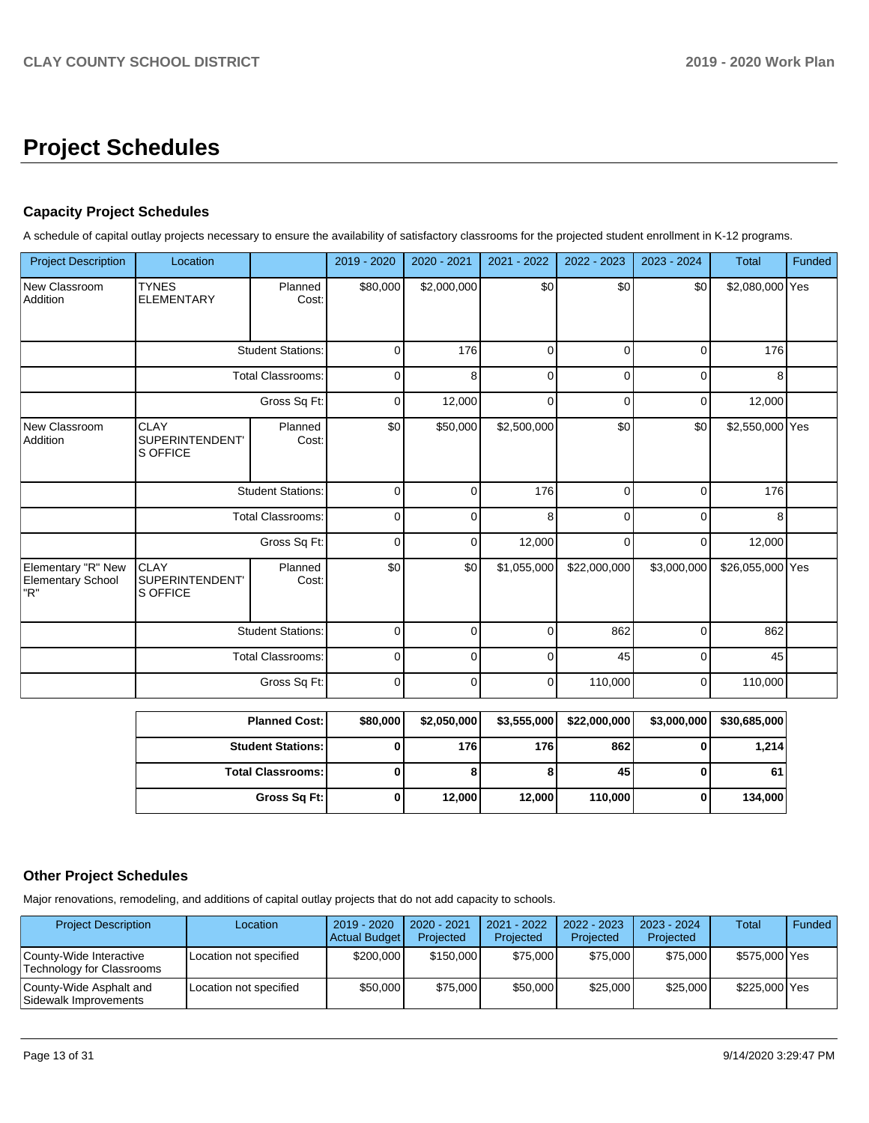# **Project Schedules**

### **Capacity Project Schedules**

A schedule of capital outlay projects necessary to ensure the availability of satisfactory classrooms for the projected student enrollment in K-12 programs.

| <b>Project Description</b>                            | Location                                   |                          | 2019 - 2020 | 2020 - 2021 | 2021 - 2022 | 2022 - 2023  | 2023 - 2024 | <b>Total</b>     | Funded |
|-------------------------------------------------------|--------------------------------------------|--------------------------|-------------|-------------|-------------|--------------|-------------|------------------|--------|
| New Classroom<br>Addition                             | <b>TYNES</b><br><b>ELEMENTARY</b>          | Planned<br>Cost:         | \$80,000    | \$2,000,000 | \$0         | \$0          | \$0         | \$2,080,000 Yes  |        |
|                                                       |                                            | <b>Student Stations:</b> | $\mathbf 0$ | 176         | 0           | $\Omega$     | $\Omega$    | 176              |        |
|                                                       | <b>Total Classrooms:</b><br>Gross Sq Ft:   |                          | $\mathbf 0$ | 8           | 0           | 0            | 0           | 8                |        |
|                                                       |                                            |                          | 0           | 12,000      | 0           | 0            | 0           | 12,000           |        |
| New Classroom<br>Addition                             | <b>CLAY</b><br>SUPERINTENDENT'<br>S OFFICE | Planned<br>Cost:         | \$0         | \$50,000    | \$2,500,000 | \$0          | \$0         | \$2,550,000 Yes  |        |
|                                                       | <b>Student Stations:</b>                   |                          | $\Omega$    | $\Omega$    | 176         | $\Omega$     | $\Omega$    | 176              |        |
|                                                       |                                            | <b>Total Classrooms:</b> | $\mathbf 0$ | 0           | 8           | U            | $\Omega$    | 8                |        |
|                                                       |                                            | Gross Sq Ft:             | $\mathbf 0$ | $\Omega$    | 12,000      | $\Omega$     | $\Omega$    | 12,000           |        |
| Elementary "R" New<br><b>Elementary School</b><br>"R" | <b>CLAY</b><br>SUPERINTENDENT'<br>S OFFICE | Planned<br>Cost:         | \$0         | \$0         | \$1,055,000 | \$22,000,000 | \$3,000,000 | \$26,055,000 Yes |        |
|                                                       |                                            | <b>Student Stations:</b> | $\mathbf 0$ | 0           | $\Omega$    | 862          | 0           | 862              |        |
|                                                       |                                            | <b>Total Classrooms:</b> | $\mathbf 0$ | 0           | 0           | 45           | $\Omega$    | 45               |        |
|                                                       |                                            | Gross Sq Ft:             | 0           | 0           | 0           | 110,000      | 0           | 110,000          |        |

| <b>Planned Cost:</b>     | \$80,000 | \$2,050,000 | \$3,555,000 | \$22,000,000 | \$3,000,000 | \$30,685,000 |
|--------------------------|----------|-------------|-------------|--------------|-------------|--------------|
| <b>Student Stations:</b> |          | 176 l       | 176         | 862          |             | 1,214        |
| <b>Total Classrooms:</b> |          |             |             | 45           |             | 61           |
| Gross Sq Ft:             |          | 12,000      | 12,000      | 110,000      |             | 134,000      |

### **Other Project Schedules**

Major renovations, remodeling, and additions of capital outlay projects that do not add capacity to schools.

| <b>Project Description</b>                           | Location               | 2019 - 2020<br><b>Actual Budget</b> | 2020 - 2021<br>Projected | 2021 - 2022<br>Projected | 2022 - 2023<br>Projected | 2023 - 2024<br>Projected | <b>Total</b>  | Funded |
|------------------------------------------------------|------------------------|-------------------------------------|--------------------------|--------------------------|--------------------------|--------------------------|---------------|--------|
| County-Wide Interactive<br>Technology for Classrooms | Location not specified | \$200,000                           | \$150,000                | \$75,000                 | \$75,000                 | \$75,000                 | \$575,000 Yes |        |
| County-Wide Asphalt and<br>Sidewalk Improvements     | Location not specified | \$50,000                            | \$75,000                 | \$50,000                 | \$25,000                 | \$25,000                 | \$225,000 Yes |        |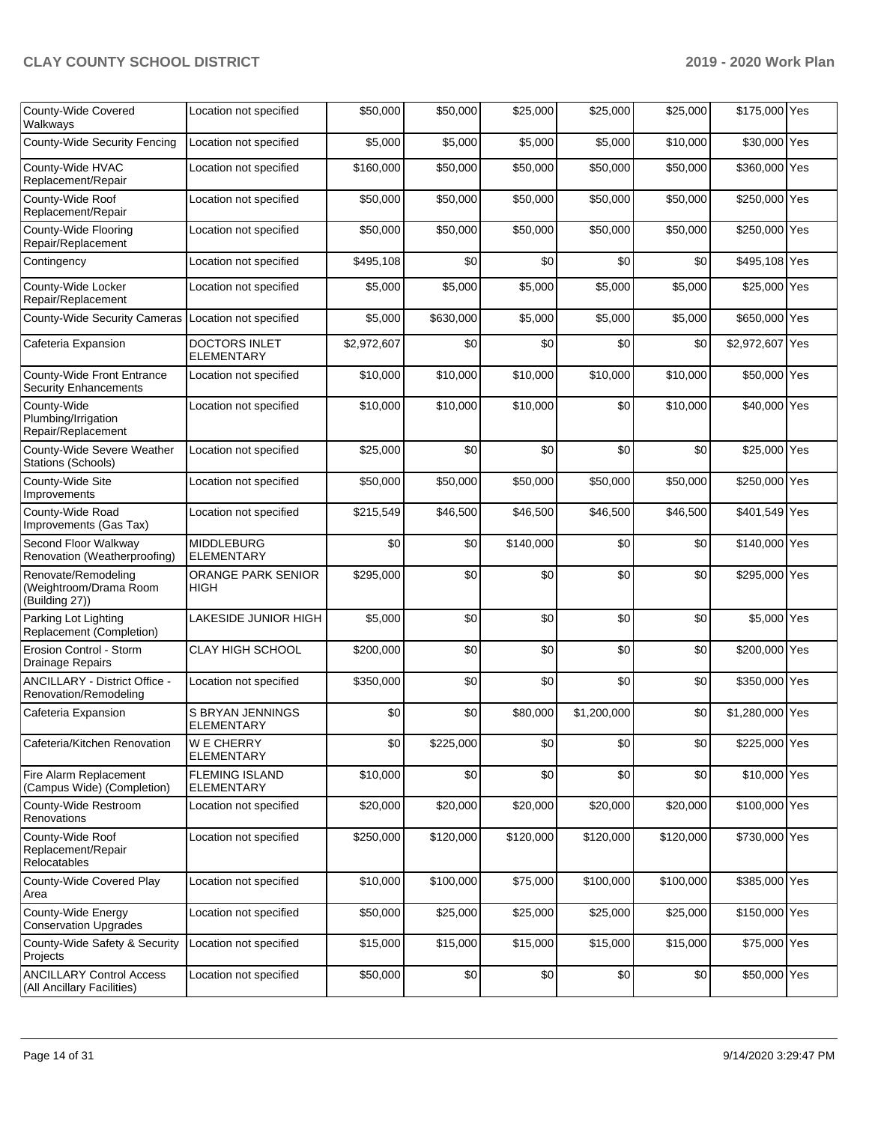| County-Wide Covered<br>Walkways                                 | Location not specified                 | \$50,000    | \$50,000  | \$25,000  | \$25,000    | \$25,000  | \$175,000 Yes   |  |
|-----------------------------------------------------------------|----------------------------------------|-------------|-----------|-----------|-------------|-----------|-----------------|--|
| <b>County-Wide Security Fencing</b>                             | Location not specified                 | \$5,000     | \$5,000   | \$5,000   | \$5,000     | \$10,000  | \$30,000 Yes    |  |
| County-Wide HVAC<br>Replacement/Repair                          | Location not specified                 | \$160,000   | \$50,000  | \$50,000  | \$50,000    | \$50,000  | \$360,000 Yes   |  |
| County-Wide Roof<br>Replacement/Repair                          | Location not specified                 | \$50,000    | \$50,000  | \$50,000  | \$50,000    | \$50,000  | \$250,000 Yes   |  |
| County-Wide Flooring<br>Repair/Replacement                      | Location not specified                 | \$50,000    | \$50,000  | \$50,000  | \$50,000    | \$50,000  | \$250,000 Yes   |  |
| Contingency                                                     | Location not specified                 | \$495,108   | \$0       | \$0       | \$0         | \$0       | \$495,108 Yes   |  |
| County-Wide Locker<br>Repair/Replacement                        | Location not specified                 | \$5,000     | \$5,000   | \$5,000   | \$5,000     | \$5,000   | \$25,000 Yes    |  |
| <b>County-Wide Security Cameras</b>                             | Location not specified                 | \$5,000     | \$630,000 | \$5,000   | \$5,000     | \$5,000   | \$650,000 Yes   |  |
| Cafeteria Expansion                                             | DOCTORS INLET<br>ELEMENTARY            | \$2,972,607 | \$0       | \$0       | \$0         | \$0       | \$2,972,607 Yes |  |
| County-Wide Front Entrance<br><b>Security Enhancements</b>      | Location not specified                 | \$10,000    | \$10,000  | \$10,000  | \$10,000    | \$10,000  | \$50,000 Yes    |  |
| County-Wide<br>Plumbing/Irrigation<br>Repair/Replacement        | Location not specified                 | \$10,000    | \$10,000  | \$10,000  | \$0         | \$10,000  | \$40,000 Yes    |  |
| County-Wide Severe Weather<br>Stations (Schools)                | Location not specified                 | \$25,000    | \$0       | \$0       | \$0         | \$0       | \$25,000 Yes    |  |
| County-Wide Site<br>Improvements                                | Location not specified                 | \$50,000    | \$50,000  | \$50,000  | \$50,000    | \$50,000  | \$250,000 Yes   |  |
| County-Wide Road<br>Improvements (Gas Tax)                      | Location not specified                 | \$215,549   | \$46,500  | \$46,500  | \$46,500    | \$46,500  | \$401,549 Yes   |  |
| Second Floor Walkway<br>Renovation (Weatherproofing)            | <b>MIDDLEBURG</b><br><b>ELEMENTARY</b> | \$0         | \$0       | \$140,000 | \$0         | \$0       | \$140,000 Yes   |  |
| Renovate/Remodeling<br>(Weightroom/Drama Room<br>(Building 27)) | ORANGE PARK SENIOR<br>HIGH             | \$295,000   | \$0       | \$0       | \$0         | \$0       | \$295,000 Yes   |  |
| Parking Lot Lighting<br>Replacement (Completion)                | LAKESIDE JUNIOR HIGH                   | \$5,000     | \$0       | \$0       | \$0         | \$0       | \$5,000 Yes     |  |
| Erosion Control - Storm<br>Drainage Repairs                     | <b>CLAY HIGH SCHOOL</b>                | \$200,000   | \$0       | \$0       | \$0         | \$0       | \$200,000 Yes   |  |
| ANCILLARY - District Office -<br>Renovation/Remodeling          | Location not specified                 | \$350,000   | \$0       | \$0       | \$0         | \$0       | \$350,000 Yes   |  |
| Cafeteria Expansion                                             | S BRYAN JENNINGS<br><b>ELEMENTARY</b>  | \$0         | \$0       | \$80,000  | \$1,200,000 | \$0       | \$1,280,000 Yes |  |
| Cafeteria/Kitchen Renovation                                    | <b>WE CHERRY</b><br><b>ELEMENTARY</b>  | \$0         | \$225,000 | \$0       | \$0         | \$0       | \$225,000 Yes   |  |
| Fire Alarm Replacement<br>(Campus Wide) (Completion)            | <b>FLEMING ISLAND</b><br>ELEMENTARY    | \$10,000    | \$0       | \$0       | \$0         | \$0       | \$10,000 Yes    |  |
| County-Wide Restroom<br>Renovations                             | Location not specified                 | \$20,000    | \$20,000  | \$20,000  | \$20,000    | \$20,000  | \$100,000 Yes   |  |
| County-Wide Roof<br>Replacement/Repair<br>Relocatables          | Location not specified                 | \$250,000   | \$120,000 | \$120,000 | \$120,000   | \$120,000 | \$730,000 Yes   |  |
| County-Wide Covered Play<br>Area                                | Location not specified                 | \$10,000    | \$100,000 | \$75,000  | \$100,000   | \$100,000 | \$385,000 Yes   |  |
| County-Wide Energy<br><b>Conservation Upgrades</b>              | Location not specified                 | \$50,000    | \$25,000  | \$25,000  | \$25,000    | \$25,000  | \$150,000 Yes   |  |
| County-Wide Safety & Security<br>Projects                       | Location not specified                 | \$15,000    | \$15,000  | \$15,000  | \$15,000    | \$15,000  | \$75,000 Yes    |  |
| <b>ANCILLARY Control Access</b><br>(All Ancillary Facilities)   | Location not specified                 | \$50,000    | \$0       | \$0       | \$0         | \$0       | \$50,000 Yes    |  |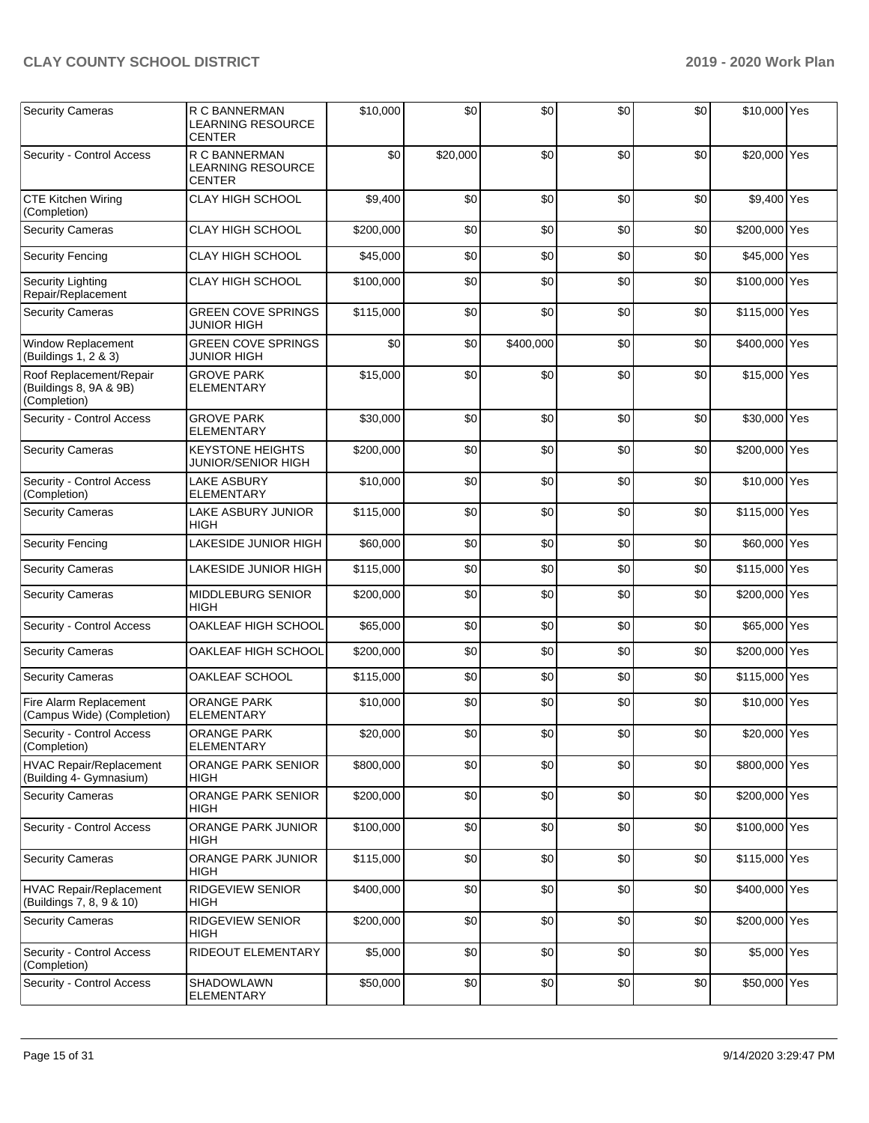| <b>Security Cameras</b>                                           | R C BANNERMAN<br><b>LEARNING RESOURCE</b><br>CENTER  | \$10,000  | \$0      | \$0       | \$0 | \$0 | \$10,000 Yes  |  |
|-------------------------------------------------------------------|------------------------------------------------------|-----------|----------|-----------|-----|-----|---------------|--|
| Security - Control Access                                         | R C BANNERMAN<br><b>LEARNING RESOURCE</b><br>CENTER  | \$0       | \$20,000 | \$0       | \$0 | \$0 | \$20,000 Yes  |  |
| <b>CTE Kitchen Wiring</b><br>(Completion)                         | CLAY HIGH SCHOOL                                     | \$9,400   | \$0      | \$0       | \$0 | \$0 | \$9,400 Yes   |  |
| <b>Security Cameras</b>                                           | <b>CLAY HIGH SCHOOL</b>                              | \$200,000 | \$0      | \$0       | \$0 | \$0 | \$200,000 Yes |  |
| <b>Security Fencing</b>                                           | <b>CLAY HIGH SCHOOL</b>                              | \$45,000  | \$0      | \$0       | \$0 | \$0 | \$45,000 Yes  |  |
| <b>Security Lighting</b><br>Repair/Replacement                    | <b>CLAY HIGH SCHOOL</b>                              | \$100,000 | \$0      | \$0       | \$0 | \$0 | \$100,000 Yes |  |
| <b>Security Cameras</b>                                           | <b>GREEN COVE SPRINGS</b><br><b>JUNIOR HIGH</b>      | \$115,000 | \$0      | \$0       | \$0 | \$0 | \$115,000 Yes |  |
| Window Replacement<br>(Buildings 1, 2 & 3)                        | <b>GREEN COVE SPRINGS</b><br>JUNIOR HIGH             | \$0       | \$0      | \$400,000 | \$0 | \$0 | \$400,000 Yes |  |
| Roof Replacement/Repair<br>(Buildings 8, 9A & 9B)<br>(Completion) | <b>GROVE PARK</b><br>ELEMENTARY                      | \$15,000  | \$0      | \$0       | \$0 | \$0 | \$15,000 Yes  |  |
| Security - Control Access                                         | <b>GROVE PARK</b><br>ELEMENTARY                      | \$30,000  | \$0      | \$0       | \$0 | \$0 | \$30,000 Yes  |  |
| <b>Security Cameras</b>                                           | <b>KEYSTONE HEIGHTS</b><br><b>JUNIOR/SENIOR HIGH</b> | \$200,000 | \$0      | \$0       | \$0 | \$0 | \$200,000 Yes |  |
| Security - Control Access<br>(Completion)                         | <b>LAKE ASBURY</b><br><b>ELEMENTARY</b>              | \$10,000  | \$0      | \$0       | \$0 | \$0 | \$10,000 Yes  |  |
| <b>Security Cameras</b>                                           | <b>LAKE ASBURY JUNIOR</b><br>HIGH                    | \$115,000 | \$0      | \$0       | \$0 | \$0 | \$115,000 Yes |  |
| <b>Security Fencing</b>                                           | LAKESIDE JUNIOR HIGH                                 | \$60,000  | \$0      | \$0       | \$0 | \$0 | \$60,000 Yes  |  |
| <b>Security Cameras</b>                                           | LAKESIDE JUNIOR HIGH                                 | \$115,000 | \$0      | \$0       | \$0 | \$0 | \$115,000 Yes |  |
| <b>Security Cameras</b>                                           | MIDDLEBURG SENIOR<br>HIGH                            | \$200,000 | \$0      | \$0       | \$0 | \$0 | \$200,000 Yes |  |
| Security - Control Access                                         | OAKLEAF HIGH SCHOOL                                  | \$65,000  | \$0      | \$0       | \$0 | \$0 | \$65,000 Yes  |  |
| <b>Security Cameras</b>                                           | OAKLEAF HIGH SCHOOL                                  | \$200,000 | \$0      | \$0       | \$0 | \$0 | \$200,000 Yes |  |
| <b>Security Cameras</b>                                           | OAKLEAF SCHOOL                                       | \$115,000 | \$0      | \$0       | \$0 | \$0 | \$115,000 Yes |  |
| Fire Alarm Replacement<br>(Campus Wide) (Completion)              | <b>ORANGE PARK</b><br><b>ELEMENTARY</b>              | \$10,000  | \$0      | \$0       | \$0 | \$0 | \$10,000 Yes  |  |
| Security - Control Access<br>(Completion)                         | ORANGE PARK<br><b>ELEMENTARY</b>                     | \$20,000  | \$0      | \$0       | \$0 | \$0 | \$20,000 Yes  |  |
| <b>HVAC Repair/Replacement</b><br>(Building 4- Gymnasium)         | <b>ORANGE PARK SENIOR</b><br><b>HIGH</b>             | \$800,000 | \$0      | \$0       | \$0 | \$0 | \$800,000 Yes |  |
| <b>Security Cameras</b>                                           | ORANGE PARK SENIOR<br><b>HIGH</b>                    | \$200,000 | \$0      | \$0       | \$0 | \$0 | \$200,000 Yes |  |
| Security - Control Access                                         | ORANGE PARK JUNIOR<br>HIGH                           | \$100,000 | \$0      | \$0       | \$0 | \$0 | \$100,000 Yes |  |
| <b>Security Cameras</b>                                           | <b>ORANGE PARK JUNIOR</b><br>HIGH                    | \$115,000 | \$0      | \$0       | \$0 | \$0 | \$115,000 Yes |  |
| <b>HVAC Repair/Replacement</b><br>(Buildings 7, 8, 9 & 10)        | RIDGEVIEW SENIOR<br>HIGH                             | \$400,000 | \$0      | \$0       | \$0 | \$0 | \$400,000 Yes |  |
| <b>Security Cameras</b>                                           | RIDGEVIEW SENIOR<br><b>HIGH</b>                      | \$200,000 | \$0      | \$0       | \$0 | \$0 | \$200,000 Yes |  |
| Security - Control Access<br>(Completion)                         | RIDEOUT ELEMENTARY                                   | \$5,000   | \$0      | \$0       | \$0 | \$0 | \$5,000 Yes   |  |
| Security - Control Access                                         | SHADOWLAWN<br><b>ELEMENTARY</b>                      | \$50,000  | \$0      | \$0       | \$0 | \$0 | \$50,000 Yes  |  |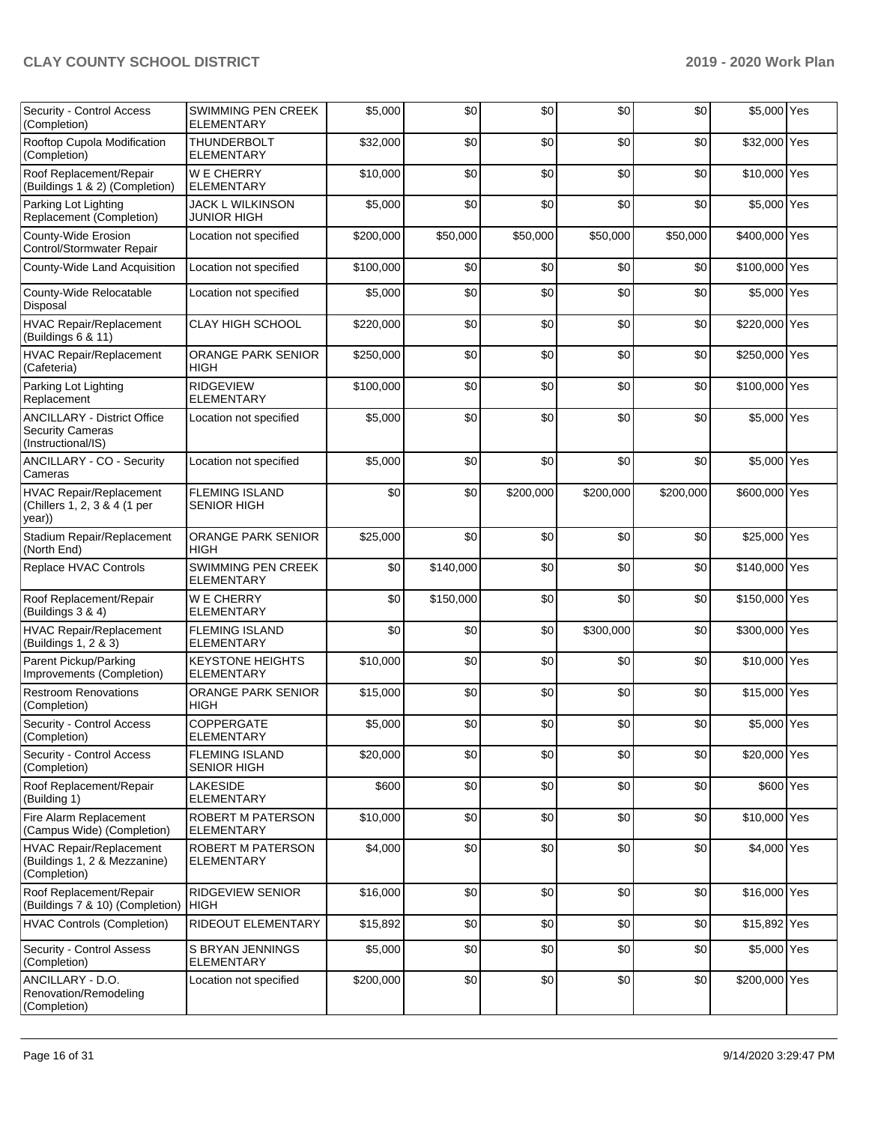| Security - Control Access<br>(Completion)                                           | <b>SWIMMING PEN CREEK</b><br><b>ELEMENTARY</b> | \$5,000   | \$0       | \$0       | \$0       | \$0       | \$5,000 Yes   |  |
|-------------------------------------------------------------------------------------|------------------------------------------------|-----------|-----------|-----------|-----------|-----------|---------------|--|
| Rooftop Cupola Modification<br>(Completion)                                         | <b>THUNDERBOLT</b><br><b>ELEMENTARY</b>        | \$32,000  | \$0       | \$0       | \$0       | \$0       | \$32,000 Yes  |  |
| Roof Replacement/Repair<br>(Buildings 1 & 2) (Completion)                           | <b>WE CHERRY</b><br><b>ELEMENTARY</b>          | \$10.000  | \$0       | \$0       | \$0       | \$0       | \$10,000 Yes  |  |
| Parking Lot Lighting<br>Replacement (Completion)                                    | JACK L WILKINSON<br>JUNIOR HIGH                | \$5,000   | \$0       | \$0       | \$0       | \$0       | \$5,000 Yes   |  |
| County-Wide Erosion<br>Control/Stormwater Repair                                    | Location not specified                         | \$200,000 | \$50,000  | \$50,000  | \$50,000  | \$50,000  | \$400,000 Yes |  |
| County-Wide Land Acquisition                                                        | Location not specified                         | \$100,000 | \$0       | \$0       | \$0       | \$0       | \$100,000 Yes |  |
| County-Wide Relocatable<br>Disposal                                                 | Location not specified                         | \$5,000   | \$0       | \$0       | \$0       | \$0       | \$5,000 Yes   |  |
| <b>HVAC Repair/Replacement</b><br>(Buildings 6 & 11)                                | <b>CLAY HIGH SCHOOL</b>                        | \$220,000 | \$0       | \$0       | \$0       | \$0       | \$220,000 Yes |  |
| <b>HVAC Repair/Replacement</b><br>(Cafeteria)                                       | <b>ORANGE PARK SENIOR</b><br><b>HIGH</b>       | \$250,000 | \$0       | \$0       | \$0       | \$0       | \$250,000 Yes |  |
| Parking Lot Lighting<br>Replacement                                                 | <b>RIDGEVIEW</b><br><b>ELEMENTARY</b>          | \$100,000 | \$0       | \$0       | \$0       | \$0       | \$100,000 Yes |  |
| <b>ANCILLARY - District Office</b><br><b>Security Cameras</b><br>(Instructional/IS) | Location not specified                         | \$5,000   | \$0       | \$0       | \$0       | \$0       | \$5,000 Yes   |  |
| ANCILLARY - CO - Security<br>Cameras                                                | Location not specified                         | \$5,000   | \$0       | \$0       | \$0       | \$0       | \$5,000 Yes   |  |
| HVAC Repair/Replacement<br>(Chillers 1, 2, 3 & 4 (1 per<br>year))                   | <b>FLEMING ISLAND</b><br><b>SENIOR HIGH</b>    | \$0       | \$0       | \$200,000 | \$200,000 | \$200,000 | \$600,000 Yes |  |
| Stadium Repair/Replacement<br>(North End)                                           | ORANGE PARK SENIOR<br><b>HIGH</b>              | \$25,000  | \$0       | \$0       | \$0       | \$0       | \$25,000 Yes  |  |
| Replace HVAC Controls                                                               | SWIMMING PEN CREEK<br><b>ELEMENTARY</b>        | \$0       | \$140,000 | \$0       | \$0       | \$0       | \$140,000 Yes |  |
| Roof Replacement/Repair<br>(Buildings 3 & 4)                                        | <b>WE CHERRY</b><br><b>ELEMENTARY</b>          | \$0       | \$150,000 | \$0       | \$0       | \$0       | \$150,000 Yes |  |
| <b>HVAC Repair/Replacement</b><br>(Buildings 1, 2 & 3)                              | <b>FLEMING ISLAND</b><br><b>ELEMENTARY</b>     | \$0       | \$0       | \$0       | \$300,000 | \$0       | \$300,000 Yes |  |
| Parent Pickup/Parking<br>Improvements (Completion)                                  | <b>KEYSTONE HEIGHTS</b><br><b>ELEMENTARY</b>   | \$10,000  | \$0       | \$0       | \$0       | \$0       | \$10,000 Yes  |  |
| <b>Restroom Renovations</b><br>(Completion)                                         | ORANGE PARK SENIOR<br>HIGH                     | \$15,000  | \$0       | \$0       | \$0       | \$0       | \$15,000 Yes  |  |
| Security - Control Access<br>(Completion)                                           | <b>COPPERGATE</b><br>ELEMENTARY                | \$5,000   | \$0       | \$0       | \$0       | \$0       | \$5,000 Yes   |  |
| Security - Control Access<br>(Completion)                                           | <b>FLEMING ISLAND</b><br><b>SENIOR HIGH</b>    | \$20,000  | \$0       | \$0       | \$0       | \$0       | \$20,000 Yes  |  |
| Roof Replacement/Repair<br>(Building 1)                                             | LAKESIDE<br><b>ELEMENTARY</b>                  | \$600     | \$0       | \$0       | \$0       | \$0       | \$600 Yes     |  |
| Fire Alarm Replacement<br>(Campus Wide) (Completion)                                | <b>ROBERT M PATERSON</b><br><b>ELEMENTARY</b>  | \$10,000  | \$0       | \$0       | \$0       | \$0       | \$10,000 Yes  |  |
| HVAC Repair/Replacement<br>(Buildings 1, 2 & Mezzanine)<br>(Completion)             | ROBERT M PATERSON<br><b>ELEMENTARY</b>         | \$4,000   | \$0       | \$0       | \$0       | \$0       | \$4,000 Yes   |  |
| Roof Replacement/Repair<br>(Buildings 7 & 10) (Completion)                          | <b>RIDGEVIEW SENIOR</b><br><b>HIGH</b>         | \$16,000  | \$0       | \$0       | \$0       | \$0       | \$16,000 Yes  |  |
| HVAC Controls (Completion)                                                          | <b>RIDEOUT ELEMENTARY</b>                      | \$15,892  | \$0       | \$0       | \$0       | \$0       | \$15,892 Yes  |  |
| Security - Control Assess<br>(Completion)                                           | S BRYAN JENNINGS<br><b>ELEMENTARY</b>          | \$5,000   | \$0       | \$0       | \$0       | \$0       | \$5,000 Yes   |  |
| ANCILLARY - D.O.<br>Renovation/Remodeling<br>(Completion)                           | Location not specified                         | \$200,000 | \$0       | \$0       | \$0       | \$0       | \$200,000 Yes |  |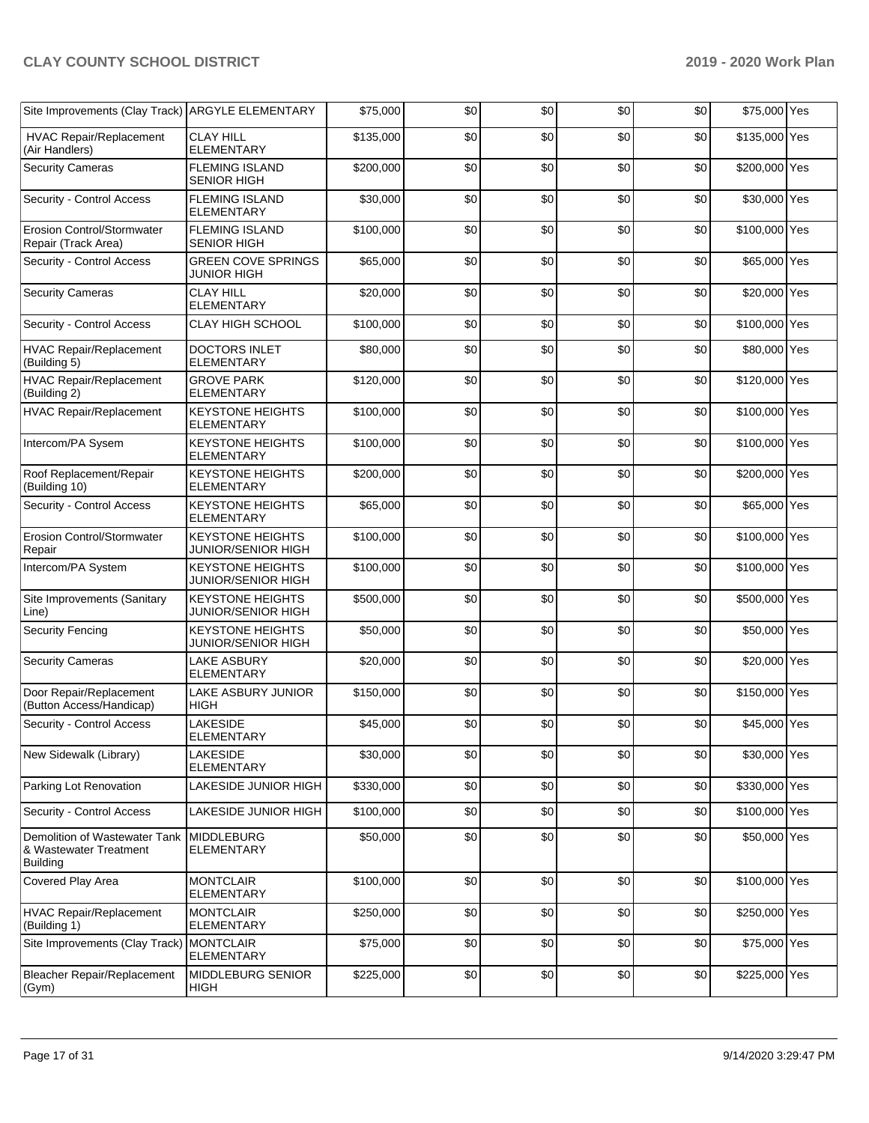| Site Improvements (Clay Track) ARGYLE ELEMENTARY                           |                                                      | \$75,000  | \$0 | \$0 | \$0 | \$0 | \$75,000 Yes  |  |
|----------------------------------------------------------------------------|------------------------------------------------------|-----------|-----|-----|-----|-----|---------------|--|
| <b>HVAC Repair/Replacement</b><br>(Air Handlers)                           | <b>CLAY HILL</b><br><b>ELEMENTARY</b>                | \$135,000 | \$0 | \$0 | \$0 | \$0 | \$135,000 Yes |  |
| <b>Security Cameras</b>                                                    | <b>FLEMING ISLAND</b><br><b>SENIOR HIGH</b>          | \$200,000 | \$0 | \$0 | \$0 | \$0 | \$200,000 Yes |  |
| Security - Control Access                                                  | <b>FLEMING ISLAND</b><br><b>ELEMENTARY</b>           | \$30,000  | \$0 | \$0 | \$0 | \$0 | \$30,000 Yes  |  |
| Erosion Control/Stormwater<br>Repair (Track Area)                          | <b>FLEMING ISLAND</b><br><b>SENIOR HIGH</b>          | \$100,000 | \$0 | \$0 | \$0 | \$0 | \$100,000 Yes |  |
| Security - Control Access                                                  | <b>GREEN COVE SPRINGS</b><br><b>JUNIOR HIGH</b>      | \$65,000  | \$0 | \$0 | \$0 | \$0 | \$65,000 Yes  |  |
| <b>Security Cameras</b>                                                    | <b>CLAY HILL</b><br><b>ELEMENTARY</b>                | \$20,000  | \$0 | \$0 | \$0 | \$0 | \$20,000 Yes  |  |
| Security - Control Access                                                  | <b>CLAY HIGH SCHOOL</b>                              | \$100,000 | \$0 | \$0 | \$0 | \$0 | \$100,000 Yes |  |
| HVAC Repair/Replacement<br>(Building 5)                                    | DOCTORS INLET<br><b>ELEMENTARY</b>                   | \$80,000  | \$0 | \$0 | \$0 | \$0 | \$80,000 Yes  |  |
| <b>HVAC Repair/Replacement</b><br>(Building 2)                             | <b>GROVE PARK</b><br><b>ELEMENTARY</b>               | \$120,000 | \$0 | \$0 | \$0 | \$0 | \$120,000 Yes |  |
| <b>HVAC Repair/Replacement</b>                                             | <b>KEYSTONE HEIGHTS</b><br><b>ELEMENTARY</b>         | \$100,000 | \$0 | \$0 | \$0 | \$0 | \$100,000 Yes |  |
| Intercom/PA Sysem                                                          | <b>KEYSTONE HEIGHTS</b><br><b>ELEMENTARY</b>         | \$100,000 | \$0 | \$0 | \$0 | \$0 | \$100,000 Yes |  |
| Roof Replacement/Repair<br>(Building 10)                                   | <b>KEYSTONE HEIGHTS</b><br><b>ELEMENTARY</b>         | \$200,000 | \$0 | \$0 | \$0 | \$0 | \$200,000 Yes |  |
| Security - Control Access                                                  | <b>KEYSTONE HEIGHTS</b><br><b>ELEMENTARY</b>         | \$65,000  | \$0 | \$0 | \$0 | \$0 | \$65,000 Yes  |  |
| Erosion Control/Stormwater<br>Repair                                       | <b>KEYSTONE HEIGHTS</b><br><b>JUNIOR/SENIOR HIGH</b> | \$100,000 | \$0 | \$0 | \$0 | \$0 | \$100,000 Yes |  |
| Intercom/PA System                                                         | <b>KEYSTONE HEIGHTS</b><br><b>JUNIOR/SENIOR HIGH</b> | \$100,000 | \$0 | \$0 | \$0 | \$0 | \$100,000 Yes |  |
| Site Improvements (Sanitary<br>Line)                                       | <b>KEYSTONE HEIGHTS</b><br><b>JUNIOR/SENIOR HIGH</b> | \$500,000 | \$0 | \$0 | \$0 | \$0 | \$500,000 Yes |  |
| <b>Security Fencing</b>                                                    | <b>KEYSTONE HEIGHTS</b><br><b>JUNIOR/SENIOR HIGH</b> | \$50,000  | \$0 | \$0 | \$0 | \$0 | \$50,000 Yes  |  |
| <b>Security Cameras</b>                                                    | <b>LAKE ASBURY</b><br><b>ELEMENTARY</b>              | \$20,000  | \$0 | \$0 | \$0 | \$0 | \$20,000 Yes  |  |
| Door Repair/Replacement<br>(Button Access/Handicap)                        | <b>LAKE ASBURY JUNIOR</b><br><b>HIGH</b>             | \$150,000 | \$0 | \$0 | \$0 | \$0 | \$150,000 Yes |  |
| Security - Control Access                                                  | <b>LAKESIDE</b><br>ELEMENTARY                        | \$45,000  | \$0 | \$0 | \$0 | \$0 | \$45,000 Yes  |  |
| New Sidewalk (Library)                                                     | <b>LAKESIDE</b><br><b>ELEMENTARY</b>                 | \$30,000  | \$0 | \$0 | \$0 | \$0 | \$30,000 Yes  |  |
| Parking Lot Renovation                                                     | LAKESIDE JUNIOR HIGH                                 | \$330,000 | \$0 | \$0 | \$0 | \$0 | \$330,000 Yes |  |
| Security - Control Access                                                  | LAKESIDE JUNIOR HIGH                                 | \$100,000 | \$0 | \$0 | \$0 | \$0 | \$100,000 Yes |  |
| Demolition of Wastewater Tank<br>& Wastewater Treatment<br><b>Building</b> | <b>MIDDLEBURG</b><br>ELEMENTARY                      | \$50,000  | \$0 | \$0 | \$0 | \$0 | \$50,000 Yes  |  |
| Covered Play Area                                                          | <b>MONTCLAIR</b><br><b>ELEMENTARY</b>                | \$100,000 | \$0 | \$0 | \$0 | \$0 | \$100,000 Yes |  |
| <b>HVAC Repair/Replacement</b><br>(Building 1)                             | <b>MONTCLAIR</b><br><b>ELEMENTARY</b>                | \$250,000 | \$0 | \$0 | \$0 | \$0 | \$250,000 Yes |  |
| Site Improvements (Clay Track)                                             | <b>MONTCLAIR</b><br>ELEMENTARY                       | \$75,000  | \$0 | \$0 | \$0 | \$0 | \$75,000 Yes  |  |
| <b>Bleacher Repair/Replacement</b><br>(Gym)                                | <b>MIDDLEBURG SENIOR</b><br><b>HIGH</b>              | \$225,000 | \$0 | \$0 | \$0 | \$0 | \$225,000 Yes |  |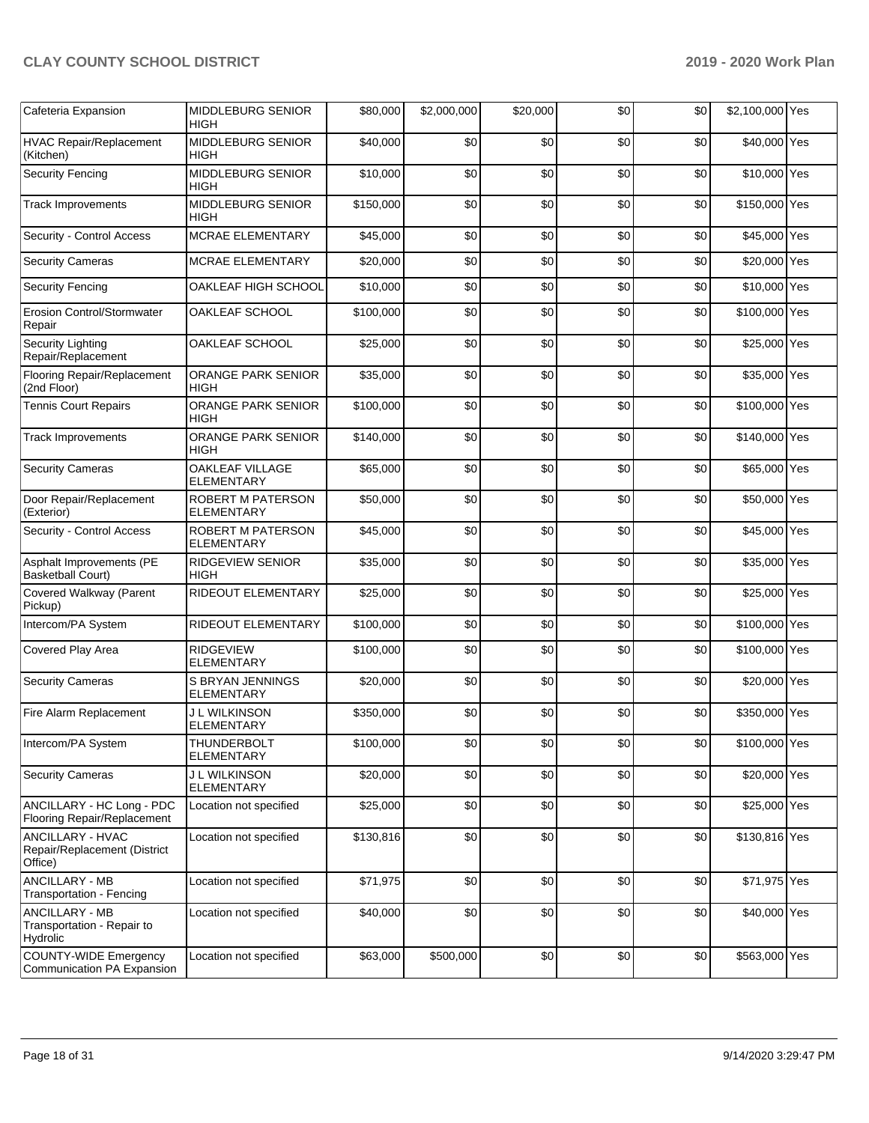| Cafeteria Expansion                                                | <b>MIDDLEBURG SENIOR</b><br><b>HIGH</b>       | \$80,000  | \$2,000,000 | \$20,000 | \$0 | \$0 | \$2,100,000 Yes |  |
|--------------------------------------------------------------------|-----------------------------------------------|-----------|-------------|----------|-----|-----|-----------------|--|
| <b>HVAC Repair/Replacement</b><br>(Kitchen)                        | MIDDLEBURG SENIOR<br><b>HIGH</b>              | \$40,000  | \$0         | \$0      | \$0 | \$0 | \$40,000 Yes    |  |
| <b>Security Fencing</b>                                            | MIDDLEBURG SENIOR<br><b>HIGH</b>              | \$10,000  | \$0         | \$0      | \$0 | \$0 | \$10,000 Yes    |  |
| <b>Track Improvements</b>                                          | MIDDLEBURG SENIOR<br><b>HIGH</b>              | \$150,000 | \$0         | \$0      | \$0 | \$0 | \$150,000 Yes   |  |
| Security - Control Access                                          | <b>MCRAE ELEMENTARY</b>                       | \$45,000  | \$0         | \$0      | \$0 | \$0 | \$45,000 Yes    |  |
| <b>Security Cameras</b>                                            | MCRAE ELEMENTARY                              | \$20,000  | \$0         | \$0      | \$0 | \$0 | \$20,000 Yes    |  |
| <b>Security Fencing</b>                                            | OAKLEAF HIGH SCHOOL                           | \$10,000  | \$0         | \$0      | \$0 | \$0 | \$10,000 Yes    |  |
| <b>Erosion Control/Stormwater</b><br>Repair                        | OAKLEAF SCHOOL                                | \$100,000 | \$0         | \$0      | \$0 | \$0 | \$100,000 Yes   |  |
| <b>Security Lighting</b><br>Repair/Replacement                     | OAKLEAF SCHOOL                                | \$25,000  | \$0         | \$0      | \$0 | \$0 | \$25,000 Yes    |  |
| Flooring Repair/Replacement<br>(2nd Floor)                         | ORANGE PARK SENIOR<br>HIGH                    | \$35,000  | \$0         | \$0      | \$0 | \$0 | \$35,000 Yes    |  |
| <b>Tennis Court Repairs</b>                                        | ORANGE PARK SENIOR<br><b>HIGH</b>             | \$100,000 | \$0         | \$0      | \$0 | \$0 | \$100,000 Yes   |  |
| <b>Track Improvements</b>                                          | ORANGE PARK SENIOR<br>HIGH                    | \$140,000 | \$0         | \$0      | \$0 | \$0 | \$140,000 Yes   |  |
| <b>Security Cameras</b>                                            | OAKLEAF VILLAGE<br><b>ELEMENTARY</b>          | \$65,000  | \$0         | \$0      | \$0 | \$0 | \$65,000 Yes    |  |
| Door Repair/Replacement<br>(Exterior)                              | <b>ROBERT M PATERSON</b><br><b>ELEMENTARY</b> | \$50,000  | \$0         | \$0      | \$0 | \$0 | \$50,000 Yes    |  |
| Security - Control Access                                          | ROBERT M PATERSON<br><b>ELEMENTARY</b>        | \$45,000  | \$0         | \$0      | \$0 | \$0 | \$45,000 Yes    |  |
| Asphalt Improvements (PE<br><b>Basketball Court)</b>               | <b>RIDGEVIEW SENIOR</b><br><b>HIGH</b>        | \$35,000  | \$0         | \$0      | \$0 | \$0 | \$35,000 Yes    |  |
| Covered Walkway (Parent<br>Pickup)                                 | RIDEOUT ELEMENTARY                            | \$25,000  | \$0         | \$0      | \$0 | \$0 | \$25,000 Yes    |  |
| Intercom/PA System                                                 | RIDEOUT ELEMENTARY                            | \$100,000 | \$0         | \$0      | \$0 | \$0 | \$100,000 Yes   |  |
| Covered Play Area                                                  | <b>RIDGEVIEW</b><br><b>ELEMENTARY</b>         | \$100,000 | \$0         | \$0      | \$0 | \$0 | \$100,000 Yes   |  |
| <b>Security Cameras</b>                                            | S BRYAN JENNINGS<br><b>ELEMENTARY</b>         | \$20,000  | \$0         | \$0      | \$0 | \$0 | \$20,000 Yes    |  |
| Fire Alarm Replacement                                             | <b>J L WILKINSON</b><br><b>ELEMENTARY</b>     | \$350,000 | \$0         | \$0      | \$0 | \$0 | \$350,000 Yes   |  |
| Intercom/PA System                                                 | THUNDERBOLT<br><b>ELEMENTARY</b>              | \$100,000 | \$0         | \$0      | \$0 | \$0 | \$100,000 Yes   |  |
| <b>Security Cameras</b>                                            | <b>J L WILKINSON</b><br><b>ELEMENTARY</b>     | \$20,000  | \$0         | \$0      | \$0 | \$0 | \$20,000 Yes    |  |
| ANCILLARY - HC Long - PDC<br>Flooring Repair/Replacement           | Location not specified                        | \$25,000  | \$0         | \$0      | \$0 | \$0 | \$25,000 Yes    |  |
| <b>ANCILLARY - HVAC</b><br>Repair/Replacement (District<br>Office) | Location not specified                        | \$130,816 | \$0         | \$0      | \$0 | \$0 | \$130,816 Yes   |  |
| ANCILLARY - MB<br>Transportation - Fencing                         | Location not specified                        | \$71,975  | \$0         | \$0      | \$0 | \$0 | \$71,975 Yes    |  |
| <b>ANCILLARY - MB</b><br>Transportation - Repair to<br>Hydrolic    | Location not specified                        | \$40,000  | \$0         | \$0      | \$0 | \$0 | \$40,000 Yes    |  |
| <b>COUNTY-WIDE Emergency</b><br>Communication PA Expansion         | Location not specified                        | \$63,000  | \$500,000   | \$0      | \$0 | \$0 | \$563,000 Yes   |  |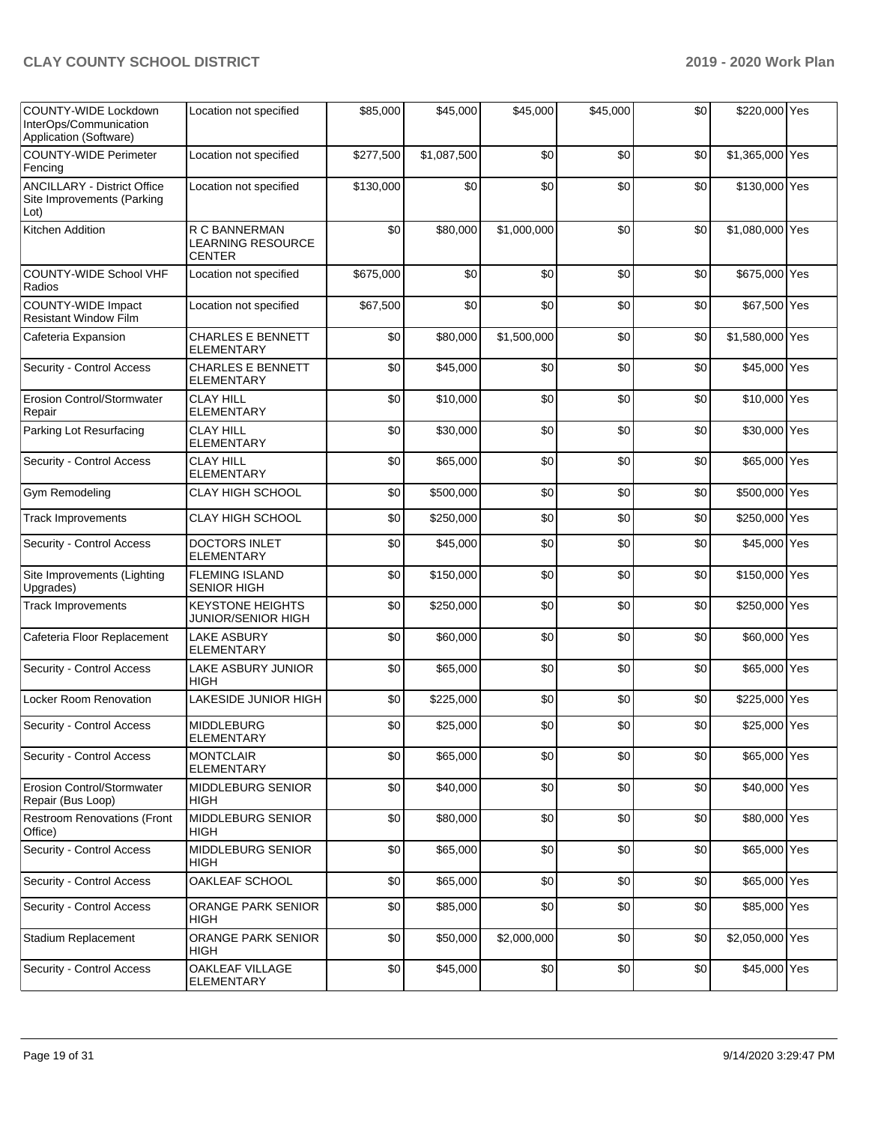| COUNTY-WIDE Lockdown<br>InterOps/Communication<br>Application (Software) | Location not specified                              | \$85,000  | \$45,000    | \$45,000    | \$45,000 | \$0 | \$220,000 Yes   |  |
|--------------------------------------------------------------------------|-----------------------------------------------------|-----------|-------------|-------------|----------|-----|-----------------|--|
| <b>COUNTY-WIDE Perimeter</b><br>Fencing                                  | Location not specified                              | \$277,500 | \$1,087,500 | \$0         | \$0      | \$0 | \$1,365,000 Yes |  |
| <b>ANCILLARY - District Office</b><br>Site Improvements (Parking<br>Lot) | Location not specified                              | \$130,000 | \$0         | \$0         | \$0      | \$0 | \$130,000 Yes   |  |
| Kitchen Addition                                                         | R C BANNERMAN<br>LEARNING RESOURCE<br><b>CENTER</b> | \$0       | \$80,000    | \$1,000,000 | \$0      | \$0 | \$1,080,000 Yes |  |
| <b>COUNTY-WIDE School VHF</b><br>Radios                                  | Location not specified                              | \$675,000 | \$0         | \$0         | \$0      | \$0 | \$675,000 Yes   |  |
| COUNTY-WIDE Impact<br><b>Resistant Window Film</b>                       | Location not specified                              | \$67,500  | \$0         | \$0         | \$0      | \$0 | \$67,500 Yes    |  |
| Cafeteria Expansion                                                      | <b>CHARLES E BENNETT</b><br><b>ELEMENTARY</b>       | \$0       | \$80,000    | \$1,500,000 | \$0      | \$0 | \$1,580,000 Yes |  |
| Security - Control Access                                                | <b>CHARLES E BENNETT</b><br>ELEMENTARY              | \$0       | \$45,000    | \$0         | \$0      | \$0 | \$45,000 Yes    |  |
| <b>Erosion Control/Stormwater</b><br>Repair                              | <b>CLAY HILL</b><br><b>ELEMENTARY</b>               | \$0       | \$10,000    | \$0         | \$0      | \$0 | \$10,000 Yes    |  |
| Parking Lot Resurfacing                                                  | <b>CLAY HILL</b><br><b>ELEMENTARY</b>               | \$0       | \$30,000    | \$0         | \$0      | \$0 | \$30,000 Yes    |  |
| Security - Control Access                                                | <b>CLAY HILL</b><br><b>ELEMENTARY</b>               | \$0       | \$65,000    | \$0         | \$0      | \$0 | \$65,000 Yes    |  |
| Gym Remodeling                                                           | <b>CLAY HIGH SCHOOL</b>                             | \$0       | \$500,000   | \$0         | \$0      | \$0 | \$500,000 Yes   |  |
| <b>Track Improvements</b>                                                | <b>CLAY HIGH SCHOOL</b>                             | \$0       | \$250,000   | \$0         | \$0      | \$0 | \$250,000 Yes   |  |
| Security - Control Access                                                | <b>DOCTORS INLET</b><br><b>ELEMENTARY</b>           | \$0       | \$45,000    | \$0         | \$0      | \$0 | \$45,000 Yes    |  |
| Site Improvements (Lighting<br>Upgrades)                                 | <b>FLEMING ISLAND</b><br><b>SENIOR HIGH</b>         | \$0       | \$150,000   | \$0         | \$0      | \$0 | \$150,000 Yes   |  |
| <b>Track Improvements</b>                                                | <b>KEYSTONE HEIGHTS</b><br>JUNIOR/SENIOR HIGH       | \$0       | \$250,000   | \$0         | \$0      | \$0 | \$250,000 Yes   |  |
| Cafeteria Floor Replacement                                              | LAKE ASBURY<br><b>ELEMENTARY</b>                    | \$0       | \$60,000    | \$0         | \$0      | \$0 | \$60,000 Yes    |  |
| Security - Control Access                                                | LAKE ASBURY JUNIOR<br>HIGH                          | \$0       | \$65,000    | \$0         | \$0      | \$0 | \$65,000 Yes    |  |
| Locker Room Renovation                                                   | LAKESIDE JUNIOR HIGH                                | \$0       | \$225,000   | \$0         | \$0      | \$0 | \$225,000 Yes   |  |
| Security - Control Access                                                | <b>MIDDLEBURG</b><br>ELEMENTARY                     | \$0       | \$25,000    | \$0         | \$0      | \$0 | \$25,000 Yes    |  |
| Security - Control Access                                                | <b>MONTCLAIR</b><br><b>ELEMENTARY</b>               | \$0       | \$65,000    | \$0         | \$0      | \$0 | \$65,000 Yes    |  |
| Erosion Control/Stormwater<br>Repair (Bus Loop)                          | MIDDLEBURG SENIOR<br>HIGH                           | \$0       | \$40,000    | \$0         | \$0      | \$0 | \$40,000 Yes    |  |
| <b>Restroom Renovations (Front</b><br>Office)                            | MIDDLEBURG SENIOR<br><b>HIGH</b>                    | \$0       | \$80,000    | \$0         | \$0      | \$0 | \$80,000 Yes    |  |
| Security - Control Access                                                | MIDDLEBURG SENIOR<br><b>HIGH</b>                    | \$0       | \$65,000    | \$0         | \$0      | \$0 | \$65,000 Yes    |  |
| Security - Control Access                                                | OAKLEAF SCHOOL                                      | \$0       | \$65,000    | \$0         | \$0      | \$0 | \$65,000 Yes    |  |
| Security - Control Access                                                | ORANGE PARK SENIOR<br>HIGH                          | \$0       | \$85,000    | \$0         | \$0      | \$0 | \$85,000 Yes    |  |
| Stadium Replacement                                                      | ORANGE PARK SENIOR<br>HIGH                          | \$0       | \$50,000    | \$2,000,000 | \$0      | \$0 | \$2,050,000 Yes |  |
| Security - Control Access                                                | OAKLEAF VILLAGE<br>ELEMENTARY                       | \$0       | \$45,000    | \$0         | \$0      | \$0 | \$45,000 Yes    |  |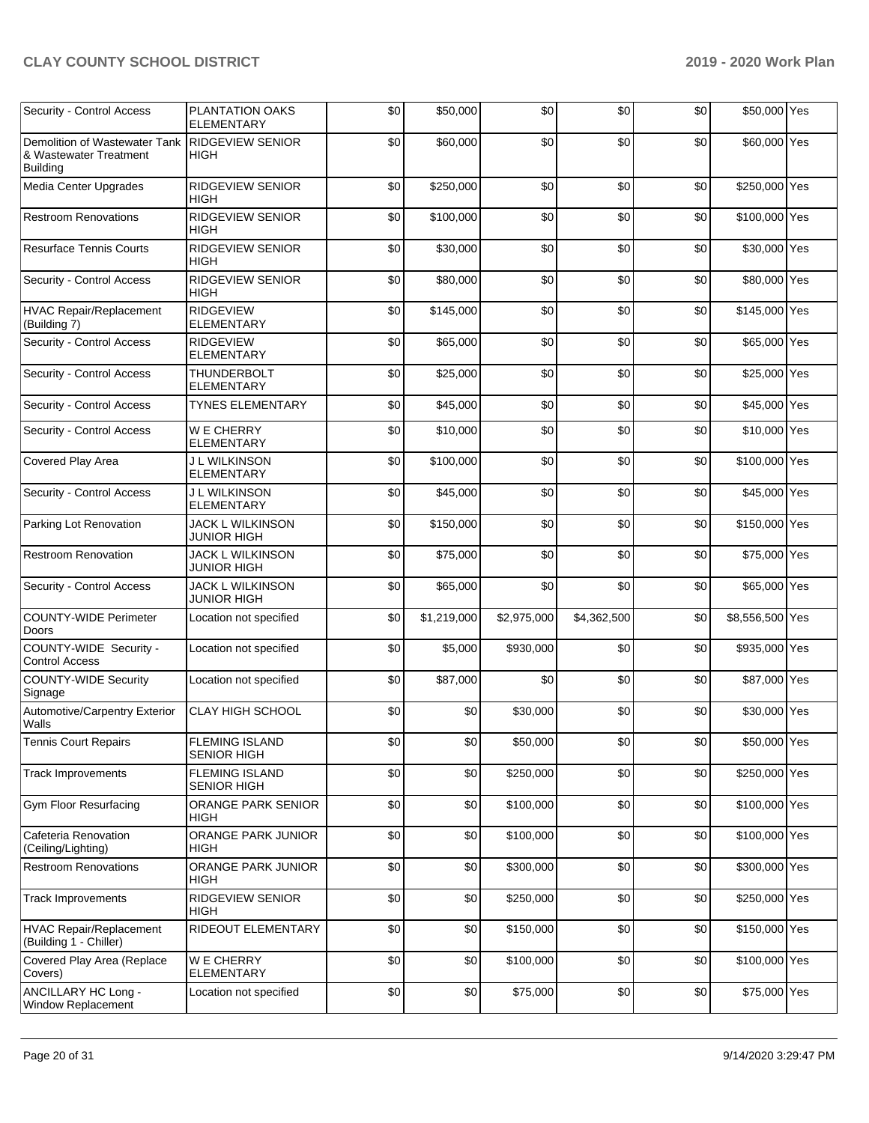| Security - Control Access                                                                   | PLANTATION OAKS<br><b>ELEMENTARY</b>          | \$0 | \$50,000    | \$0         | \$0         | \$0 | \$50,000 Yes    |  |
|---------------------------------------------------------------------------------------------|-----------------------------------------------|-----|-------------|-------------|-------------|-----|-----------------|--|
| Demolition of Wastewater Tank RIDGEVIEW SENIOR<br>& Wastewater Treatment<br><b>Building</b> | <b>HIGH</b>                                   | \$0 | \$60,000    | \$0         | \$0         | \$0 | \$60,000 Yes    |  |
| Media Center Upgrades                                                                       | RIDGEVIEW SENIOR<br>HIGH                      | \$0 | \$250,000   | \$0         | \$0         | \$0 | \$250,000 Yes   |  |
| <b>Restroom Renovations</b>                                                                 | RIDGEVIEW SENIOR<br><b>HIGH</b>               | \$0 | \$100,000   | \$0         | \$0         | \$0 | \$100,000 Yes   |  |
| <b>Resurface Tennis Courts</b>                                                              | <b>RIDGEVIEW SENIOR</b><br><b>HIGH</b>        | \$0 | \$30,000    | \$0         | \$0         | \$0 | \$30,000 Yes    |  |
| Security - Control Access                                                                   | RIDGEVIEW SENIOR<br><b>HIGH</b>               | \$0 | \$80,000    | \$0         | \$0         | \$0 | \$80,000 Yes    |  |
| <b>HVAC Repair/Replacement</b><br>(Building 7)                                              | RIDGEVIEW<br><b>ELEMENTARY</b>                | \$0 | \$145,000   | \$0         | \$0         | \$0 | \$145,000 Yes   |  |
| Security - Control Access                                                                   | <b>RIDGEVIEW</b><br><b>ELEMENTARY</b>         | \$0 | \$65,000    | \$0         | \$0         | \$0 | \$65,000 Yes    |  |
| Security - Control Access                                                                   | <b>THUNDERBOLT</b><br><b>ELEMENTARY</b>       | \$0 | \$25,000    | \$0         | \$0         | \$0 | \$25,000 Yes    |  |
| Security - Control Access                                                                   | <b>TYNES ELEMENTARY</b>                       | \$0 | \$45,000    | \$0         | \$0         | \$0 | \$45,000 Yes    |  |
| Security - Control Access                                                                   | W E CHERRY<br><b>ELEMENTARY</b>               | \$0 | \$10,000    | \$0         | \$0         | \$0 | \$10,000 Yes    |  |
| Covered Play Area                                                                           | <b>J L WILKINSON</b><br><b>ELEMENTARY</b>     | \$0 | \$100,000   | \$0         | \$0         | \$0 | \$100,000 Yes   |  |
| Security - Control Access                                                                   | J L WILKINSON<br><b>ELEMENTARY</b>            | \$0 | \$45,000    | \$0         | \$0         | \$0 | \$45,000 Yes    |  |
| Parking Lot Renovation                                                                      | <b>JACK L WILKINSON</b><br>JUNIOR HIGH        | \$0 | \$150,000   | \$0         | \$0         | \$0 | \$150,000 Yes   |  |
| <b>Restroom Renovation</b>                                                                  | <b>JACK L WILKINSON</b><br><b>JUNIOR HIGH</b> | \$0 | \$75,000    | \$0         | \$0         | \$0 | \$75,000 Yes    |  |
| Security - Control Access                                                                   | JACK L WILKINSON<br><b>JUNIOR HIGH</b>        | \$0 | \$65,000    | \$0         | \$0         | \$0 | \$65,000 Yes    |  |
| <b>COUNTY-WIDE Perimeter</b><br>Doors                                                       | Location not specified                        | \$0 | \$1,219,000 | \$2,975,000 | \$4,362,500 | \$0 | \$8,556,500 Yes |  |
| COUNTY-WIDE Security -<br><b>Control Access</b>                                             | Location not specified                        | \$0 | \$5,000     | \$930,000   | \$0         | \$0 | \$935,000 Yes   |  |
| <b>COUNTY-WIDE Security</b><br>Signage                                                      | Location not specified                        | \$0 | \$87,000    | \$0         | \$0         | \$0 | \$87,000 Yes    |  |
| Automotive/Carpentry Exterior<br>Walls                                                      | <b>CLAY HIGH SCHOOL</b>                       | \$0 | \$0         | \$30,000    | \$0         | \$0 | \$30,000 Yes    |  |
| <b>Tennis Court Repairs</b>                                                                 | <b>FLEMING ISLAND</b><br><b>SENIOR HIGH</b>   | \$0 | \$0         | \$50,000    | \$0         | \$0 | \$50,000 Yes    |  |
| <b>Track Improvements</b>                                                                   | <b>FLEMING ISLAND</b><br><b>SENIOR HIGH</b>   | \$0 | \$0         | \$250,000   | \$0         | \$0 | \$250,000 Yes   |  |
| Gym Floor Resurfacing                                                                       | <b>ORANGE PARK SENIOR</b><br>HIGH             | \$0 | \$0         | \$100,000   | \$0         | \$0 | \$100,000 Yes   |  |
| Cafeteria Renovation<br>(Ceiling/Lighting)                                                  | ORANGE PARK JUNIOR<br>HIGH                    | \$0 | \$0         | \$100,000   | \$0         | \$0 | \$100,000 Yes   |  |
| <b>Restroom Renovations</b>                                                                 | ORANGE PARK JUNIOR<br><b>HIGH</b>             | \$0 | \$0         | \$300,000   | \$0         | \$0 | \$300,000 Yes   |  |
| <b>Track Improvements</b>                                                                   | RIDGEVIEW SENIOR<br><b>HIGH</b>               | \$0 | \$0         | \$250,000   | \$0         | \$0 | \$250,000 Yes   |  |
| <b>HVAC Repair/Replacement</b><br>(Building 1 - Chiller)                                    | RIDEOUT ELEMENTARY                            | \$0 | \$0         | \$150,000   | \$0         | \$0 | \$150,000 Yes   |  |
| Covered Play Area (Replace<br>Covers)                                                       | W E CHERRY<br><b>ELEMENTARY</b>               | \$0 | \$0         | \$100,000   | \$0         | \$0 | \$100,000 Yes   |  |
| ANCILLARY HC Long -<br><b>Window Replacement</b>                                            | Location not specified                        | \$0 | \$0         | \$75,000    | \$0         | \$0 | \$75,000 Yes    |  |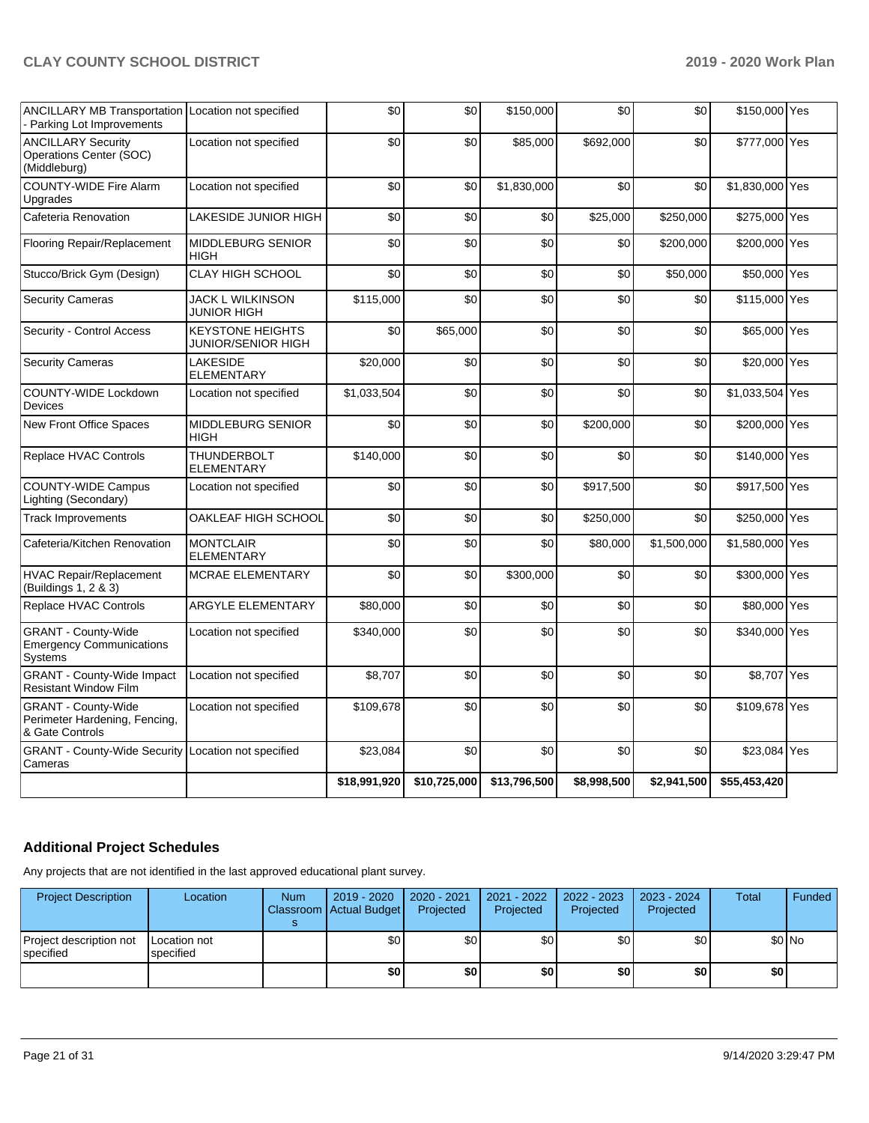| ANCILLARY MB Transportation Location not specified<br>- Parking Lot Improvements |                                                      | \$0          | \$0          | \$150,000    | \$0         | \$0         | \$150,000 Yes   |  |
|----------------------------------------------------------------------------------|------------------------------------------------------|--------------|--------------|--------------|-------------|-------------|-----------------|--|
| <b>ANCILLARY Security</b><br>Operations Center (SOC)<br>(Middleburg)             | Location not specified                               | \$0          | \$0          | \$85,000     | \$692,000   | \$0         | \$777,000 Yes   |  |
| <b>COUNTY-WIDE Fire Alarm</b><br>Upgrades                                        | Location not specified                               | \$0          | \$0          | \$1,830,000  | \$0         | \$0         | \$1,830,000 Yes |  |
| Cafeteria Renovation                                                             | <b>LAKESIDE JUNIOR HIGH</b>                          | \$0          | \$0          | \$0          | \$25,000    | \$250,000   | \$275,000 Yes   |  |
| Flooring Repair/Replacement                                                      | <b>MIDDLEBURG SENIOR</b><br><b>HIGH</b>              | \$0          | \$0          | \$0          | \$0         | \$200,000   | \$200,000 Yes   |  |
| Stucco/Brick Gym (Design)                                                        | <b>CLAY HIGH SCHOOL</b>                              | \$0          | \$0          | \$0          | \$0         | \$50,000    | \$50,000 Yes    |  |
| <b>Security Cameras</b>                                                          | <b>JACK L WILKINSON</b><br>JUNIOR HIGH               | \$115,000    | \$0          | \$0          | \$0         | \$0         | \$115,000 Yes   |  |
| Security - Control Access                                                        | <b>KEYSTONE HEIGHTS</b><br><b>JUNIOR/SENIOR HIGH</b> | \$0          | \$65,000     | \$0          | \$0         | \$0         | \$65,000 Yes    |  |
| <b>Security Cameras</b>                                                          | LAKESIDE<br><b>ELEMENTARY</b>                        | \$20,000     | \$0          | \$0          | \$0         | \$0         | \$20,000 Yes    |  |
| COUNTY-WIDE Lockdown<br><b>Devices</b>                                           | Location not specified                               | \$1,033,504  | \$0          | \$0          | \$0         | \$0         | \$1,033,504 Yes |  |
| New Front Office Spaces                                                          | MIDDLEBURG SENIOR<br><b>HIGH</b>                     | \$0          | \$0          | \$0          | \$200,000   | \$0         | \$200,000 Yes   |  |
| Replace HVAC Controls                                                            | <b>THUNDERBOLT</b><br><b>ELEMENTARY</b>              | \$140,000    | \$0          | \$0          | \$0         | \$0         | \$140,000 Yes   |  |
| <b>COUNTY-WIDE Campus</b><br>Lighting (Secondary)                                | Location not specified                               | \$0          | \$0          | \$0          | \$917,500   | \$0         | \$917,500 Yes   |  |
| <b>Track Improvements</b>                                                        | OAKLEAF HIGH SCHOOL                                  | \$0          | \$0          | \$0          | \$250,000   | \$0         | \$250,000 Yes   |  |
| Cafeteria/Kitchen Renovation                                                     | <b>MONTCLAIR</b><br><b>ELEMENTARY</b>                | \$0          | \$0          | \$0          | \$80,000    | \$1,500,000 | \$1,580,000 Yes |  |
| <b>HVAC Repair/Replacement</b><br>(Buildings 1, 2 & 3)                           | <b>MCRAE ELEMENTARY</b>                              | \$0          | \$0          | \$300,000    | \$0         | \$0         | \$300,000 Yes   |  |
| Replace HVAC Controls                                                            | ARGYLE ELEMENTARY                                    | \$80,000     | \$0          | \$0          | \$0         | \$0         | \$80,000 Yes    |  |
| <b>GRANT - County-Wide</b><br><b>Emergency Communications</b><br>Systems         | Location not specified                               | \$340,000    | \$0          | \$0          | \$0         | \$0         | \$340,000 Yes   |  |
| <b>GRANT - County-Wide Impact</b><br><b>Resistant Window Film</b>                | Location not specified                               | \$8,707      | \$0          | \$0          | \$0         | \$0         | \$8,707 Yes     |  |
| GRANT - County-Wide<br>Perimeter Hardening, Fencing,<br>& Gate Controls          | Location not specified                               | \$109,678    | \$0          | \$0          | \$0         | \$0         | \$109,678 Yes   |  |
| <b>GRANT - County-Wide Security Location not specified</b><br>Cameras            |                                                      | \$23,084     | \$0          | \$0          | \$0         | \$0         | \$23,084 Yes    |  |
|                                                                                  |                                                      | \$18,991,920 | \$10,725,000 | \$13,796,500 | \$8,998,500 | \$2,941,500 | \$55,453,420    |  |

## **Additional Project Schedules**

Any projects that are not identified in the last approved educational plant survey.

| <b>Project Description</b>           | Location                          | <b>Num</b> | 2019 - 2020   2020 - 2021<br>Classroom Actual Budget | Projected | 2021 - 2022<br>Projected | $2022 - 2023$<br>Projected | 2023 - 2024<br>Projected | Total | Funded  |
|--------------------------------------|-----------------------------------|------------|------------------------------------------------------|-----------|--------------------------|----------------------------|--------------------------|-------|---------|
| Project description not<br>specified | <b>ILocation not</b><br>specified |            | \$0 <sub>1</sub>                                     | \$0       | \$0                      | \$0                        | \$0                      |       | $$0$ No |
|                                      |                                   |            | \$0                                                  | \$0       | \$0                      | \$0                        | \$0                      | \$0   |         |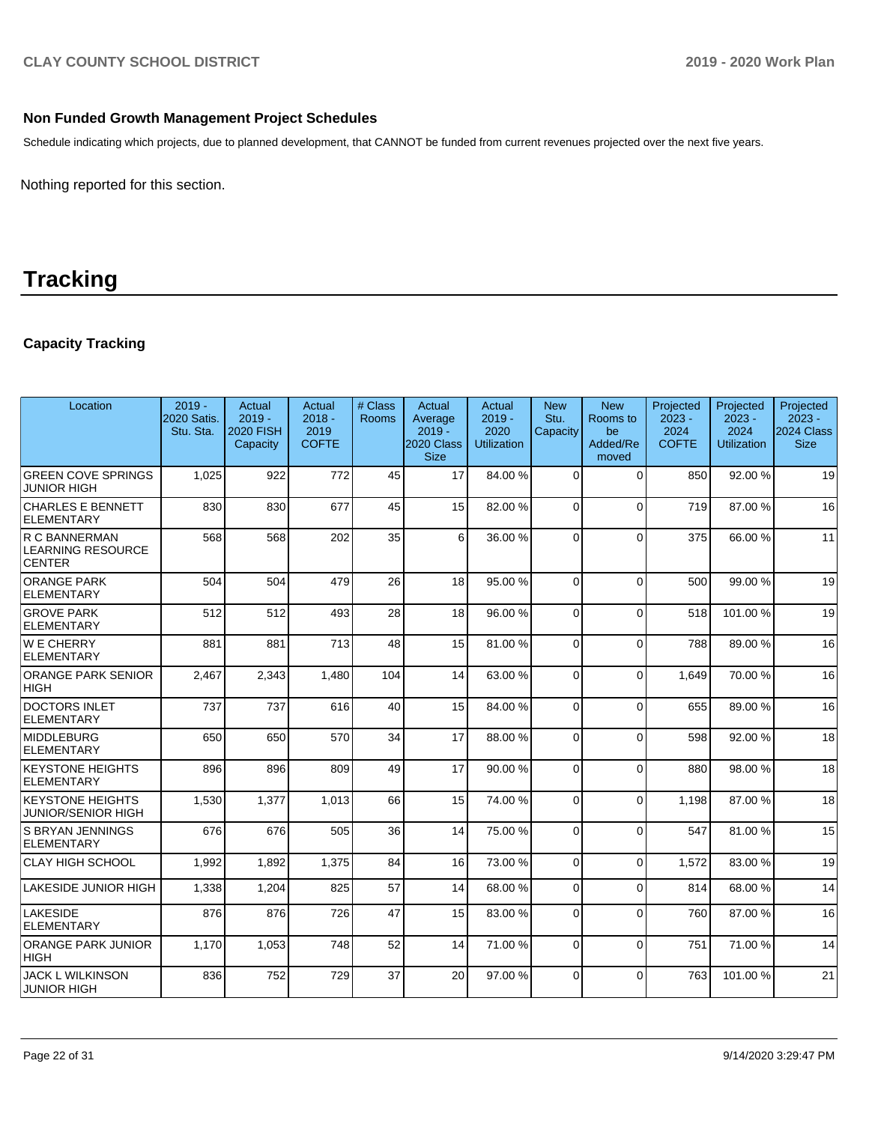### **Non Funded Growth Management Project Schedules**

Schedule indicating which projects, due to planned development, that CANNOT be funded from current revenues projected over the next five years.

Nothing reported for this section.

# **Tracking**

## **Capacity Tracking**

| Location                                                   | $2019 -$<br>2020 Satis.<br>Stu. Sta. | Actual<br>$2019 -$<br><b>2020 FISH</b><br>Capacity | Actual<br>$2018 -$<br>2019<br><b>COFTE</b> | # Class<br>Rooms | Actual<br>Average<br>$2019 -$<br>2020 Class<br><b>Size</b> | Actual<br>$2019 -$<br>2020<br><b>Utilization</b> | <b>New</b><br>Stu.<br>Capacity | <b>New</b><br>Rooms to<br>be<br>Added/Re<br>moved | Projected<br>$2023 -$<br>2024<br><b>COFTE</b> | Projected<br>$2023 -$<br>2024<br><b>Utilization</b> | Projected<br>$2023 -$<br>2024 Class<br><b>Size</b> |
|------------------------------------------------------------|--------------------------------------|----------------------------------------------------|--------------------------------------------|------------------|------------------------------------------------------------|--------------------------------------------------|--------------------------------|---------------------------------------------------|-----------------------------------------------|-----------------------------------------------------|----------------------------------------------------|
| <b>GREEN COVE SPRINGS</b><br>JUNIOR HIGH                   | 1,025                                | 922                                                | 772                                        | 45               | 17                                                         | 84.00%                                           | $\Omega$                       | $\Omega$                                          | 850                                           | 92.00 %                                             | 19                                                 |
| <b>CHARLES E BENNETT</b><br><b>ELEMENTARY</b>              | 830                                  | 830                                                | 677                                        | 45               | 15                                                         | 82.00%                                           | $\Omega$                       | $\Omega$                                          | 719                                           | 87.00 %                                             | 16                                                 |
| R C BANNERMAN<br><b>LEARNING RESOURCE</b><br><b>CENTER</b> | 568                                  | 568                                                | 202                                        | 35               | 6                                                          | 36.00 %                                          | $\Omega$                       | $\Omega$                                          | 375                                           | 66.00 %                                             | 11                                                 |
| <b>ORANGE PARK</b><br>ELEMENTARY                           | 504                                  | 504                                                | 479                                        | 26               | 18                                                         | 95.00 %                                          | $\Omega$                       | $\Omega$                                          | 500                                           | 99.00 %                                             | 19                                                 |
| <b>GROVE PARK</b><br>ELEMENTARY                            | 512                                  | 512                                                | 493                                        | 28               | 18                                                         | 96.00%                                           | $\Omega$                       | $\Omega$                                          | 518                                           | 101.00%                                             | 19                                                 |
| WE CHERRY<br>ELEMENTARY                                    | 881                                  | 881                                                | 713                                        | 48               | 15                                                         | 81.00%                                           | $\Omega$                       | $\Omega$                                          | 788                                           | 89.00 %                                             | 16                                                 |
| <b>ORANGE PARK SENIOR</b><br> HIGH                         | 2,467                                | 2,343                                              | 1,480                                      | 104              | 14                                                         | 63.00 %                                          | $\Omega$                       | $\Omega$                                          | 1.649                                         | 70.00 %                                             | 16                                                 |
| <b>DOCTORS INLET</b><br><b>ELEMENTARY</b>                  | 737                                  | 737                                                | 616                                        | 40               | 15                                                         | 84.00%                                           | $\Omega$                       | $\Omega$                                          | 655                                           | 89.00 %                                             | 16                                                 |
| MIDDLEBURG<br><b>ELEMENTARY</b>                            | 650                                  | 650                                                | 570                                        | 34               | 17                                                         | 88.00 %                                          | $\Omega$                       | $\Omega$                                          | 598                                           | 92.00 %                                             | 18                                                 |
| <b>KEYSTONE HEIGHTS</b><br>ELEMENTARY                      | 896                                  | 896                                                | 809                                        | 49               | 17                                                         | 90.00%                                           | $\Omega$                       | $\Omega$                                          | 880                                           | 98.00 %                                             | 18                                                 |
| <b>KEYSTONE HEIGHTS</b><br><b>JUNIOR/SENIOR HIGH</b>       | 1,530                                | 1,377                                              | 1,013                                      | 66               | 15                                                         | 74.00%                                           | $\Omega$                       | $\Omega$                                          | 1,198                                         | 87.00 %                                             | 18                                                 |
| S BRYAN JENNINGS<br><b>ELEMENTARY</b>                      | 676                                  | 676                                                | 505                                        | 36               | 14                                                         | 75.00 %                                          | $\Omega$                       | $\Omega$                                          | 547                                           | 81.00%                                              | 15                                                 |
| <b>CLAY HIGH SCHOOL</b>                                    | 1,992                                | 1,892                                              | 1,375                                      | 84               | 16                                                         | 73.00 %                                          | $\Omega$                       | $\mathbf 0$                                       | 1,572                                         | 83.00 %                                             | 19                                                 |
| LAKESIDE JUNIOR HIGH                                       | 1,338                                | 1,204                                              | 825                                        | 57               | 14                                                         | 68.00%                                           | $\Omega$                       | $\Omega$                                          | 814                                           | 68.00 %                                             | 14                                                 |
| <b>LAKESIDE</b><br><b>ELEMENTARY</b>                       | 876                                  | 876                                                | 726                                        | 47               | 15                                                         | 83.00 %                                          | $\Omega$                       | $\Omega$                                          | 760                                           | 87.00 %                                             | 16                                                 |
| <b>ORANGE PARK JUNIOR</b><br> HIGH                         | 1,170                                | 1,053                                              | 748                                        | 52               | 14                                                         | 71.00 %                                          | $\Omega$                       | $\Omega$                                          | 751                                           | 71.00 %                                             | 14                                                 |
| <b>JACK L WILKINSON</b><br><b>JUNIOR HIGH</b>              | 836                                  | 752                                                | 729                                        | 37               | 20                                                         | 97.00 %                                          | $\Omega$                       | $\Omega$                                          | 763                                           | 101.00%                                             | 21                                                 |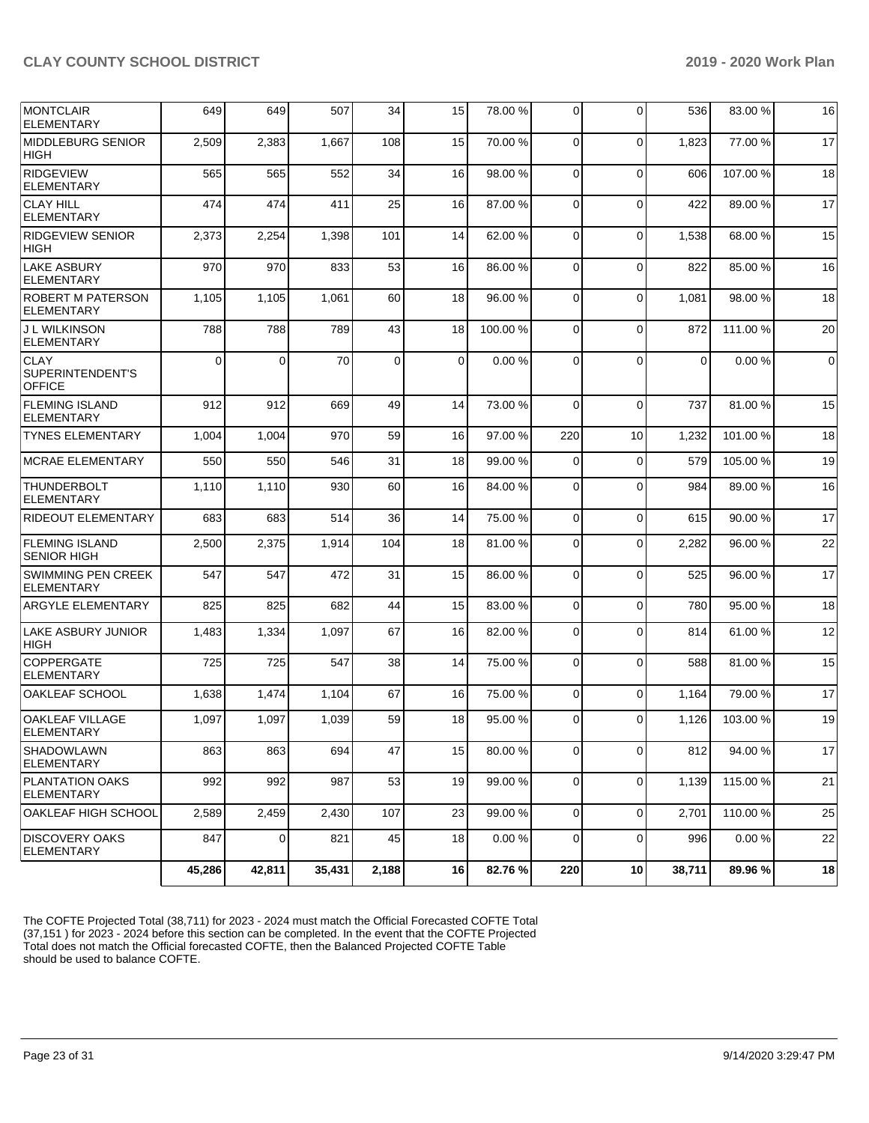| MONTCLAIR<br><b>ELEMENTARY</b>                   | 649      | 649            | 507    | 34          | 15 | 78.00 % | $\Omega$    | $\Omega$ | 536         | 83.00 %  | 16             |
|--------------------------------------------------|----------|----------------|--------|-------------|----|---------|-------------|----------|-------------|----------|----------------|
| <b>MIDDLEBURG SENIOR</b><br><b>HIGH</b>          | 2,509    | 2,383          | 1,667  | 108         | 15 | 70.00%  | $\Omega$    | $\Omega$ | 1,823       | 77.00 %  | 17             |
| <b>RIDGEVIEW</b><br><b>ELEMENTARY</b>            | 565      | 565            | 552    | 34          | 16 | 98.00 % | 0           | $\Omega$ | 606         | 107.00%  | 18             |
| <b>CLAY HILL</b><br><b>ELEMENTARY</b>            | 474      | 474            | 411    | 25          | 16 | 87.00 % | $\Omega$    | $\Omega$ | 422         | 89.00 %  | 17             |
| <b>RIDGEVIEW SENIOR</b><br><b>HIGH</b>           | 2,373    | 2,254          | 1,398  | 101         | 14 | 62.00%  | $\Omega$    | $\Omega$ | 1,538       | 68.00 %  | 15             |
| <b>LAKE ASBURY</b><br><b>ELEMENTARY</b>          | 970      | 970            | 833    | 53          | 16 | 86.00 % | $\mathbf 0$ | $\Omega$ | 822         | 85.00 %  | 16             |
| ROBERT M PATERSON<br>ELEMENTARY                  | 1,105    | 1,105          | 1,061  | 60          | 18 | 96.00 % | $\Omega$    | $\Omega$ | 1,081       | 98.00 %  | 18             |
| J L WILKINSON<br><b>ELEMENTARY</b>               | 788      | 788            | 789    | 43          | 18 | 100.00% | $\Omega$    | $\Omega$ | 872         | 111.00 % | 20             |
| <b>CLAY</b><br>SUPERINTENDENT'S<br><b>OFFICE</b> | $\Omega$ | 0              | 70     | $\mathbf 0$ | 0  | 0.00%   | $\Omega$    | $\Omega$ | $\mathbf 0$ | 0.00%    | $\overline{0}$ |
| <b>FLEMING ISLAND</b><br><b>ELEMENTARY</b>       | 912      | 912            | 669    | 49          | 14 | 73.00 % | $\Omega$    | $\Omega$ | 737         | 81.00%   | 15             |
| <b>TYNES ELEMENTARY</b>                          | 1,004    | 1,004          | 970    | 59          | 16 | 97.00 % | 220         | 10       | 1,232       | 101.00%  | 18             |
| <b>MCRAE ELEMENTARY</b>                          | 550      | 550            | 546    | 31          | 18 | 99.00 % | $\Omega$    | $\Omega$ | 579         | 105.00 % | 19             |
| <b>THUNDERBOLT</b><br><b>ELEMENTARY</b>          | 1,110    | 1,110          | 930    | 60          | 16 | 84.00%  | $\Omega$    | $\Omega$ | 984         | 89.00 %  | 16             |
| RIDEOUT ELEMENTARY                               | 683      | 683            | 514    | 36          | 14 | 75.00 % | $\mathbf 0$ | 0        | 615         | 90.00 %  | 17             |
| <b>FLEMING ISLAND</b><br><b>SENIOR HIGH</b>      | 2,500    | 2,375          | 1,914  | 104         | 18 | 81.00%  | $\Omega$    | $\Omega$ | 2,282       | 96.00 %  | 22             |
| <b>SWIMMING PEN CREEK</b><br><b>ELEMENTARY</b>   | 547      | 547            | 472    | 31          | 15 | 86.00 % | $\Omega$    | $\Omega$ | 525         | 96.00%   | 17             |
| ARGYLE ELEMENTARY                                | 825      | 825            | 682    | 44          | 15 | 83.00 % | 0           | $\Omega$ | 780         | 95.00 %  | 18             |
| <b>LAKE ASBURY JUNIOR</b><br><b>HIGH</b>         | 1,483    | 1,334          | 1,097  | 67          | 16 | 82.00%  | $\Omega$    | $\Omega$ | 814         | 61.00 %  | 12             |
| <b>COPPERGATE</b><br>ELEMENTARY                  | 725      | 725            | 547    | 38          | 14 | 75.00 % | $\Omega$    | $\Omega$ | 588         | 81.00 %  | 15             |
| OAKLEAF SCHOOL                                   | 1,638    | 1,474          | 1,104  | 67          | 16 | 75.00 % | $\Omega$    | $\Omega$ | 1,164       | 79.00 %  | 17             |
| <b>OAKLEAF VILLAGE</b><br>ELEMENTARY             | 1,097    | 1,097          | 1,039  | 59          | 18 | 95.00 % | $\Omega$    | $\Omega$ | 1,126       | 103.00 % | 19             |
| <b>SHADOWLAWN</b><br><b>ELEMENTARY</b>           | 863      | 863            | 694    | 47          | 15 | 80.00 % | 0           | $\Omega$ | 812         | 94.00 %  | 17             |
| <b>PLANTATION OAKS</b><br><b>ELEMENTARY</b>      | 992      | 992            | 987    | 53          | 19 | 99.00 % | 0           | 0        | 1,139       | 115.00 % | 21             |
| OAKLEAF HIGH SCHOOL                              | 2,589    | 2,459          | 2,430  | 107         | 23 | 99.00 % | $\Omega$    | 0        | 2,701       | 110.00%  | 25             |
| <b>DISCOVERY OAKS</b><br><b>ELEMENTARY</b>       | 847      | $\overline{0}$ | 821    | 45          | 18 | 0.00%   | $\Omega$    | $\Omega$ | 996         | 0.00%    | 22             |
|                                                  | 45,286   | 42,811         | 35,431 | 2,188       | 16 | 82.76%  | 220         | 10       | 38,711      | 89.96%   | 18             |

The COFTE Projected Total (38,711) for 2023 - 2024 must match the Official Forecasted COFTE Total (37,151 ) for 2023 - 2024 before this section can be completed. In the event that the COFTE Projected Total does not match the Official forecasted COFTE, then the Balanced Projected COFTE Table should be used to balance COFTE.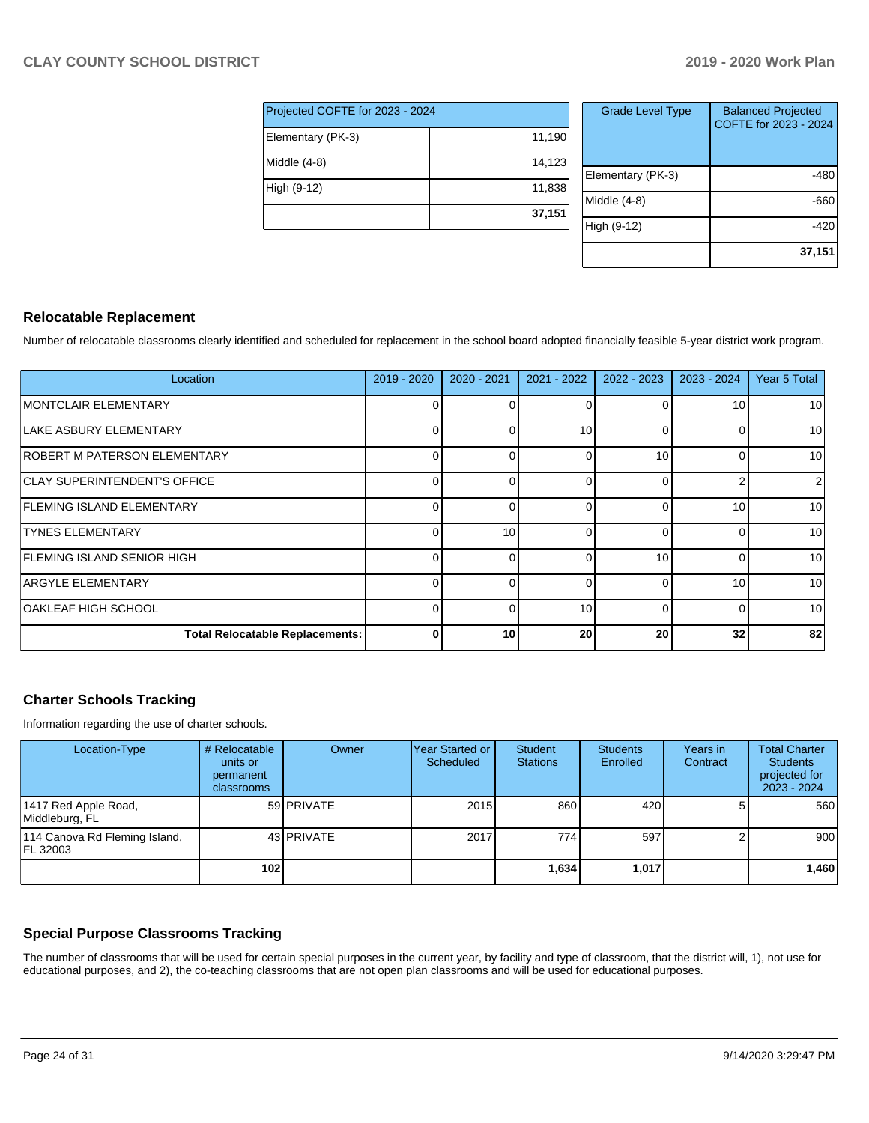| Projected COFTE for 2023 - 2024 |        |  |  |  |  |  |  |
|---------------------------------|--------|--|--|--|--|--|--|
| Elementary (PK-3)               | 11,190 |  |  |  |  |  |  |
| Middle (4-8)                    | 14,123 |  |  |  |  |  |  |
| High (9-12)                     | 11,838 |  |  |  |  |  |  |
|                                 | 37,151 |  |  |  |  |  |  |

| <b>Grade Level Type</b> | <b>Balanced Projected</b><br>COFTE for 2023 - 2024 |
|-------------------------|----------------------------------------------------|
| Elementary (PK-3)       | -480                                               |
| Middle $(4-8)$          | -660                                               |
| High (9-12)             | -420                                               |
|                         | 37,151                                             |

### **Relocatable Replacement**

Number of relocatable classrooms clearly identified and scheduled for replacement in the school board adopted financially feasible 5-year district work program.

| Location                               | 2019 - 2020 | 2020 - 2021 | 2021 - 2022 | 2022 - 2023 | 2023 - 2024 | Year 5 Total |
|----------------------------------------|-------------|-------------|-------------|-------------|-------------|--------------|
| <b>IMONTCLAIR ELEMENTARY</b>           | 0           |             |             |             | 10          | 10           |
| LAKE ASBURY ELEMENTARY                 | 0           |             | 10          | $\Omega$    |             | 10           |
| <b>ROBERT M PATERSON ELEMENTARY</b>    | 0           |             |             | 10          |             | 10           |
| <b>CLAY SUPERINTENDENT'S OFFICE</b>    | 0           |             | $\Omega$    | 0           |             | 2            |
| <b>FLEMING ISLAND ELEMENTARY</b>       | 0           |             | $\Omega$    | 0           | 10          | 10           |
| <b>TYNES ELEMENTARY</b>                | 0           | 10          |             |             |             | 10           |
| <b>FLEMING ISLAND SENIOR HIGH</b>      | 0           |             | $\Omega$    | 10          |             | 10           |
| ARGYLE ELEMENTARY                      | 0           |             | $\Omega$    | 0           | 10          | 10           |
| OAKLEAF HIGH SCHOOL                    | $\Omega$    |             | 10          |             |             | 10           |
| <b>Total Relocatable Replacements:</b> | $\bf{0}$    | 10          | 20          | 20          | 32          | 82           |

### **Charter Schools Tracking**

Information regarding the use of charter schools.

| Location-Type                             | # Relocatable<br>units or<br>permanent<br><b>classrooms</b> | Owner      | Year Started or  <br>Scheduled | <b>Student</b><br><b>Stations</b> | <b>Students</b><br>Enrolled | Years in<br>Contract | <b>Total Charter</b><br><b>Students</b><br>projected for<br>$2023 - 2024$ |
|-------------------------------------------|-------------------------------------------------------------|------------|--------------------------------|-----------------------------------|-----------------------------|----------------------|---------------------------------------------------------------------------|
| 1417 Red Apple Road,<br>Middleburg, FL    |                                                             | 59 PRIVATE | 2015                           | 860                               | 420                         |                      | 560                                                                       |
| 114 Canova Rd Fleming Island,<br>FL 32003 |                                                             | 43 PRIVATE | 2017                           | 774                               | 597                         |                      | 900 <sub>1</sub>                                                          |
|                                           | 102                                                         |            |                                | 1,634                             | 1,017                       |                      | 1,460                                                                     |

### **Special Purpose Classrooms Tracking**

The number of classrooms that will be used for certain special purposes in the current year, by facility and type of classroom, that the district will, 1), not use for educational purposes, and 2), the co-teaching classrooms that are not open plan classrooms and will be used for educational purposes.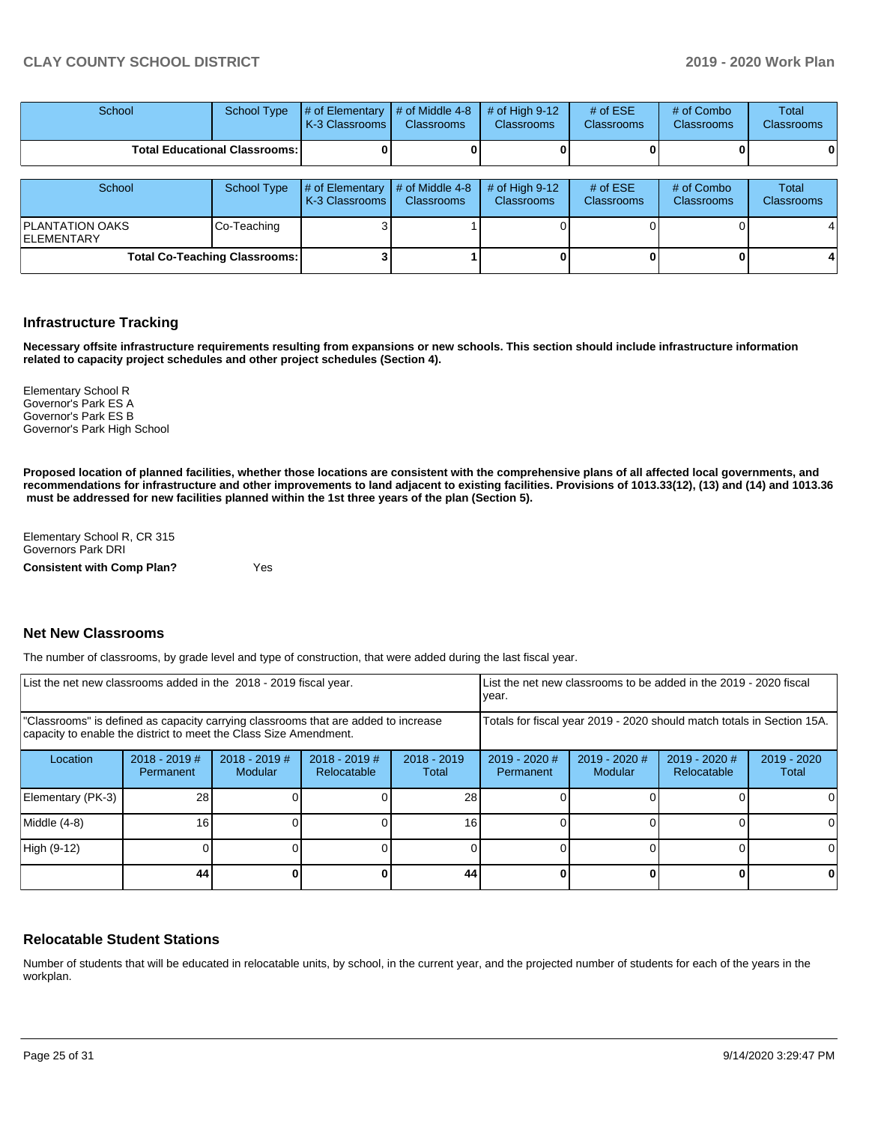| <b>School</b>                          |  | School Type $\left  \frac{1}{2}$ of Elementary $\left  \frac{1}{2}$ of Middle 4-8 $\left  \frac{1}{2}$ of High 9-12<br><b>K-3 Classrooms L</b> | <b>Classrooms</b> | <b>Classrooms</b> | # of $ESE$<br><b>Classrooms</b> | # of Combo<br><b>Classrooms</b> | Total<br><b>Classrooms</b> |
|----------------------------------------|--|------------------------------------------------------------------------------------------------------------------------------------------------|-------------------|-------------------|---------------------------------|---------------------------------|----------------------------|
| <b>Total Educational Classrooms: I</b> |  |                                                                                                                                                |                   |                   |                                 |                                 | 0                          |

| School                                      |             | School Type $\left  \frac{1}{2}$ of Elementary $\left  \frac{1}{2}$ of Middle 4-8<br><b>IK-3 Classrooms L</b> | <b>Classrooms</b> | $\#$ of High 9-12<br><b>Classrooms</b> | # of $ESE$<br><b>Classrooms</b> | # of Combo<br><b>Classrooms</b> | Total<br><b>Classrooms</b> |
|---------------------------------------------|-------------|---------------------------------------------------------------------------------------------------------------|-------------------|----------------------------------------|---------------------------------|---------------------------------|----------------------------|
| <b>PLANTATION OAKS</b><br><b>ELEMENTARY</b> | Co-Teaching |                                                                                                               |                   |                                        |                                 |                                 |                            |
| <b>Total Co-Teaching Classrooms:</b>        |             |                                                                                                               |                   |                                        | 01                              |                                 |                            |

### **Infrastructure Tracking**

**Necessary offsite infrastructure requirements resulting from expansions or new schools. This section should include infrastructure information related to capacity project schedules and other project schedules (Section 4).** 

Elementary School R Governor's Park ES A Governor's Park ES B Governor's Park High School

**Proposed location of planned facilities, whether those locations are consistent with the comprehensive plans of all affected local governments, and recommendations for infrastructure and other improvements to land adjacent to existing facilities. Provisions of 1013.33(12), (13) and (14) and 1013.36** must be addressed for new facilities planned within the 1st three years of the plan (Section 5).

Elementary School R, CR 315 Governors Park DRI **Consistent with Comp Plan?** Yes

### **Net New Classrooms**

The number of classrooms, by grade level and type of construction, that were added during the last fiscal year.

| List the net new classrooms added in the 2018 - 2019 fiscal year.                                                                                       |                              |                                   |                                |                        | List the net new classrooms to be added in the 2019 - 2020 fiscal<br>year. |                                   |                                |                        |
|---------------------------------------------------------------------------------------------------------------------------------------------------------|------------------------------|-----------------------------------|--------------------------------|------------------------|----------------------------------------------------------------------------|-----------------------------------|--------------------------------|------------------------|
| "Classrooms" is defined as capacity carrying classrooms that are added to increase<br>capacity to enable the district to meet the Class Size Amendment. |                              |                                   |                                |                        | Totals for fiscal year 2019 - 2020 should match totals in Section 15A.     |                                   |                                |                        |
| Location                                                                                                                                                | $2018 - 2019$ #<br>Permanent | $2018 - 2019$ #<br><b>Modular</b> | $2018 - 2019$ #<br>Relocatable | $2018 - 2019$<br>Total | $2019 - 2020$ #<br>Permanent                                               | $2019 - 2020$ #<br><b>Modular</b> | $2019 - 2020$ #<br>Relocatable | $2019 - 2020$<br>Total |
| Elementary (PK-3)                                                                                                                                       | 28                           |                                   |                                | 28                     |                                                                            |                                   |                                |                        |
| Middle (4-8)                                                                                                                                            | 16                           |                                   |                                | 16                     |                                                                            |                                   |                                |                        |
| High (9-12)                                                                                                                                             |                              |                                   |                                |                        |                                                                            |                                   |                                | ΩI                     |
|                                                                                                                                                         | 44                           |                                   |                                | 44                     |                                                                            |                                   |                                |                        |

### **Relocatable Student Stations**

Number of students that will be educated in relocatable units, by school, in the current year, and the projected number of students for each of the years in the workplan.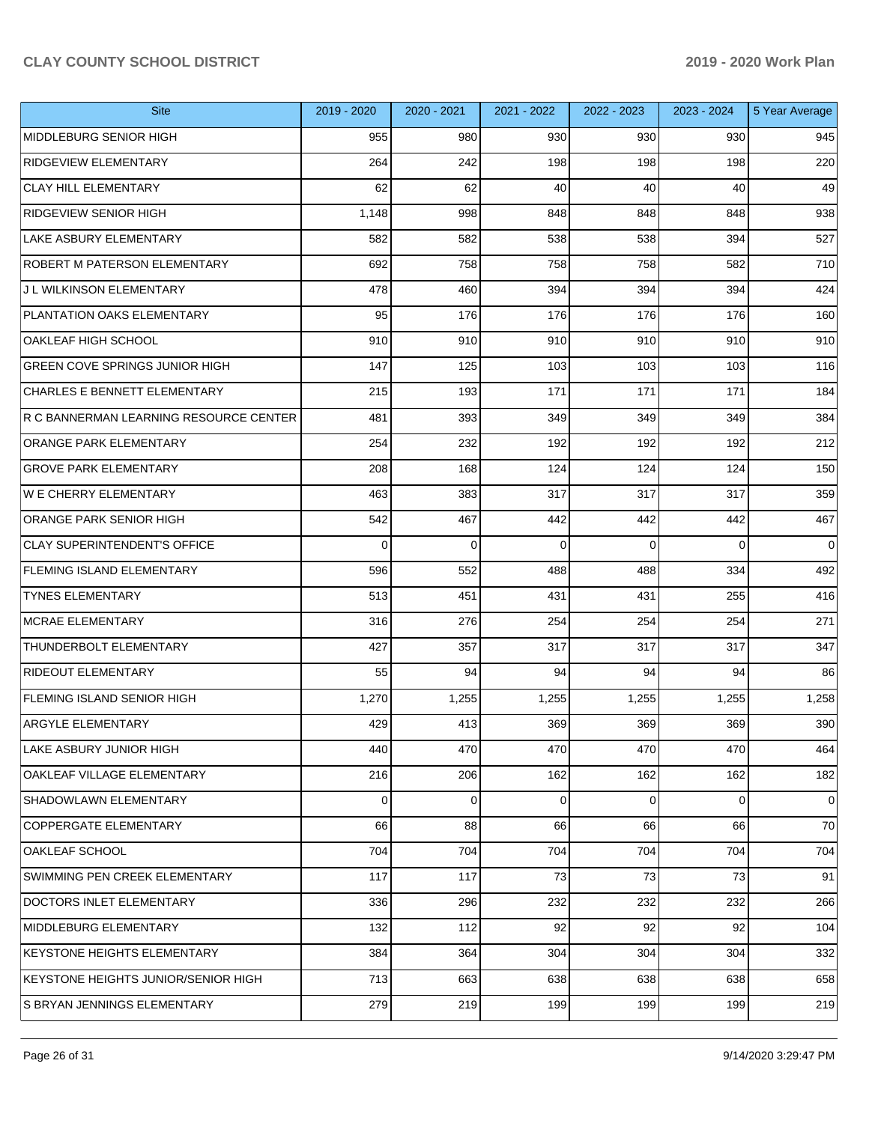| <b>Site</b>                            | 2019 - 2020 | 2020 - 2021 | 2021 - 2022 | 2022 - 2023 | 2023 - 2024 | 5 Year Average |
|----------------------------------------|-------------|-------------|-------------|-------------|-------------|----------------|
| MIDDLEBURG SENIOR HIGH                 | 955         | 980         | 930         | 930         | 930         | 945            |
| RIDGEVIEW ELEMENTARY                   | 264         | 242         | 198         | 198         | 198         | 220            |
| <b>CLAY HILL ELEMENTARY</b>            | 62          | 62          | 40          | 40          | 40          | 49             |
| <b>RIDGEVIEW SENIOR HIGH</b>           | 1,148       | 998         | 848         | 848         | 848         | 938            |
| <b>LAKE ASBURY ELEMENTARY</b>          | 582         | 582         | 538         | 538         | 394         | 527            |
| ROBERT M PATERSON ELEMENTARY           | 692         | 758         | 758         | 758         | 582         | 710            |
| J L WILKINSON ELEMENTARY               | 478         | 460         | 394         | 394         | 394         | 424            |
| PLANTATION OAKS ELEMENTARY             | 95          | 176         | 176         | 176         | 176         | 160            |
| OAKLEAF HIGH SCHOOL                    | 910         | 910         | 910         | 910         | 910         | 910            |
| GREEN COVE SPRINGS JUNIOR HIGH         | 147         | 125         | 103         | 103         | 103         | 116            |
| CHARLES E BENNETT ELEMENTARY           | 215         | 193         | 171         | 171         | 171         | 184            |
| R C BANNERMAN LEARNING RESOURCE CENTER | 481         | 393         | 349         | 349         | 349         | 384            |
| ORANGE PARK ELEMENTARY                 | 254         | 232         | 192         | 192         | 192         | 212            |
| <b>GROVE PARK ELEMENTARY</b>           | 208         | 168         | 124         | 124         | 124         | 150            |
| <b>WE CHERRY ELEMENTARY</b>            | 463         | 383         | 317         | 317         | 317         | 359            |
| ORANGE PARK SENIOR HIGH                | 542         | 467         | 442         | 442         | 442         | 467            |
| CLAY SUPERINTENDENT'S OFFICE           | $\Omega$    | $\mathbf 0$ | 0           | $\Omega$    | $\Omega$    | $\mathbf 0$    |
| <b>FLEMING ISLAND ELEMENTARY</b>       | 596         | 552         | 488         | 488         | 334         | 492            |
| <b>TYNES ELEMENTARY</b>                | 513         | 451         | 431         | 431         | 255         | 416            |
| <b>MCRAE ELEMENTARY</b>                | 316         | 276         | 254         | 254         | 254         | 271            |
| THUNDERBOLT ELEMENTARY                 | 427         | 357         | 317         | 317         | 317         | 347            |
| <b>RIDEOUT ELEMENTARY</b>              | 55          | 94          | 94          | 94          | 94          | 86             |
| <b>FLEMING ISLAND SENIOR HIGH</b>      | 1,270       | 1,255       | 1,255       | 1,255       | 1,255       | 1,258          |
| <b>ARGYLE ELEMENTARY</b>               | 429         | 413         | 369         | 369         | 369         | 390            |
| LAKE ASBURY JUNIOR HIGH                | 440         | 470         | 470         | 470         | 470         | 464            |
| OAKLEAF VILLAGE ELEMENTARY             | 216         | 206         | 162         | 162         | 162         | 182            |
| SHADOWLAWN ELEMENTARY                  | 0           | 0           | 0           | $\Omega$    | $\mathbf 0$ | 0              |
| COPPERGATE ELEMENTARY                  | 66          | 88          | 66          | 66          | 66          | 70             |
| OAKLEAF SCHOOL                         | 704         | 704         | 704         | 704         | 704         | 704            |
| SWIMMING PEN CREEK ELEMENTARY          | 117         | 117         | 73          | 73          | 73          | 91             |
| DOCTORS INLET ELEMENTARY               | 336         | 296         | 232         | 232         | 232         | 266            |
| MIDDLEBURG ELEMENTARY                  | 132         | 112         | 92          | 92          | 92          | 104            |
| KEYSTONE HEIGHTS ELEMENTARY            | 384         | 364         | 304         | 304         | 304         | 332            |
| KEYSTONE HEIGHTS JUNIOR/SENIOR HIGH    | 713         | 663         | 638         | 638         | 638         | 658            |
| S BRYAN JENNINGS ELEMENTARY            | 279         | 219         | 199         | 199         | 199         | 219            |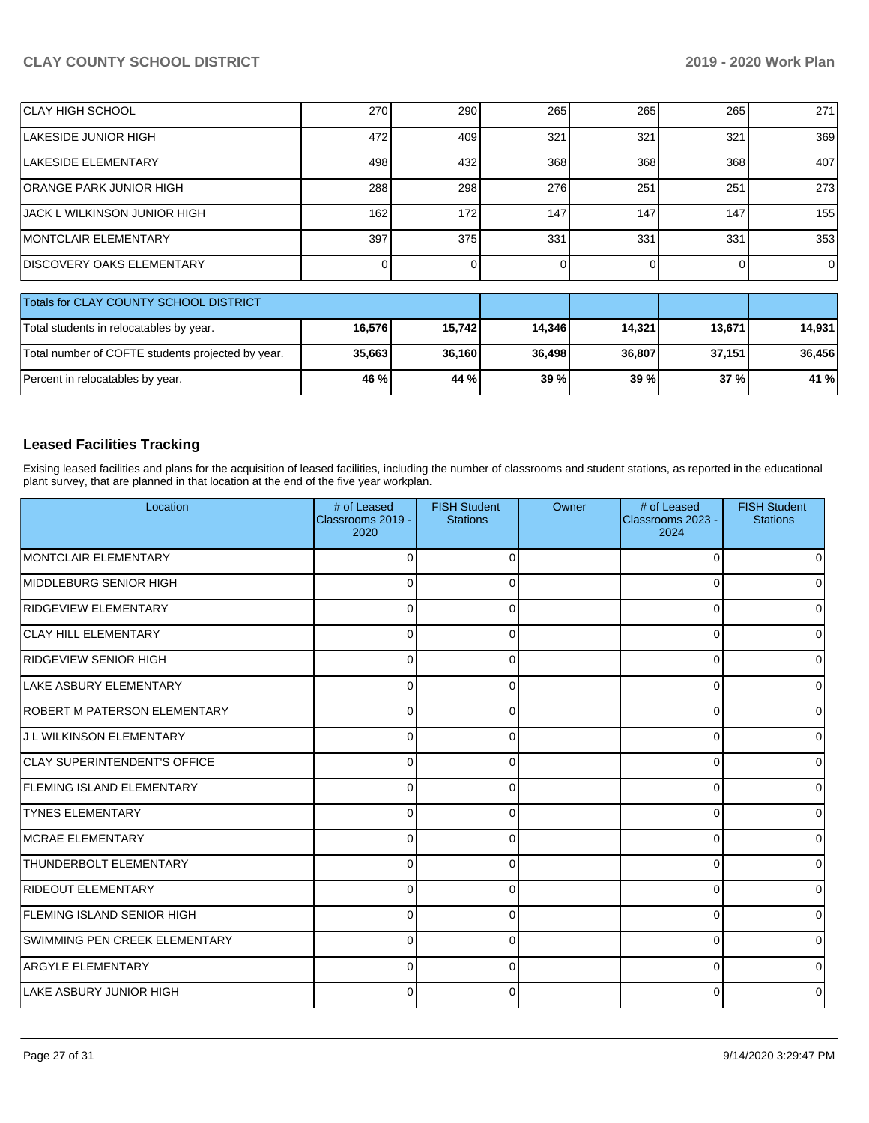| CLAY HIGH SCHOOL                                  | 270    | 290    | 265    | 265    | 265    | 271    |  |
|---------------------------------------------------|--------|--------|--------|--------|--------|--------|--|
| LAKESIDE JUNIOR HIGH                              | 472    | 409    | 321    | 321    | 321    | 369    |  |
| LAKESIDE ELEMENTARY                               | 498    | 432    | 368    | 368    | 368    | 407    |  |
| <b>ORANGE PARK JUNIOR HIGH</b>                    | 288    | 298    | 276    | 251    | 251    | 273    |  |
| IJACK L WILKINSON JUNIOR HIGH                     | 162    | 172    | 147    | 147    | 147    | 155    |  |
| <b>IMONTCLAIR ELEMENTARY</b>                      | 397    | 375    | 331    | 331    | 331    | 353    |  |
| <b>IDISCOVERY OAKS ELEMENTARY</b>                 |        |        |        |        |        | . O I  |  |
| Totals for CLAY COUNTY SCHOOL DISTRICT            |        |        |        |        |        |        |  |
| Total students in relocatables by year.           | 16,576 | 15,742 | 14,346 | 14,321 | 13,671 | 14,931 |  |
| Total number of COFTE students projected by year. | 35,663 | 36,160 | 36,498 | 36,807 | 37,151 | 36,456 |  |

### **Leased Facilities Tracking**

Exising leased facilities and plans for the acquisition of leased facilities, including the number of classrooms and student stations, as reported in the educational plant survey, that are planned in that location at the end of the five year workplan.

Percent in relocatables by year. **46 % 44 % 39 % 39 % 37 % 41 %**

| Location                            | # of Leased<br>Classrooms 2019 -<br>2020 | <b>FISH Student</b><br><b>Stations</b> | Owner | # of Leased<br>Classrooms 2023 -<br>2024 | <b>FISH Student</b><br><b>Stations</b> |
|-------------------------------------|------------------------------------------|----------------------------------------|-------|------------------------------------------|----------------------------------------|
| MONTCLAIR ELEMENTARY                | 0                                        | $\Omega$                               |       | $\Omega$                                 | <sup>0</sup>                           |
| MIDDLEBURG SENIOR HIGH              | 0                                        | 0                                      |       | 0                                        |                                        |
| RIDGEVIEW ELEMENTARY                | 0                                        | 0                                      |       | 0                                        | o                                      |
| <b>CLAY HILL ELEMENTARY</b>         | 0                                        | 0                                      |       | $\Omega$                                 |                                        |
| <b>RIDGEVIEW SENIOR HIGH</b>        | 0                                        | 0                                      |       | $\mathbf 0$                              | 0                                      |
| LAKE ASBURY ELEMENTARY              | 0                                        | O                                      |       | 0                                        | <sup>0</sup>                           |
| ROBERT M PATERSON ELEMENTARY        | 0                                        | U                                      |       | $\Omega$                                 |                                        |
| J L WILKINSON ELEMENTARY            | 0                                        | U                                      |       | $\Omega$                                 |                                        |
| <b>CLAY SUPERINTENDENT'S OFFICE</b> | $\Omega$                                 | $\Omega$                               |       | $\Omega$                                 | <sup>0</sup>                           |
| <b>FLEMING ISLAND ELEMENTARY</b>    | 0                                        | 0                                      |       | $\Omega$                                 | <sup>0</sup>                           |
| <b>TYNES ELEMENTARY</b>             | 0                                        | 0                                      |       | 0                                        | <sup>0</sup>                           |
| <b>IMCRAE ELEMENTARY</b>            | 0                                        | 0                                      |       | 0                                        | U                                      |
| <b>THUNDERBOLT ELEMENTARY</b>       | 0                                        | $\Omega$                               |       | 0                                        | 0                                      |
| <b>RIDEOUT ELEMENTARY</b>           | 0                                        | $\Omega$                               |       | 0                                        | <sup>0</sup>                           |
| FLEMING ISLAND SENIOR HIGH          | 0                                        | U                                      |       | 0                                        |                                        |
| SWIMMING PEN CREEK ELEMENTARY       | 0                                        | U                                      |       | $\Omega$                                 |                                        |
| <b>ARGYLE ELEMENTARY</b>            | 0                                        | $\Omega$                               |       | $\mathbf 0$                              |                                        |
| LAKE ASBURY JUNIOR HIGH             | 0                                        | O                                      |       | 0                                        |                                        |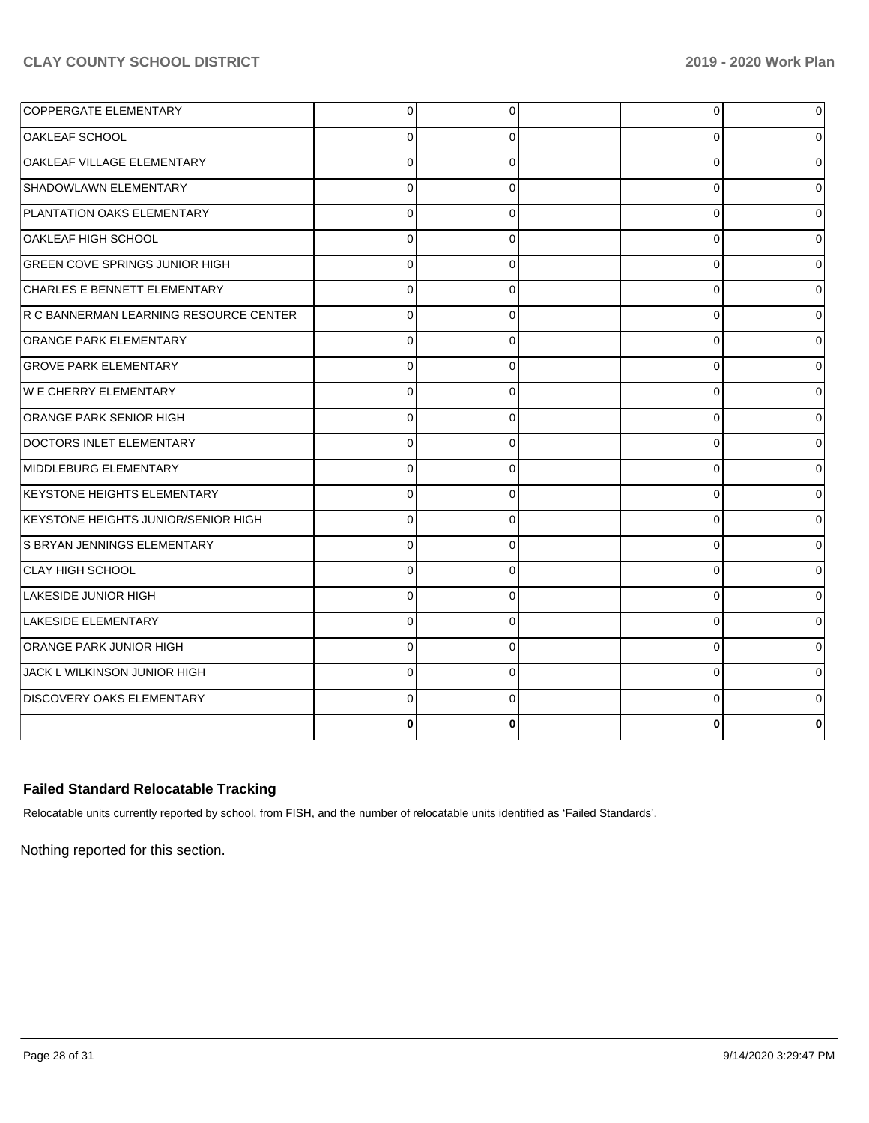| <b>COPPERGATE ELEMENTARY</b>           | $\overline{0}$ | 0        | $\Omega$ | 0 |
|----------------------------------------|----------------|----------|----------|---|
| <b>OAKLEAF SCHOOL</b>                  | $\Omega$       | 0        | 0        | 0 |
| OAKLEAF VILLAGE ELEMENTARY             | $\Omega$       | $\Omega$ | $\Omega$ | 0 |
| SHADOWLAWN ELEMENTARY                  | $\Omega$       | 0        | 0        | 0 |
| PLANTATION OAKS ELEMENTARY             | $\Omega$       | $\Omega$ | 0        | 0 |
| OAKLEAF HIGH SCHOOL                    | $\Omega$       | 0        | 0        | 0 |
| <b>GREEN COVE SPRINGS JUNIOR HIGH</b>  | $\Omega$       | $\Omega$ | 0        | 0 |
| <b>CHARLES E BENNETT ELEMENTARY</b>    | $\Omega$       | 0        | 0        | 0 |
| R C BANNERMAN LEARNING RESOURCE CENTER | $\Omega$       | $\Omega$ | $\Omega$ | 0 |
| <b>ORANGE PARK ELEMENTARY</b>          | $\Omega$       | $\Omega$ | 0        | 0 |
| <b>GROVE PARK ELEMENTARY</b>           | $\Omega$       | $\Omega$ | $\Omega$ | 0 |
| W E CHERRY ELEMENTARY                  | $\Omega$       | 0        | 0        | 0 |
| <b>ORANGE PARK SENIOR HIGH</b>         | $\Omega$       | $\Omega$ | 0        | 0 |
| DOCTORS INLET ELEMENTARY               | $\Omega$       | 0        | 0        | 0 |
| MIDDLEBURG ELEMENTARY                  | $\Omega$       | $\Omega$ | 0        | 0 |
| KEYSTONE HEIGHTS ELEMENTARY            | $\overline{0}$ | 0        | 0        | 0 |
| KEYSTONE HEIGHTS JUNIOR/SENIOR HIGH    | $\Omega$       | $\Omega$ | $\Omega$ | 0 |
| S BRYAN JENNINGS ELEMENTARY            | $\Omega$       | $\Omega$ | 0        | 0 |
| <b>CLAY HIGH SCHOOL</b>                | $\Omega$       | $\Omega$ | 0        | 0 |
| <b>LAKESIDE JUNIOR HIGH</b>            | $\Omega$       | 0        | 0        | 0 |
| LAKESIDE ELEMENTARY                    | $\Omega$       | $\Omega$ | $\Omega$ | 0 |
| <b>ORANGE PARK JUNIOR HIGH</b>         | $\mathbf 0$    | 0        | 0        | 0 |
| JACK L WILKINSON JUNIOR HIGH           | $\Omega$       | $\Omega$ | $\Omega$ | 0 |
| <b>DISCOVERY OAKS ELEMENTARY</b>       | $\Omega$       | $\Omega$ | $\Omega$ | 0 |
|                                        | 0              |          |          |   |

## **Failed Standard Relocatable Tracking**

Relocatable units currently reported by school, from FISH, and the number of relocatable units identified as 'Failed Standards'.

Nothing reported for this section.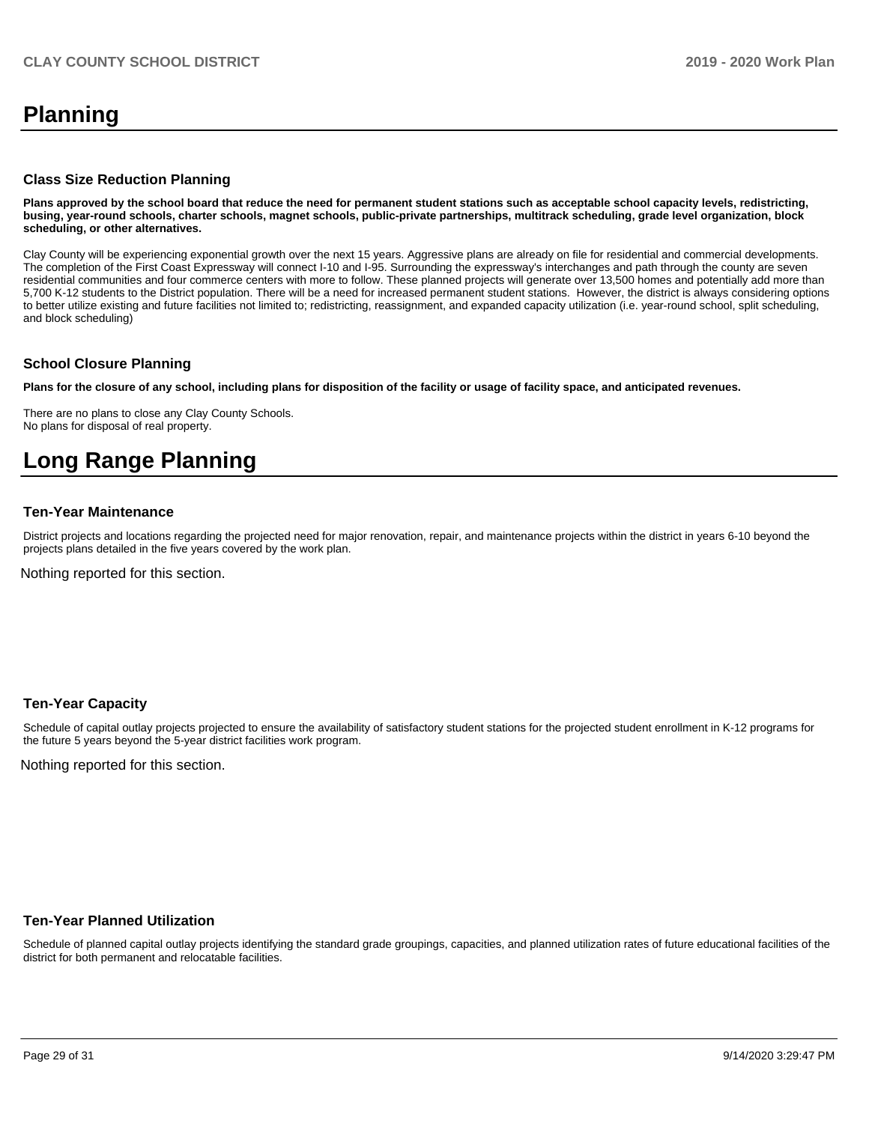## **Planning**

### **Class Size Reduction Planning**

**Plans approved by the school board that reduce the need for permanent student stations such as acceptable school capacity levels, redistricting, busing, year-round schools, charter schools, magnet schools, public-private partnerships, multitrack scheduling, grade level organization, block scheduling, or other alternatives.**

Clay County will be experiencing exponential growth over the next 15 years. Aggressive plans are already on file for residential and commercial developments. The completion of the First Coast Expressway will connect I-10 and I-95. Surrounding the expressway's interchanges and path through the county are seven residential communities and four commerce centers with more to follow. These planned projects will generate over 13,500 homes and potentially add more than 5,700 K-12 students to the District population. There will be a need for increased permanent student stations. However, the district is always considering options to better utilize existing and future facilities not limited to; redistricting, reassignment, and expanded capacity utilization (i.e. year-round school, split scheduling, and block scheduling)

### **School Closure Planning**

**Plans for the closure of any school, including plans for disposition of the facility or usage of facility space, and anticipated revenues.** 

There are no plans to close any Clay County Schools. No plans for disposal of real property.

# **Long Range Planning**

### **Ten-Year Maintenance**

District projects and locations regarding the projected need for major renovation, repair, and maintenance projects within the district in years 6-10 beyond the projects plans detailed in the five years covered by the work plan.

Nothing reported for this section.

### **Ten-Year Capacity**

Schedule of capital outlay projects projected to ensure the availability of satisfactory student stations for the projected student enrollment in K-12 programs for the future 5 years beyond the 5-year district facilities work program.

Nothing reported for this section.

### **Ten-Year Planned Utilization**

Schedule of planned capital outlay projects identifying the standard grade groupings, capacities, and planned utilization rates of future educational facilities of the district for both permanent and relocatable facilities.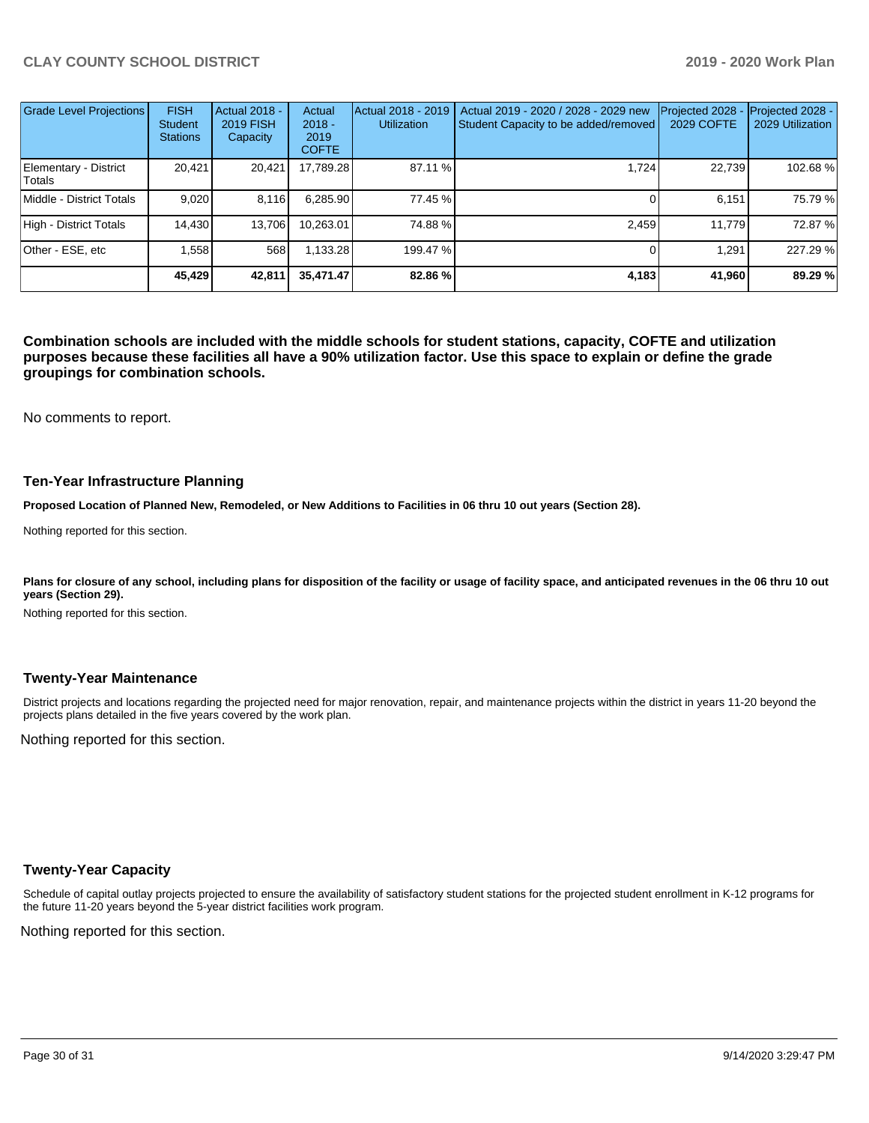| Grade Level Projections         | <b>FISH</b><br><b>Student</b><br><b>Stations</b> | <b>Actual 2018 -</b><br><b>2019 FISH</b><br>Capacity | Actual<br>$2018 -$<br>2019<br><b>COFTE</b> | Actual 2018 - 2019<br><b>Utilization</b> | Actual 2019 - 2020 / 2028 - 2029 new<br>Student Capacity to be added/removed | Projected 2028<br>2029 COFTE | Projected 2028 -<br>2029 Utilization |
|---------------------------------|--------------------------------------------------|------------------------------------------------------|--------------------------------------------|------------------------------------------|------------------------------------------------------------------------------|------------------------------|--------------------------------------|
| Elementary - District<br>Totals | 20,421                                           | 20,421                                               | 17,789.28                                  | 87.11 %                                  | 1.724                                                                        | 22.739                       | 102.68%                              |
| Middle - District Totals        | 9.020                                            | 8.116                                                | 6,285.90                                   | 77.45 %                                  |                                                                              | 6.151                        | 75.79 %                              |
| High - District Totals          | 14,430                                           | 13,706                                               | 10.263.01                                  | 74.88%                                   | 2.459                                                                        | 11.779                       | 72.87 %                              |
| Other - ESE, etc                | 1.558                                            | 568                                                  | 1.133.28                                   | 199.47 %                                 |                                                                              | 1,291                        | 227.29 %                             |
|                                 | 45.429                                           | 42,811                                               | 35,471.47                                  | 82.86 %                                  | 4,183                                                                        | 41,960                       | 89.29 %                              |

**Combination schools are included with the middle schools for student stations, capacity, COFTE and utilization purposes because these facilities all have a 90% utilization factor. Use this space to explain or define the grade groupings for combination schools.** 

No comments to report.

### **Ten-Year Infrastructure Planning**

**Proposed Location of Planned New, Remodeled, or New Additions to Facilities in 06 thru 10 out years (Section 28).**

Nothing reported for this section.

Plans for closure of any school, including plans for disposition of the facility or usage of facility space, and anticipated revenues in the 06 thru 10 out **years (Section 29).**

Nothing reported for this section.

### **Twenty-Year Maintenance**

District projects and locations regarding the projected need for major renovation, repair, and maintenance projects within the district in years 11-20 beyond the projects plans detailed in the five years covered by the work plan.

Nothing reported for this section.

### **Twenty-Year Capacity**

Schedule of capital outlay projects projected to ensure the availability of satisfactory student stations for the projected student enrollment in K-12 programs for the future 11-20 years beyond the 5-year district facilities work program.

Nothing reported for this section.